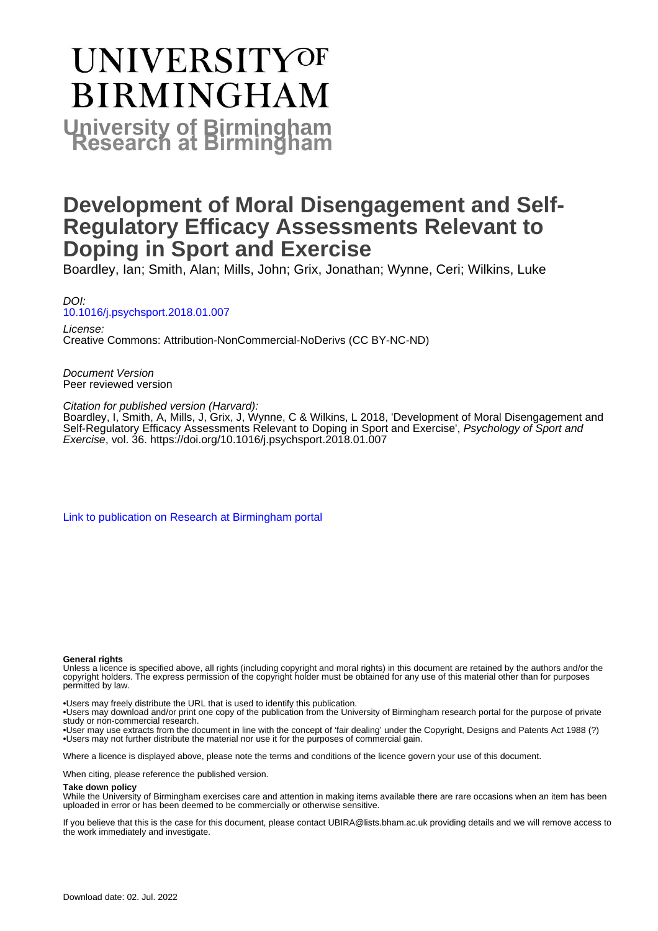# UNIVERSITYOF **BIRMINGHAM University of Birmingham**

## **Development of Moral Disengagement and Self-Regulatory Efficacy Assessments Relevant to Doping in Sport and Exercise**

Boardley, Ian; Smith, Alan; Mills, John; Grix, Jonathan; Wynne, Ceri; Wilkins, Luke

DOI: [10.1016/j.psychsport.2018.01.007](https://doi.org/10.1016/j.psychsport.2018.01.007)

License: Creative Commons: Attribution-NonCommercial-NoDerivs (CC BY-NC-ND)

Document Version Peer reviewed version

Citation for published version (Harvard):

Boardley, I, Smith, A, Mills, J, Grix, J, Wynne, C & Wilkins, L 2018, 'Development of Moral Disengagement and Self-Regulatory Efficacy Assessments Relevant to Doping in Sport and Exercise', Psychology of Sport and Exercise, vol. 36. <https://doi.org/10.1016/j.psychsport.2018.01.007>

[Link to publication on Research at Birmingham portal](https://birmingham.elsevierpure.com/en/publications/e22bc61d-be78-401d-baf8-1a8875cf9bc8)

#### **General rights**

Unless a licence is specified above, all rights (including copyright and moral rights) in this document are retained by the authors and/or the copyright holders. The express permission of the copyright holder must be obtained for any use of this material other than for purposes permitted by law.

• Users may freely distribute the URL that is used to identify this publication.

• Users may download and/or print one copy of the publication from the University of Birmingham research portal for the purpose of private study or non-commercial research.

• User may use extracts from the document in line with the concept of 'fair dealing' under the Copyright, Designs and Patents Act 1988 (?) • Users may not further distribute the material nor use it for the purposes of commercial gain.

Where a licence is displayed above, please note the terms and conditions of the licence govern your use of this document.

When citing, please reference the published version.

#### **Take down policy**

While the University of Birmingham exercises care and attention in making items available there are rare occasions when an item has been uploaded in error or has been deemed to be commercially or otherwise sensitive.

If you believe that this is the case for this document, please contact UBIRA@lists.bham.ac.uk providing details and we will remove access to the work immediately and investigate.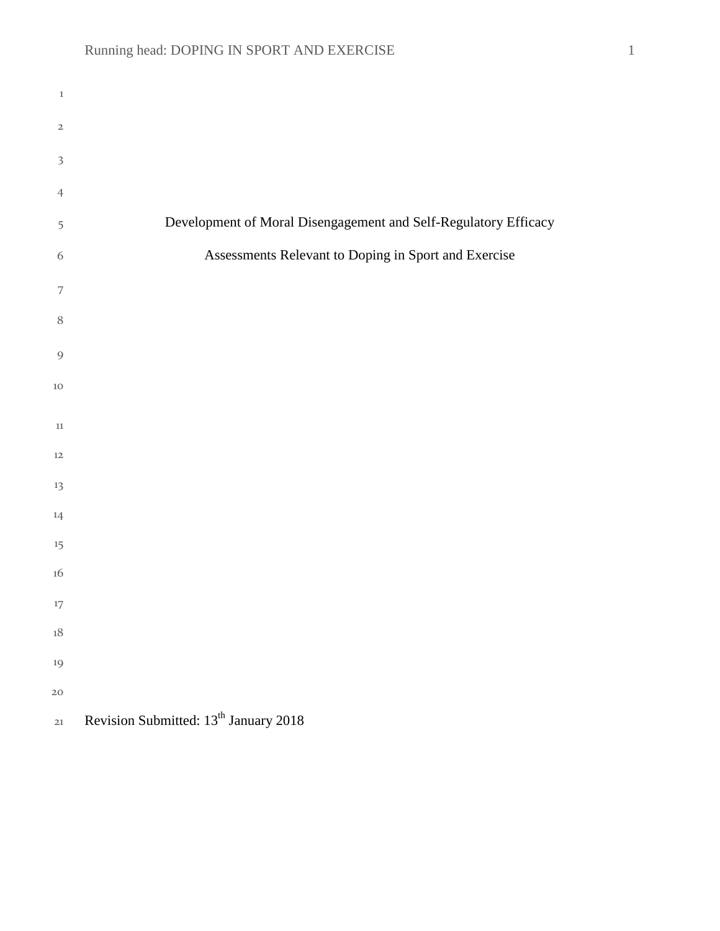| $\,1\,$                 |                                                                 |
|-------------------------|-----------------------------------------------------------------|
| $\mathbf 2$             |                                                                 |
| $\overline{\mathbf{3}}$ |                                                                 |
| $\overline{4}$          |                                                                 |
| 5                       | Development of Moral Disengagement and Self-Regulatory Efficacy |
| 6                       | Assessments Relevant to Doping in Sport and Exercise            |
| 7                       |                                                                 |
| $\, 8$                  |                                                                 |
| $\overline{9}$          |                                                                 |
| $10\,$                  |                                                                 |
| 11                      |                                                                 |
| 12                      |                                                                 |
| 13                      |                                                                 |
| 14                      |                                                                 |
| 15                      |                                                                 |
| 16                      |                                                                 |
| $17\,$                  |                                                                 |
| $18\,$                  |                                                                 |
| 19                      |                                                                 |
| 20                      |                                                                 |
| $21\,$                  | Revision Submitted: 13 <sup>th</sup> January 2018               |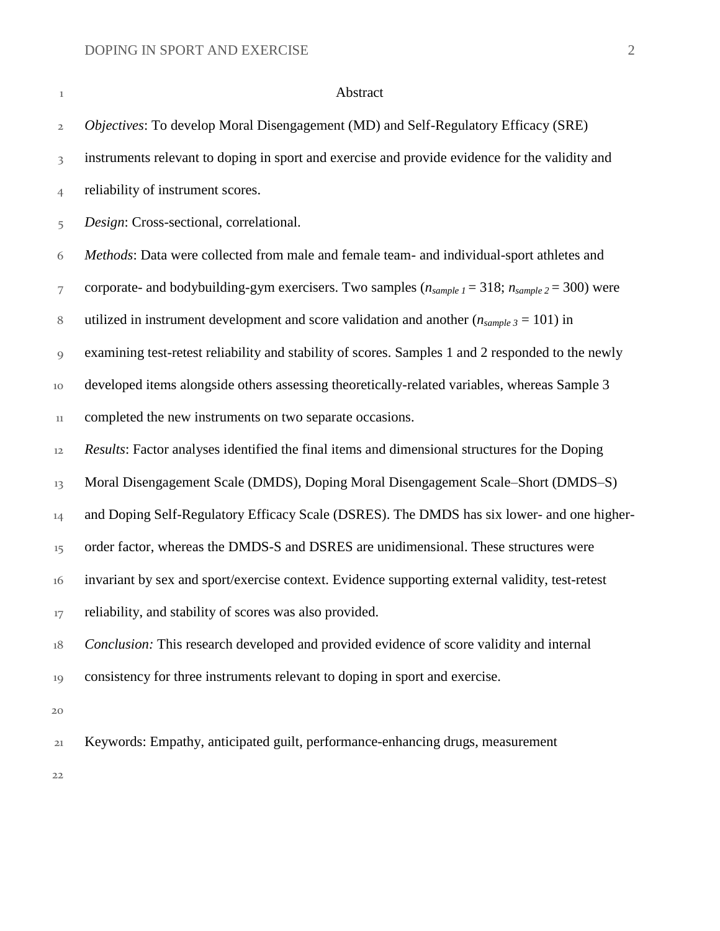#### **Abstract**

 *Objectives*: To develop Moral Disengagement (MD) and Self-Regulatory Efficacy (SRE) instruments relevant to doping in sport and exercise and provide evidence for the validity and reliability of instrument scores. *Design*: Cross-sectional, correlational. *Methods*: Data were collected from male and female team- and individual-sport athletes and corporate- and bodybuilding-gym exercisers. Two samples (*nsample 1* = 318; *nsample 2* = 300) were 8 utilized in instrument development and score validation and another  $(n_{sample 3} = 101)$  in examining test-retest reliability and stability of scores. Samples 1 and 2 responded to the newly developed items alongside others assessing theoretically-related variables, whereas Sample 3 completed the new instruments on two separate occasions. *Results*: Factor analyses identified the final items and dimensional structures for the Doping Moral Disengagement Scale (DMDS), Doping Moral Disengagement Scale–Short (DMDS–S) <sup>14</sup> and Doping Self-Regulatory Efficacy Scale (DSRES). The DMDS has six lower- and one higher-<sup>15</sup> order factor, whereas the DMDS-S and DSRES are unidimensional. These structures were invariant by sex and sport/exercise context. Evidence supporting external validity, test-retest <sup>17</sup> reliability, and stability of scores was also provided. *Conclusion:* This research developed and provided evidence of score validity and internal consistency for three instruments relevant to doping in sport and exercise. Keywords: Empathy, anticipated guilt, performance-enhancing drugs, measurement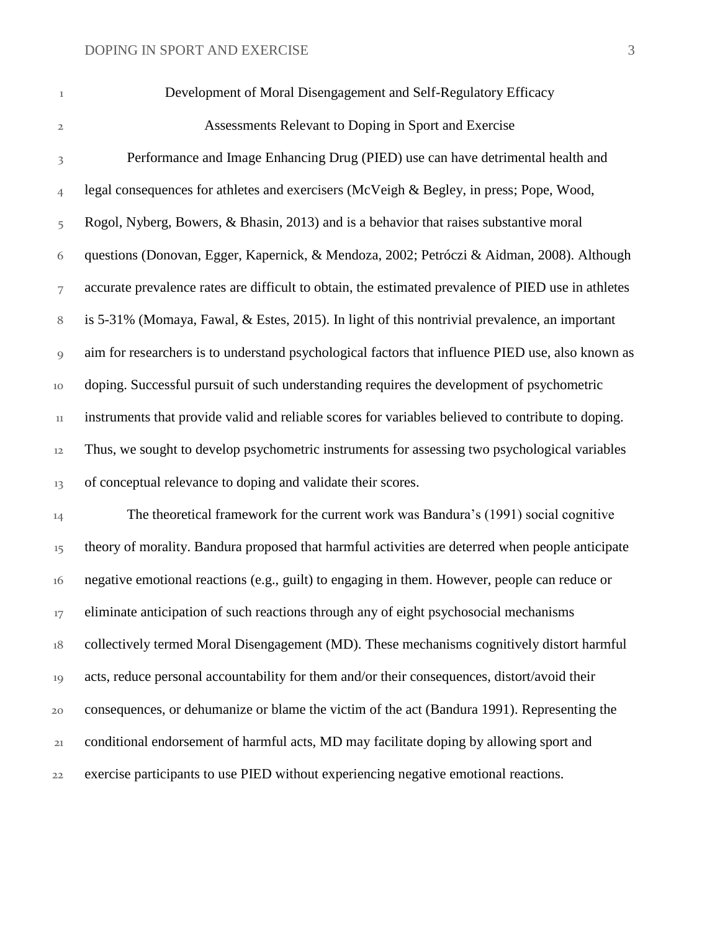Development of Moral Disengagement and Self-Regulatory Efficacy

Assessments Relevant to Doping in Sport and Exercise

 Performance and Image Enhancing Drug (PIED) use can have detrimental health and legal consequences for athletes and exercisers (McVeigh & Begley, in press; Pope, Wood, Rogol, Nyberg, Bowers, & Bhasin, 2013) and is a behavior that raises substantive moral questions (Donovan, Egger, Kapernick, & Mendoza, 2002; Petróczi & Aidman, 2008). Although accurate prevalence rates are difficult to obtain, the estimated prevalence of PIED use in athletes is 5-31% (Momaya, Fawal, & Estes, 2015). In light of this nontrivial prevalence, an important aim for researchers is to understand psychological factors that influence PIED use, also known as doping. Successful pursuit of such understanding requires the development of psychometric instruments that provide valid and reliable scores for variables believed to contribute to doping. Thus, we sought to develop psychometric instruments for assessing two psychological variables 13 of conceptual relevance to doping and validate their scores.

 The theoretical framework for the current work was Bandura's (1991) social cognitive <sup>15</sup> theory of morality. Bandura proposed that harmful activities are deterred when people anticipate negative emotional reactions (e.g., guilt) to engaging in them. However, people can reduce or <sup>17</sup> eliminate anticipation of such reactions through any of eight psychosocial mechanisms collectively termed Moral Disengagement (MD). These mechanisms cognitively distort harmful acts, reduce personal accountability for them and/or their consequences, distort/avoid their consequences, or dehumanize or blame the victim of the act (Bandura 1991). Representing the conditional endorsement of harmful acts, MD may facilitate doping by allowing sport and exercise participants to use PIED without experiencing negative emotional reactions.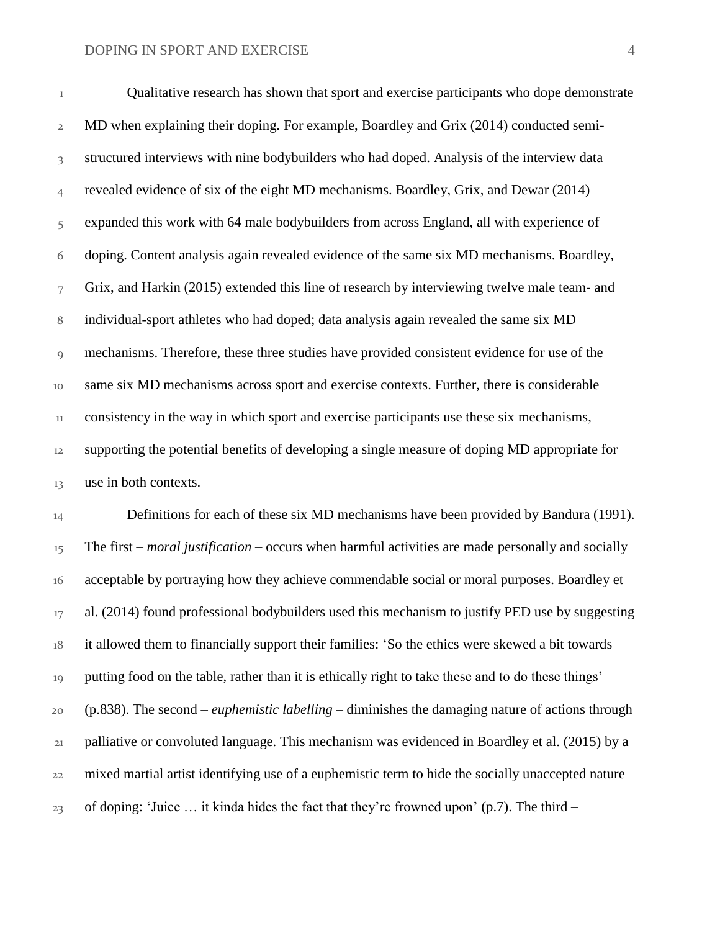Qualitative research has shown that sport and exercise participants who dope demonstrate MD when explaining their doping. For example, Boardley and Grix (2014) conducted semi-3 structured interviews with nine bodybuilders who had doped. Analysis of the interview data revealed evidence of six of the eight MD mechanisms. Boardley, Grix, and Dewar (2014) expanded this work with 64 male bodybuilders from across England, all with experience of doping. Content analysis again revealed evidence of the same six MD mechanisms. Boardley, Grix, and Harkin (2015) extended this line of research by interviewing twelve male team- and individual-sport athletes who had doped; data analysis again revealed the same six MD mechanisms. Therefore, these three studies have provided consistent evidence for use of the same six MD mechanisms across sport and exercise contexts. Further, there is considerable consistency in the way in which sport and exercise participants use these six mechanisms, supporting the potential benefits of developing a single measure of doping MD appropriate for use in both contexts.

14 Definitions for each of these six MD mechanisms have been provided by Bandura (1991). The first – *moral justification* – occurs when harmful activities are made personally and socially acceptable by portraying how they achieve commendable social or moral purposes. Boardley et al. (2014) found professional bodybuilders used this mechanism to justify PED use by suggesting it allowed them to financially support their families: 'So the ethics were skewed a bit towards putting food on the table, rather than it is ethically right to take these and to do these things' (p.838). The second – *euphemistic labelling* – diminishes the damaging nature of actions through palliative or convoluted language. This mechanism was evidenced in Boardley et al. (2015) by a mixed martial artist identifying use of a euphemistic term to hide the socially unaccepted nature of doping: 'Juice ... it kinda hides the fact that they're frowned upon' (p.7). The third –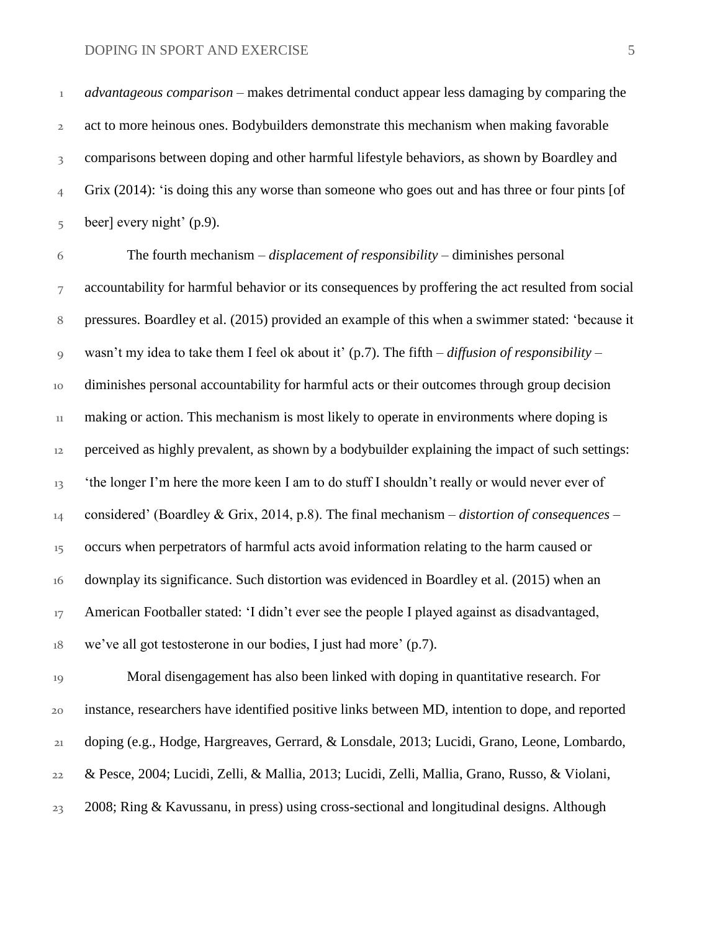*advantageous comparison* – makes detrimental conduct appear less damaging by comparing the act to more heinous ones. Bodybuilders demonstrate this mechanism when making favorable 3 comparisons between doping and other harmful lifestyle behaviors, as shown by Boardley and Grix (2014): 'is doing this any worse than someone who goes out and has three or four pints [of beer] every night' (p.9).

 The fourth mechanism – *displacement of responsibility* – diminishes personal accountability for harmful behavior or its consequences by proffering the act resulted from social pressures. Boardley et al. (2015) provided an example of this when a swimmer stated: 'because it wasn't my idea to take them I feel ok about it' (p.7). The fifth – *diffusion of responsibility* – diminishes personal accountability for harmful acts or their outcomes through group decision making or action. This mechanism is most likely to operate in environments where doping is perceived as highly prevalent, as shown by a bodybuilder explaining the impact of such settings: <sup>13</sup> 'the longer I'm here the more keen I am to do stuff I shouldn't really or would never ever of considered' (Boardley & Grix, 2014, p.8). The final mechanism – *distortion of consequences* – <sup>15</sup> occurs when perpetrators of harmful acts avoid information relating to the harm caused or downplay its significance. Such distortion was evidenced in Boardley et al. (2015) when an <sup>17</sup> American Footballer stated: 'I didn't ever see the people I played against as disadvantaged, we've all got testosterone in our bodies, I just had more' (p.7).

 Moral disengagement has also been linked with doping in quantitative research. For instance, researchers have identified positive links between MD, intention to dope, and reported doping (e.g., Hodge, Hargreaves, Gerrard, & Lonsdale, 2013; Lucidi, Grano, Leone, Lombardo, & Pesce, 2004; Lucidi, Zelli, & Mallia, 2013; Lucidi, Zelli, Mallia, Grano, Russo, & Violani, 2008; Ring & Kavussanu, in press) using cross-sectional and longitudinal designs. Although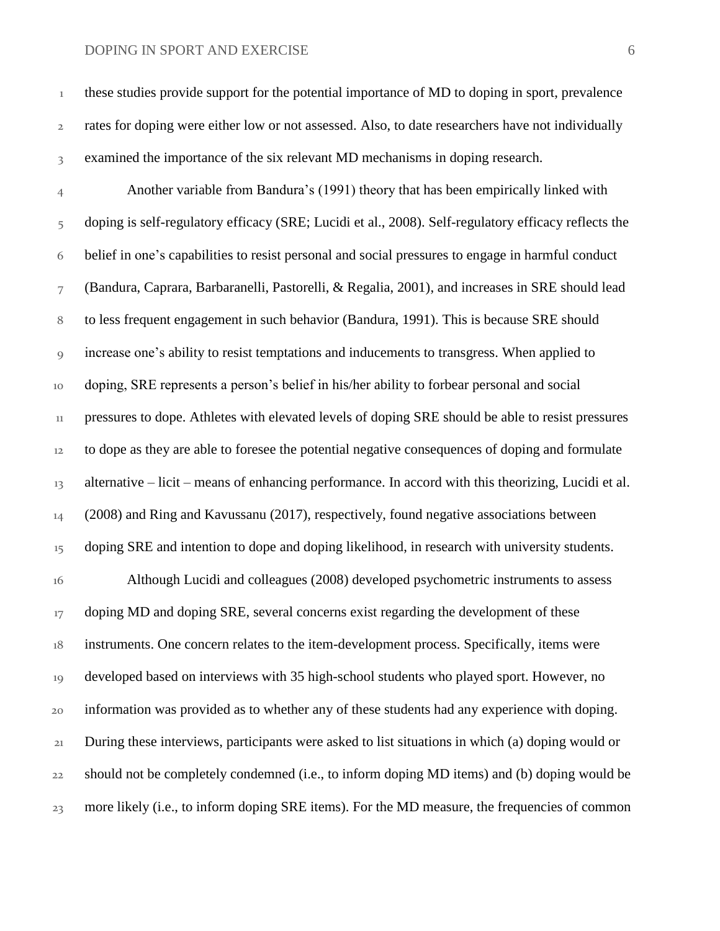| $\,1$          | these studies provide support for the potential importance of MD to doping in sport, prevalence      |
|----------------|------------------------------------------------------------------------------------------------------|
| $\mathbf{2}$   | rates for doping were either low or not assessed. Also, to date researchers have not individually    |
| 3              | examined the importance of the six relevant MD mechanisms in doping research.                        |
| $\overline{4}$ | Another variable from Bandura's (1991) theory that has been empirically linked with                  |
| 5              | doping is self-regulatory efficacy (SRE; Lucidi et al., 2008). Self-regulatory efficacy reflects the |
| 6              | belief in one's capabilities to resist personal and social pressures to engage in harmful conduct    |
| 7              | (Bandura, Caprara, Barbaranelli, Pastorelli, & Regalia, 2001), and increases in SRE should lead      |
| $\, 8$         | to less frequent engagement in such behavior (Bandura, 1991). This is because SRE should             |
| 9              | increase one's ability to resist temptations and inducements to transgress. When applied to          |
| 10             | doping, SRE represents a person's belief in his/her ability to forbear personal and social           |
| $11\,$         | pressures to dope. Athletes with elevated levels of doping SRE should be able to resist pressures    |
| 12             | to dope as they are able to foresee the potential negative consequences of doping and formulate      |
| 13             | alternative – licit – means of enhancing performance. In accord with this theorizing, Lucidi et al.  |
| 14             | (2008) and Ring and Kavussanu (2017), respectively, found negative associations between              |
| 15             | doping SRE and intention to dope and doping likelihood, in research with university students.        |
| 16             | Although Lucidi and colleagues (2008) developed psychometric instruments to assess                   |
| 17             | doping MD and doping SRE, several concerns exist regarding the development of these                  |
| $18\,$         | instruments. One concern relates to the item-development process. Specifically, items were           |
| 19             | developed based on interviews with 35 high-school students who played sport. However, no             |
| 20             | information was provided as to whether any of these students had any experience with doping.         |
| 21             | During these interviews, participants were asked to list situations in which (a) doping would or     |
| 22             | should not be completely condemned (i.e., to inform doping MD items) and (b) doping would be         |
| 23             | more likely (i.e., to inform doping SRE items). For the MD measure, the frequencies of common        |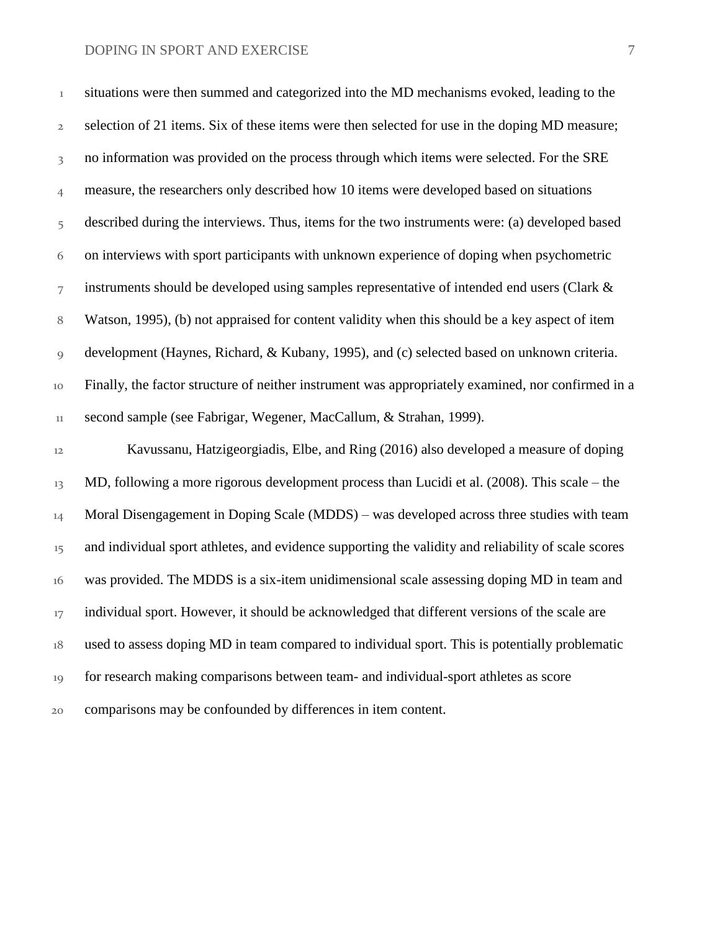| $\,1$          | situations were then summed and categorized into the MD mechanisms evoked, leading to the           |
|----------------|-----------------------------------------------------------------------------------------------------|
| $\mathbf{2}$   | selection of 21 items. Six of these items were then selected for use in the doping MD measure;      |
| 3              | no information was provided on the process through which items were selected. For the SRE           |
| $\overline{4}$ | measure, the researchers only described how 10 items were developed based on situations             |
| 5              | described during the interviews. Thus, items for the two instruments were: (a) developed based      |
| 6              | on interviews with sport participants with unknown experience of doping when psychometric           |
| $\overline{7}$ | instruments should be developed using samples representative of intended end users (Clark &         |
| 8              | Watson, 1995), (b) not appraised for content validity when this should be a key aspect of item      |
| 9              | development (Haynes, Richard, & Kubany, 1995), and (c) selected based on unknown criteria.          |
| 10             | Finally, the factor structure of neither instrument was appropriately examined, nor confirmed in a  |
| $11\,$         | second sample (see Fabrigar, Wegener, MacCallum, & Strahan, 1999).                                  |
| 12             | Kavussanu, Hatzigeorgiadis, Elbe, and Ring (2016) also developed a measure of doping                |
| 13             | MD, following a more rigorous development process than Lucidi et al. (2008). This scale – the       |
| 14             | Moral Disengagement in Doping Scale (MDDS) – was developed across three studies with team           |
| 15             | and individual sport athletes, and evidence supporting the validity and reliability of scale scores |
| 16             | was provided. The MDDS is a six-item unidimensional scale assessing doping MD in team and           |
| 17             | individual sport. However, it should be acknowledged that different versions of the scale are       |

used to assess doping MD in team compared to individual sport. This is potentially problematic

- for research making comparisons between team- and individual-sport athletes as score
- comparisons may be confounded by differences in item content.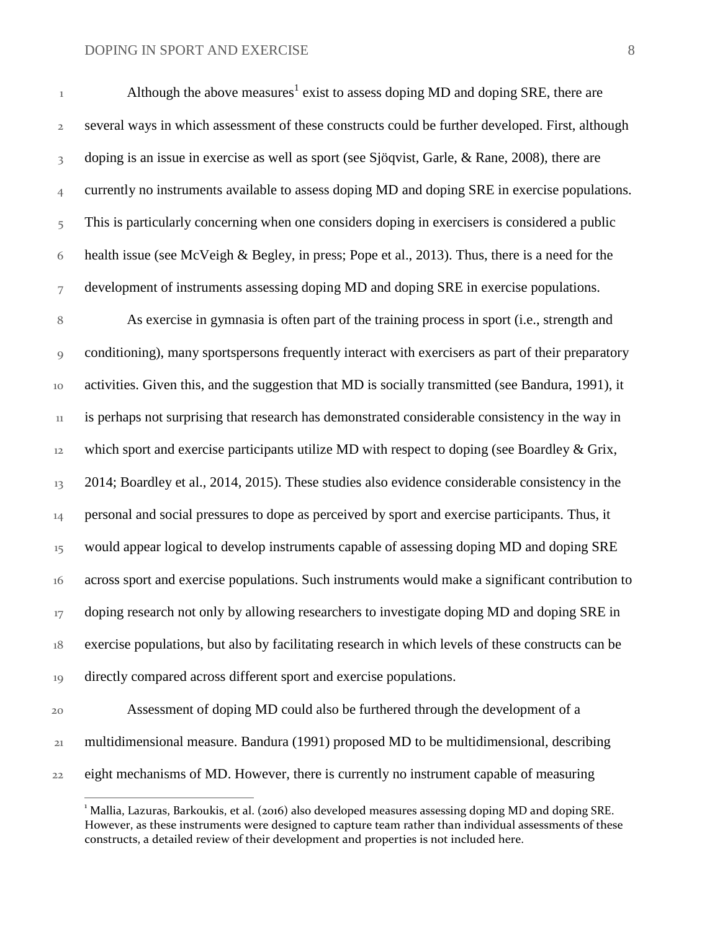several ways in which assessment of these constructs could be further developed. First, although doping is an issue in exercise as well as sport (see Sjöqvist, Garle, & Rane, 2008), there are currently no instruments available to assess doping MD and doping SRE in exercise populations. This is particularly concerning when one considers doping in exercisers is considered a public health issue (see McVeigh & Begley, in press; Pope et al., 2013). Thus, there is a need for the development of instruments assessing doping MD and doping SRE in exercise populations. As exercise in gymnasia is often part of the training process in sport (i.e., strength and

 conditioning), many sportspersons frequently interact with exercisers as part of their preparatory activities. Given this, and the suggestion that MD is socially transmitted (see Bandura, 1991), it is perhaps not surprising that research has demonstrated considerable consistency in the way in 12 which sport and exercise participants utilize MD with respect to doping (see Boardley  $\&$  Grix, 2014; Boardley et al., 2014, 2015). These studies also evidence considerable consistency in the personal and social pressures to dope as perceived by sport and exercise participants. Thus, it <sup>15</sup> would appear logical to develop instruments capable of assessing doping MD and doping SRE across sport and exercise populations. Such instruments would make a significant contribution to <sup>17</sup> doping research not only by allowing researchers to investigate doping MD and doping SRE in exercise populations, but also by facilitating research in which levels of these constructs can be directly compared across different sport and exercise populations.

 Assessment of doping MD could also be furthered through the development of a multidimensional measure. Bandura (1991) proposed MD to be multidimensional, describing eight mechanisms of MD. However, there is currently no instrument capable of measuring

 $\overline{a}$ 

 Mallia, Lazuras, Barkoukis, et al. (2016) also developed measures assessing doping MD and doping SRE. However, as these instruments were designed to capture team rather than individual assessments of these constructs, a detailed review of their development and properties is not included here.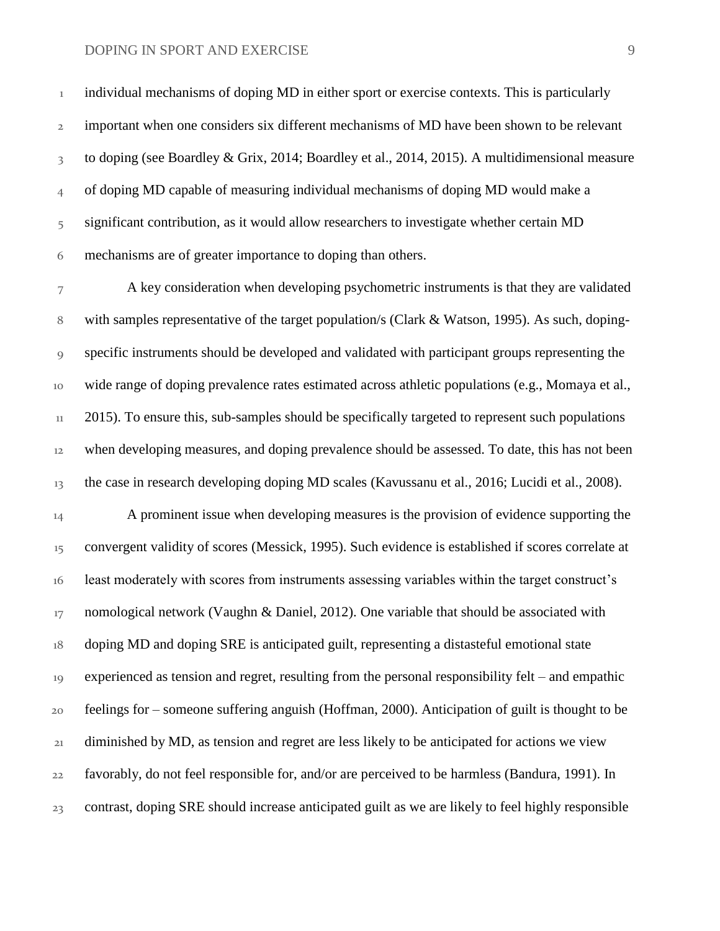<sup>1</sup> individual mechanisms of doping MD in either sport or exercise contexts. This is particularly important when one considers six different mechanisms of MD have been shown to be relevant 3 to doping (see Boardley & Grix, 2014; Boardley et al., 2014, 2015). A multidimensional measure of doping MD capable of measuring individual mechanisms of doping MD would make a 5 significant contribution, as it would allow researchers to investigate whether certain MD mechanisms are of greater importance to doping than others.

 A key consideration when developing psychometric instruments is that they are validated with samples representative of the target population/s (Clark & Watson, 1995). As such, doping- specific instruments should be developed and validated with participant groups representing the wide range of doping prevalence rates estimated across athletic populations (e.g., Momaya et al.,  $11 - 2015$ ). To ensure this, sub-samples should be specifically targeted to represent such populations when developing measures, and doping prevalence should be assessed. To date, this has not been the case in research developing doping MD scales (Kavussanu et al., 2016; Lucidi et al., 2008).

 A prominent issue when developing measures is the provision of evidence supporting the convergent validity of scores (Messick, 1995). Such evidence is established if scores correlate at least moderately with scores from instruments assessing variables within the target construct's nomological network (Vaughn & Daniel, 2012). One variable that should be associated with doping MD and doping SRE is anticipated guilt, representing a distasteful emotional state experienced as tension and regret, resulting from the personal responsibility felt – and empathic feelings for – someone suffering anguish (Hoffman, 2000). Anticipation of guilt is thought to be diminished by MD, as tension and regret are less likely to be anticipated for actions we view favorably, do not feel responsible for, and/or are perceived to be harmless (Bandura, 1991). In contrast, doping SRE should increase anticipated guilt as we are likely to feel highly responsible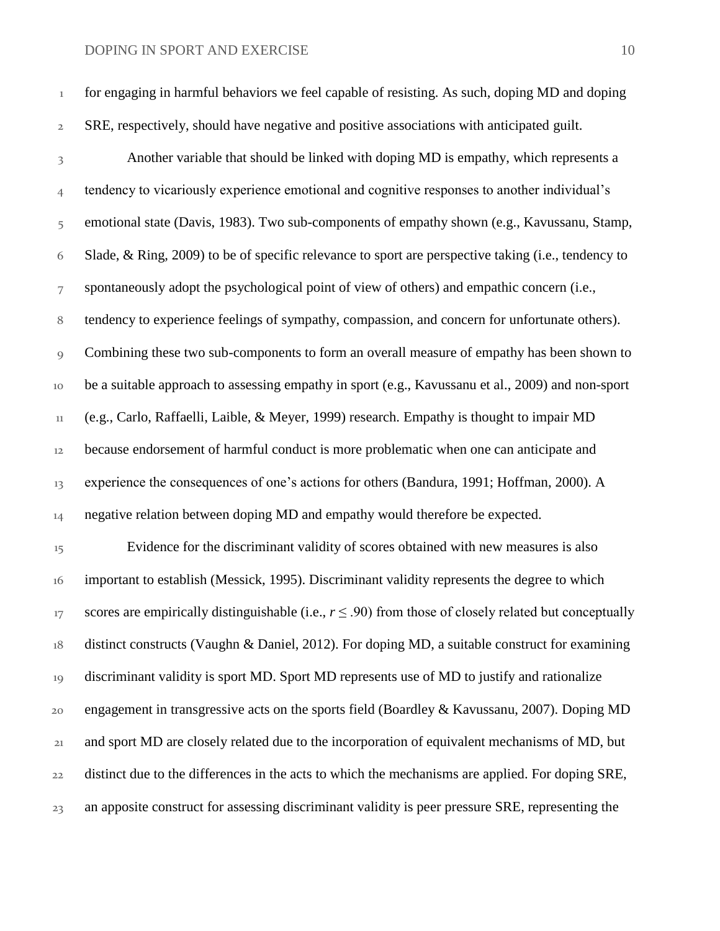| $\mathbf{1}$            | for engaging in harmful behaviors we feel capable of resisting. As such, doping MD and doping       |
|-------------------------|-----------------------------------------------------------------------------------------------------|
| $\overline{2}$          | SRE, respectively, should have negative and positive associations with anticipated guilt.           |
| $\overline{\mathbf{3}}$ | Another variable that should be linked with doping MD is empathy, which represents a                |
| $\overline{4}$          | tendency to vicariously experience emotional and cognitive responses to another individual's        |
| 5                       | emotional state (Davis, 1983). Two sub-components of empathy shown (e.g., Kavussanu, Stamp,         |
| 6                       | Slade, & Ring, 2009) to be of specific relevance to sport are perspective taking (i.e., tendency to |
| 7                       | spontaneously adopt the psychological point of view of others) and empathic concern (i.e.,          |
| 8                       | tendency to experience feelings of sympathy, compassion, and concern for unfortunate others).       |
| $\overline{Q}$          | Combining these two sub-components to form an overall measure of empathy has been shown to          |
| 10                      | be a suitable approach to assessing empathy in sport (e.g., Kavussanu et al., 2009) and non-sport   |
| $11\,$                  | (e.g., Carlo, Raffaelli, Laible, & Meyer, 1999) research. Empathy is thought to impair MD           |
| 12                      | because endorsement of harmful conduct is more problematic when one can anticipate and              |
|                         |                                                                                                     |

13 experience the consequences of one's actions for others (Bandura, 1991; Hoffman, 2000). A

14 negative relation between doping MD and empathy would therefore be expected.

15 Evidence for the discriminant validity of scores obtained with new measures is also important to establish (Messick, 1995). Discriminant validity represents the degree to which 17 scores are empirically distinguishable (i.e.,  $r \leq .90$ ) from those of closely related but conceptually distinct constructs (Vaughn & Daniel, 2012). For doping MD, a suitable construct for examining discriminant validity is sport MD. Sport MD represents use of MD to justify and rationalize engagement in transgressive acts on the sports field (Boardley & Kavussanu, 2007). Doping MD and sport MD are closely related due to the incorporation of equivalent mechanisms of MD, but distinct due to the differences in the acts to which the mechanisms are applied. For doping SRE, 23 an apposite construct for assessing discriminant validity is peer pressure SRE, representing the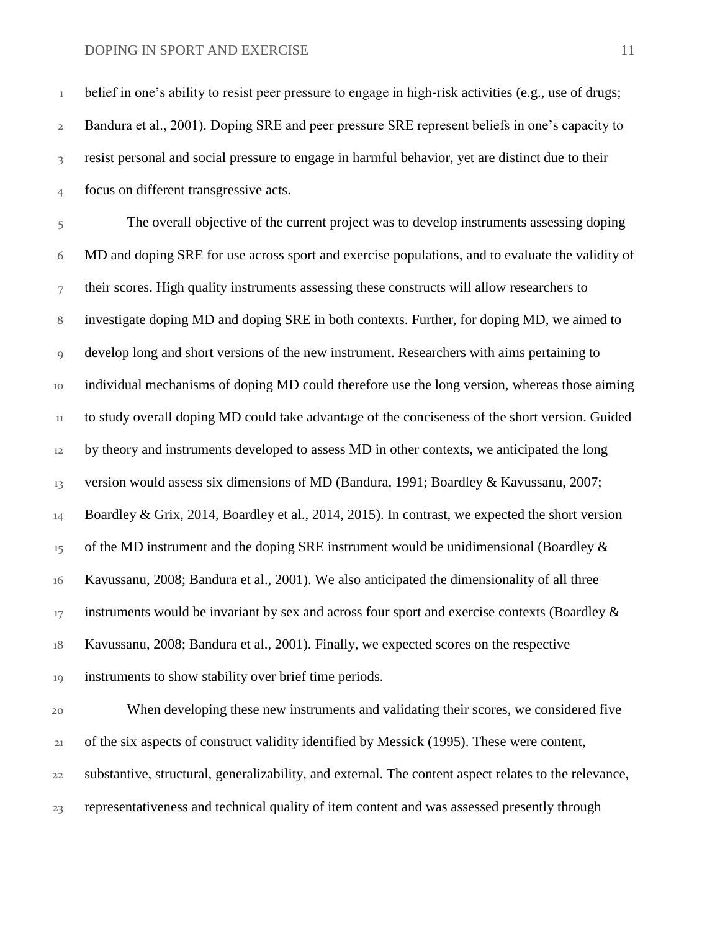<sup>1</sup> belief in one's ability to resist peer pressure to engage in high-risk activities (e.g., use of drugs; Bandura et al., 2001). Doping SRE and peer pressure SRE represent beliefs in one's capacity to resist personal and social pressure to engage in harmful behavior, yet are distinct due to their focus on different transgressive acts.

 The overall objective of the current project was to develop instruments assessing doping MD and doping SRE for use across sport and exercise populations, and to evaluate the validity of their scores. High quality instruments assessing these constructs will allow researchers to investigate doping MD and doping SRE in both contexts. Further, for doping MD, we aimed to develop long and short versions of the new instrument. Researchers with aims pertaining to individual mechanisms of doping MD could therefore use the long version, whereas those aiming to study overall doping MD could take advantage of the conciseness of the short version. Guided <sup>12</sup> by theory and instruments developed to assess MD in other contexts, we anticipated the long version would assess six dimensions of MD (Bandura, 1991; Boardley & Kavussanu, 2007; 14 Boardley & Grix, 2014, Boardley et al., 2014, 2015). In contrast, we expected the short version of the MD instrument and the doping SRE instrument would be unidimensional (Boardley  $\&$  Kavussanu, 2008; Bandura et al., 2001). We also anticipated the dimensionality of all three instruments would be invariant by sex and across four sport and exercise contexts (Boardley  $\&$  Kavussanu, 2008; Bandura et al., 2001). Finally, we expected scores on the respective instruments to show stability over brief time periods.

 When developing these new instruments and validating their scores, we considered five of the six aspects of construct validity identified by Messick (1995). These were content, substantive, structural, generalizability, and external. The content aspect relates to the relevance, representativeness and technical quality of item content and was assessed presently through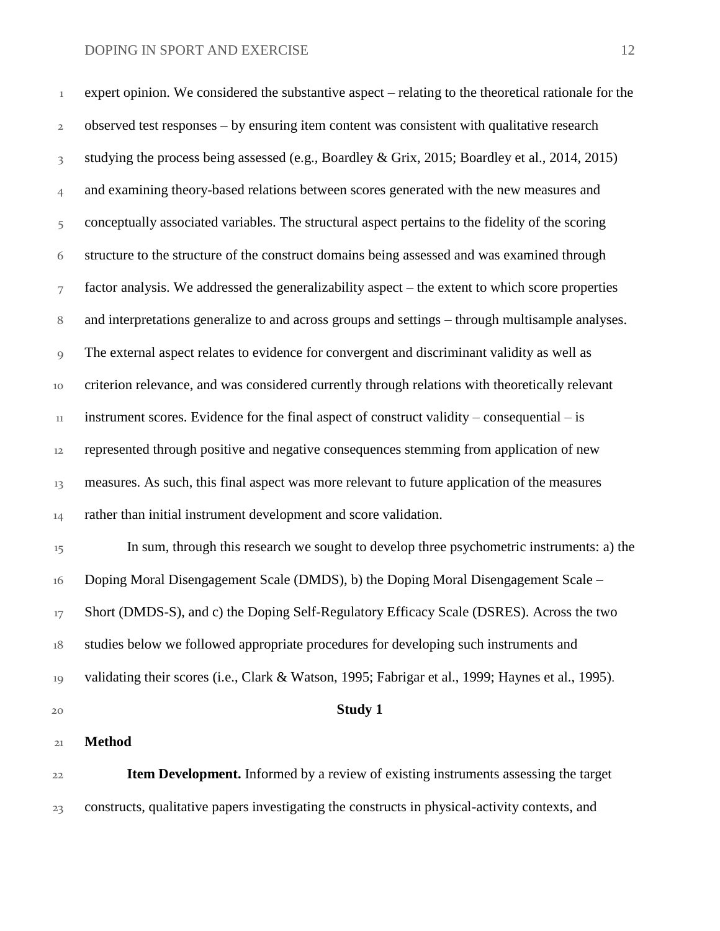expert opinion. We considered the substantive aspect – relating to the theoretical rationale for the observed test responses – by ensuring item content was consistent with qualitative research studying the process being assessed (e.g., Boardley & Grix, 2015; Boardley et al., 2014, 2015) and examining theory-based relations between scores generated with the new measures and conceptually associated variables. The structural aspect pertains to the fidelity of the scoring structure to the structure of the construct domains being assessed and was examined through factor analysis. We addressed the generalizability aspect – the extent to which score properties and interpretations generalize to and across groups and settings – through multisample analyses. The external aspect relates to evidence for convergent and discriminant validity as well as criterion relevance, and was considered currently through relations with theoretically relevant instrument scores. Evidence for the final aspect of construct validity – consequential – is represented through positive and negative consequences stemming from application of new 13 measures. As such, this final aspect was more relevant to future application of the measures 14 rather than initial instrument development and score validation.

 In sum, through this research we sought to develop three psychometric instruments: a) the Doping Moral Disengagement Scale (DMDS), b) the Doping Moral Disengagement Scale – Short (DMDS-S), and c) the Doping Self-Regulatory Efficacy Scale (DSRES). Across the two 18 studies below we followed appropriate procedures for developing such instruments and validating their scores (i.e., Clark & Watson, 1995; Fabrigar et al., 1999; Haynes et al., 1995).

**Study 1**

#### **Method**

 **Item Development.** Informed by a review of existing instruments assessing the target constructs, qualitative papers investigating the constructs in physical-activity contexts, and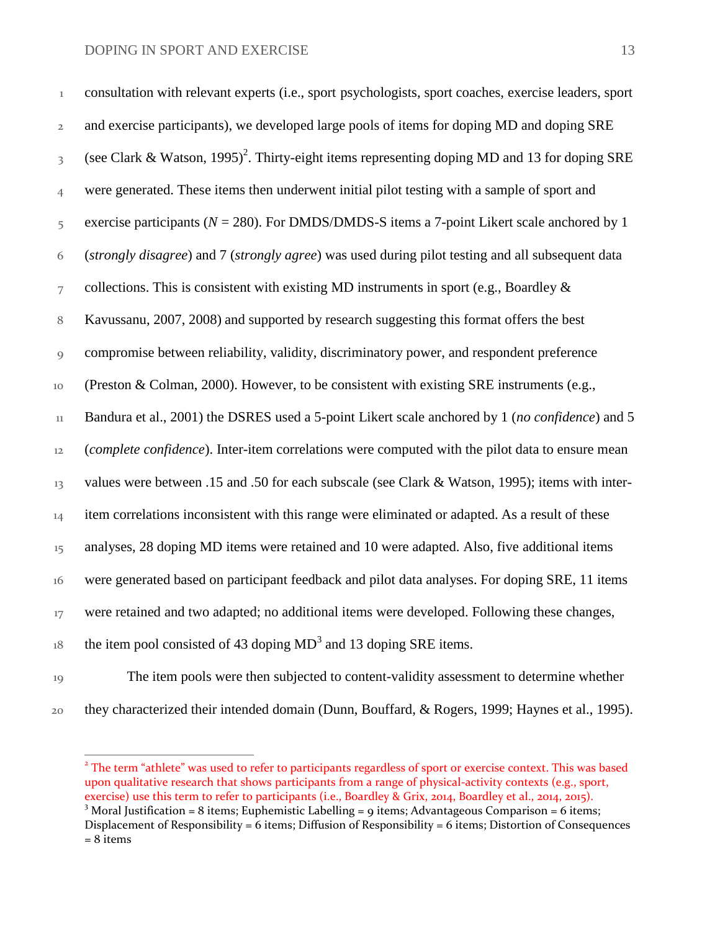| $\,1$                   | consultation with relevant experts (i.e., sport psychologists, sport coaches, exercise leaders, sport     |
|-------------------------|-----------------------------------------------------------------------------------------------------------|
| $\mathbf{2}$            | and exercise participants), we developed large pools of items for doping MD and doping SRE                |
| $\overline{\mathbf{3}}$ | (see Clark & Watson, 1995) <sup>2</sup> . Thirty-eight items representing doping MD and 13 for doping SRE |
| $\overline{4}$          | were generated. These items then underwent initial pilot testing with a sample of sport and               |
| 5                       | exercise participants ( $N = 280$ ). For DMDS/DMDS-S items a 7-point Likert scale anchored by 1           |
| 6                       | (strongly disagree) and 7 (strongly agree) was used during pilot testing and all subsequent data          |
| 7                       | collections. This is consistent with existing MD instruments in sport (e.g., Boardley $\&$                |
| $\, 8$                  | Kavussanu, 2007, 2008) and supported by research suggesting this format offers the best                   |
| 9                       | compromise between reliability, validity, discriminatory power, and respondent preference                 |
| 10                      | (Preston & Colman, 2000). However, to be consistent with existing SRE instruments (e.g.,                  |
| $11\,$                  | Bandura et al., 2001) the DSRES used a 5-point Likert scale anchored by 1 (no confidence) and 5           |
| 12                      | (complete confidence). Inter-item correlations were computed with the pilot data to ensure mean           |
| 13                      | values were between .15 and .50 for each subscale (see Clark & Watson, 1995); items with inter-           |
| 14                      | item correlations inconsistent with this range were eliminated or adapted. As a result of these           |
| 15                      | analyses, 28 doping MD items were retained and 10 were adapted. Also, five additional items               |
| 16                      | were generated based on participant feedback and pilot data analyses. For doping SRE, 11 items            |
| 17                      | were retained and two adapted; no additional items were developed. Following these changes,               |
| $18\,$                  | the item pool consisted of 43 doping MD <sup>3</sup> and 13 doping SRE items.                             |
| 10 <sup>°</sup>         | The item pools were then subjected to content-validity assessment to determine whether                    |

 The item pools were then subjected to content-validity assessment to determine whether they characterized their intended domain (Dunn, Bouffard, & Rogers, 1999; Haynes et al., 1995).

 2 The term "athlete" was used to refer to participants regardless of sport or exercise context. This was based upon qualitative research that shows participants from a range of physical-activity contexts (e.g., sport, exercise) use this term to refer to participants (i.e., Boardley & Grix, 2014, Boardley et al., 2014, 2015). Moral Justification = 8 items; Euphemistic Labelling = 9 items; Advantageous Comparison = 6 items; Displacement of Responsibility = items; Diffusion of Responsibility =  $6$  items; Distortion of Consequences  $= 8$  items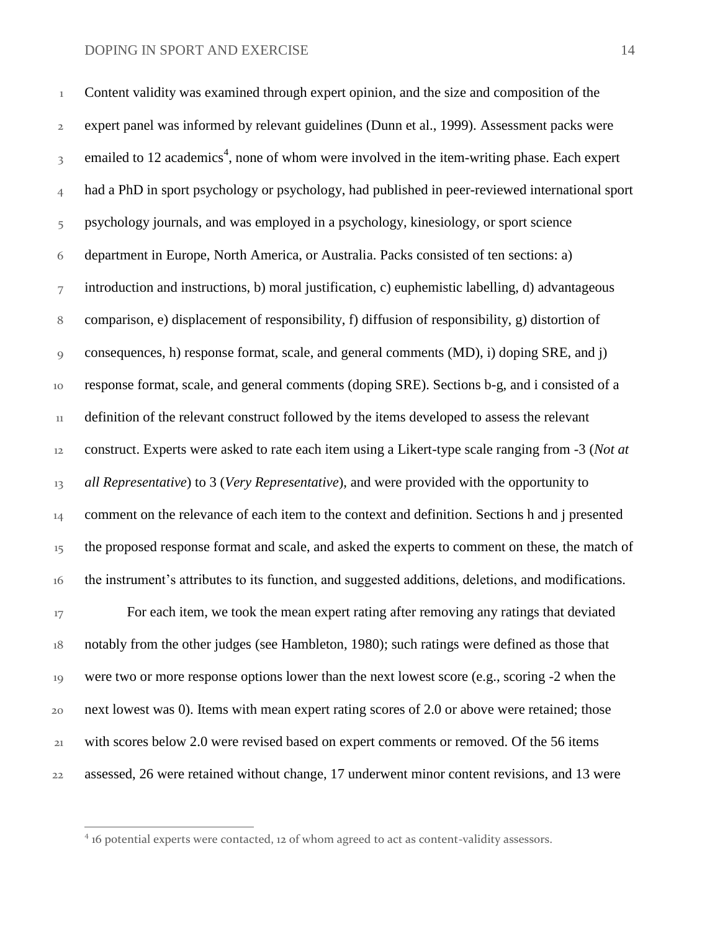Content validity was examined through expert opinion, and the size and composition of the expert panel was informed by relevant guidelines (Dunn et al., 1999). Assessment packs were  $3<sub>3</sub>$  emailed to 12 academics<sup>4</sup>, none of whom were involved in the item-writing phase. Each expert had a PhD in sport psychology or psychology, had published in peer-reviewed international sport psychology journals, and was employed in a psychology, kinesiology, or sport science department in Europe, North America, or Australia. Packs consisted of ten sections: a) introduction and instructions, b) moral justification, c) euphemistic labelling, d) advantageous comparison, e) displacement of responsibility, f) diffusion of responsibility, g) distortion of consequences, h) response format, scale, and general comments (MD), i) doping SRE, and j) response format, scale, and general comments (doping SRE). Sections b-g, and i consisted of a definition of the relevant construct followed by the items developed to assess the relevant construct. Experts were asked to rate each item using a Likert-type scale ranging from -3 (*Not at all Representative*) to 3 (*Very Representative*), and were provided with the opportunity to <sup>14</sup> comment on the relevance of each item to the context and definition. Sections h and j presented <sup>15</sup> the proposed response format and scale, and asked the experts to comment on these, the match of the instrument's attributes to its function, and suggested additions, deletions, and modifications. <sup>17</sup> For each item, we took the mean expert rating after removing any ratings that deviated

 notably from the other judges (see Hambleton, 1980); such ratings were defined as those that were two or more response options lower than the next lowest score (e.g., scoring -2 when the next lowest was 0). Items with mean expert rating scores of 2.0 or above were retained; those with scores below 2.0 were revised based on expert comments or removed. Of the 56 items assessed, 26 were retained without change, 17 underwent minor content revisions, and 13 were

 $\overline{a}$ 

<sup>&</sup>lt;sup>4</sup> 16 potential experts were contacted, 12 of whom agreed to act as content-validity assessors.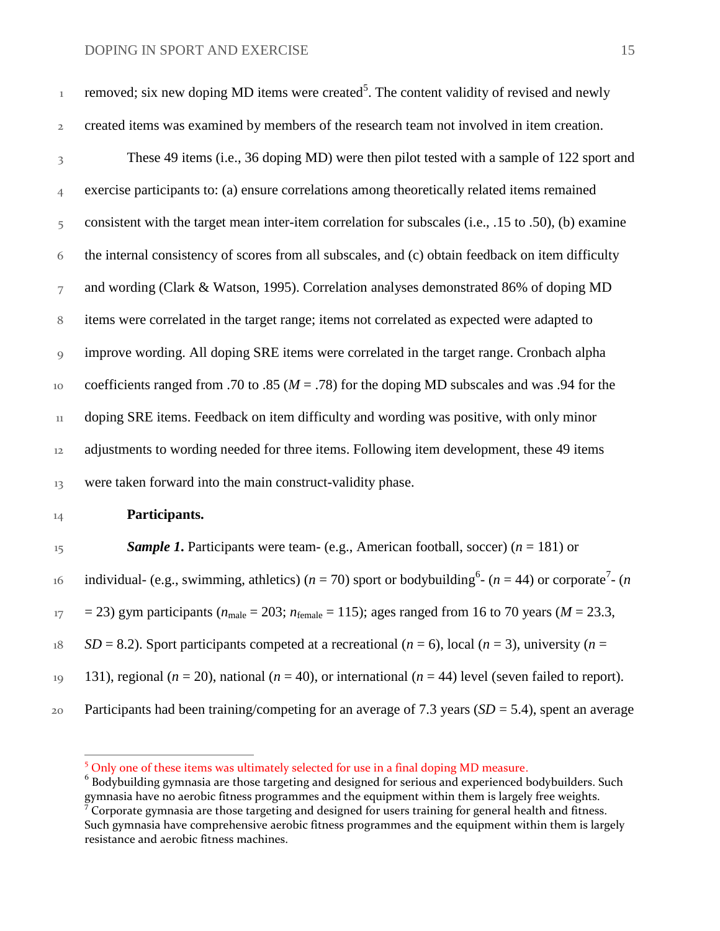| $\,1$                   | removed; six new doping MD items were created <sup>5</sup> . The content validity of revised and newly                                   |
|-------------------------|------------------------------------------------------------------------------------------------------------------------------------------|
| $\overline{2}$          | created items was examined by members of the research team not involved in item creation.                                                |
| $\overline{\mathbf{3}}$ | These 49 items (i.e., 36 doping MD) were then pilot tested with a sample of 122 sport and                                                |
| $\overline{4}$          | exercise participants to: (a) ensure correlations among theoretically related items remained                                             |
| 5                       | consistent with the target mean inter-item correlation for subscales (i.e., .15 to .50), (b) examine                                     |
| 6                       | the internal consistency of scores from all subscales, and (c) obtain feedback on item difficulty                                        |
| $\overline{7}$          | and wording (Clark & Watson, 1995). Correlation analyses demonstrated 86% of doping MD                                                   |
| $\,8\,$                 | items were correlated in the target range; items not correlated as expected were adapted to                                              |
| 9                       | improve wording. All doping SRE items were correlated in the target range. Cronbach alpha                                                |
| 10                      | coefficients ranged from .70 to .85 ( $M = .78$ ) for the doping MD subscales and was .94 for the                                        |
| $11\,$                  | doping SRE items. Feedback on item difficulty and wording was positive, with only minor                                                  |
| 12                      | adjustments to wording needed for three items. Following item development, these 49 items                                                |
| 13                      | were taken forward into the main construct-validity phase.                                                                               |
| 14                      | Participants.                                                                                                                            |
| 15                      | <b>Sample 1.</b> Participants were team- (e.g., American football, soccer) ( $n = 181$ ) or                                              |
| 16                      | individual- (e.g., swimming, athletics) ( $n = 70$ ) sport or bodybuilding <sup>6</sup> - ( $n = 44$ ) or corporate <sup>7</sup> - ( $n$ |
| $17\,$                  | = 23) gym participants ( $n_{\text{male}}$ = 203; $n_{\text{female}}$ = 115); ages ranged from 16 to 70 years ( $M = 23.3$ ,             |
| 18                      | $SD = 8.2$ ). Sport participants competed at a recreational ( $n = 6$ ), local ( $n = 3$ ), university ( $n =$                           |
| 19                      | 131), regional ( $n = 20$ ), national ( $n = 40$ ), or international ( $n = 44$ ) level (seven failed to report).                        |

Participants had been training/competing for an average of 7.3 years (*SD* = 5.4), spent an average

 $\overline{a}$ 

<sup>&</sup>lt;sup>5</sup> Only one of these items was ultimately selected for use in a final doping MD measure.

 $^6$  Bodybuilding gymnasia are those targeting and designed for serious and experienced bodybuilders. Such gymnasia have no aerobic fitness programmes and the equipment within them is largely free weights.<br><sup>7</sup> Corporate gymnasia are those targeting and designed for users training for general health and fitness. Such gymnasia have comprehensive aerobic fitness programmes and the equipment within them is largely resistance and aerobic fitness machines.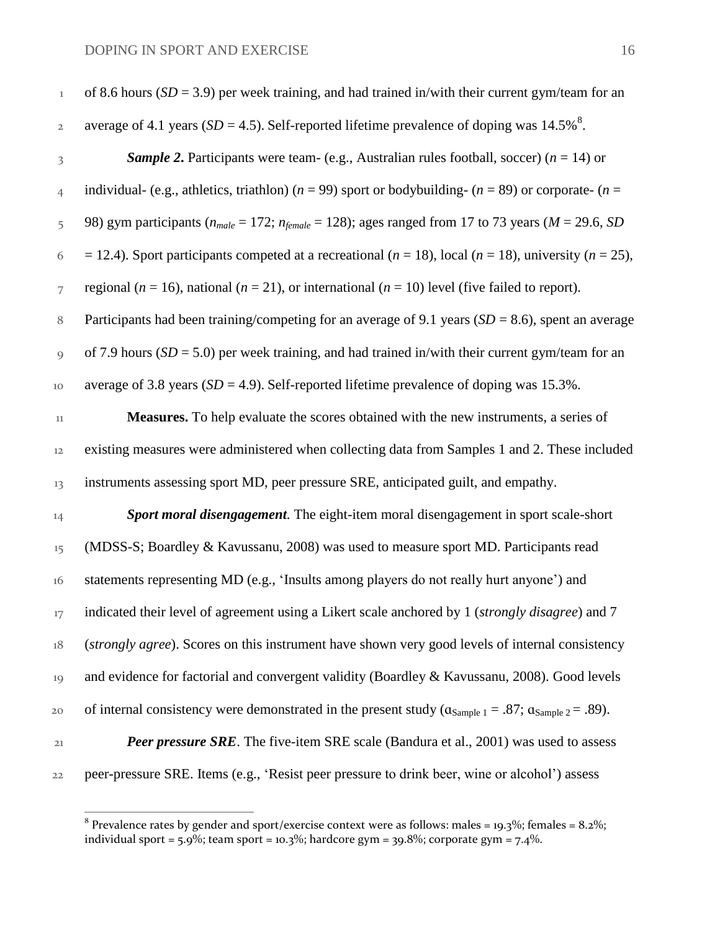| $1\,$                   | of 8.6 hours ( $SD = 3.9$ ) per week training, and had trained in/with their current gym/team for an                        |
|-------------------------|-----------------------------------------------------------------------------------------------------------------------------|
| $\mathbf{2}$            | average of 4.1 years ( $SD = 4.5$ ). Self-reported lifetime prevalence of doping was 14.5% <sup>8</sup> .                   |
| $\overline{\mathbf{3}}$ | <b>Sample 2.</b> Participants were team- (e.g., Australian rules football, soccer) ( $n = 14$ ) or                          |
| $\overline{4}$          | individual- (e.g., athletics, triathlon) ( $n = 99$ ) sport or bodybuilding- ( $n = 89$ ) or corporate- ( $n =$             |
| 5                       | 98) gym participants ( $n_{male} = 172$ ; $n_{female} = 128$ ); ages ranged from 17 to 73 years ( $M = 29.6$ , SD           |
| 6                       | = 12.4). Sport participants competed at a recreational ( $n = 18$ ), local ( $n = 18$ ), university ( $n = 25$ ),           |
| $\overline{7}$          | regional ( $n = 16$ ), national ( $n = 21$ ), or international ( $n = 10$ ) level (five failed to report).                  |
| 8                       | Participants had been training/competing for an average of 9.1 years ( $SD = 8.6$ ), spent an average                       |
| 9                       | of 7.9 hours ( $SD = 5.0$ ) per week training, and had trained in/with their current gym/team for an                        |
| 10                      | average of 3.8 years ( $SD = 4.9$ ). Self-reported lifetime prevalence of doping was 15.3%.                                 |
| $_{11}$                 | <b>Measures.</b> To help evaluate the scores obtained with the new instruments, a series of                                 |
| 12                      | existing measures were administered when collecting data from Samples 1 and 2. These included                               |
| 13                      | instruments assessing sport MD, peer pressure SRE, anticipated guilt, and empathy.                                          |
| 14                      | Sport moral disengagement. The eight-item moral disengagement in sport scale-short                                          |
| 15                      | (MDSS-S; Boardley & Kavussanu, 2008) was used to measure sport MD. Participants read                                        |
| 16                      | statements representing MD (e.g., 'Insults among players do not really hurt anyone') and                                    |
| 17                      | indicated their level of agreement using a Likert scale anchored by 1 ( <i>strongly disagree</i> ) and 7                    |
| $18\,$                  | (strongly agree). Scores on this instrument have shown very good levels of internal consistency                             |
| 19                      | and evidence for factorial and convergent validity (Boardley & Kavussanu, 2008). Good levels                                |
| 20                      | of internal consistency were demonstrated in the present study ( $\alpha_{Sample\ 1} = .87$ ; $\alpha_{Sample\ 2} = .89$ ). |
| 21                      | <b>Peer pressure SRE.</b> The five-item SRE scale (Bandura et al., 2001) was used to assess                                 |
| 22                      | peer-pressure SRE. Items (e.g., 'Resist peer pressure to drink beer, wine or alcohol') assess                               |

 $^8$  Prevalence rates by gender and sport/exercise context were as follows: males = 19.3%; females = 8.2%; individual sport = 5.9%; team sport = 10.3%; hardcore gym = 39.8%; corporate gym = 7.4%.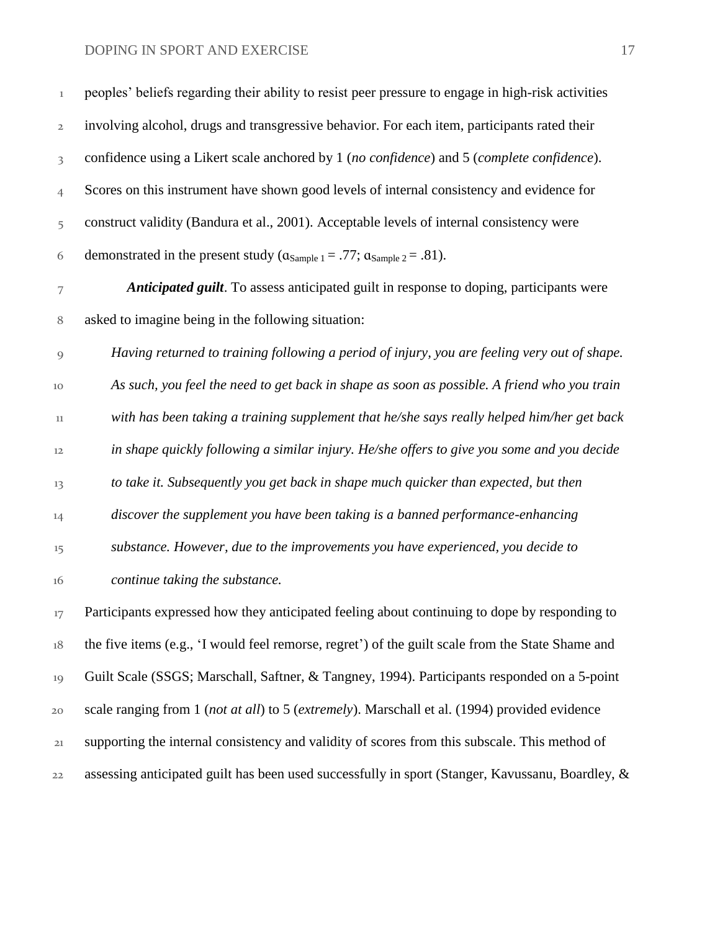| $\!1$                   | peoples' beliefs regarding their ability to resist peer pressure to engage in high-risk activities |
|-------------------------|----------------------------------------------------------------------------------------------------|
| $\mathfrak{2}$          | involving alcohol, drugs and transgressive behavior. For each item, participants rated their       |
| $\overline{\mathbf{3}}$ | confidence using a Likert scale anchored by 1 (no confidence) and 5 (complete confidence).         |
| $\overline{4}$          | Scores on this instrument have shown good levels of internal consistency and evidence for          |
| 5                       | construct validity (Bandura et al., 2001). Acceptable levels of internal consistency were          |
| 6                       | demonstrated in the present study ( $\alpha_{Sample\ 1} = .77$ ; $\alpha_{Sample\ 2} = .81$ ).     |
| $\overline{7}$          | Anticipated guilt. To assess anticipated guilt in response to doping, participants were            |
| $\, 8$                  | asked to imagine being in the following situation:                                                 |
| $\mathcal{G}$           | Having returned to training following a period of injury, you are feeling very out of shape.       |
| 10                      | As such, you feel the need to get back in shape as soon as possible. A friend who you train        |
| $11\,$                  | with has been taking a training supplement that he/she says really helped him/her get back         |
| 12                      | in shape quickly following a similar injury. He/she offers to give you some and you decide         |
| 13                      | to take it. Subsequently you get back in shape much quicker than expected, but then                |
| 14                      | discover the supplement you have been taking is a banned performance-enhancing                     |
| 15                      | substance. However, due to the improvements you have experienced, you decide to                    |
| 16                      | continue taking the substance.                                                                     |
| 17                      | Participants expressed how they anticipated feeling about continuing to dope by responding to      |
| $18\,$                  | the five items (e.g., 'I would feel remorse, regret') of the guilt scale from the State Shame and  |
| 19                      | Guilt Scale (SSGS; Marschall, Saftner, & Tangney, 1994). Participants responded on a 5-point       |
| 20                      | scale ranging from 1 (not at all) to 5 (extremely). Marschall et al. (1994) provided evidence      |
| 21                      | supporting the internal consistency and validity of scores from this subscale. This method of      |
| 22                      | assessing anticipated guilt has been used successfully in sport (Stanger, Kavussanu, Boardley, &   |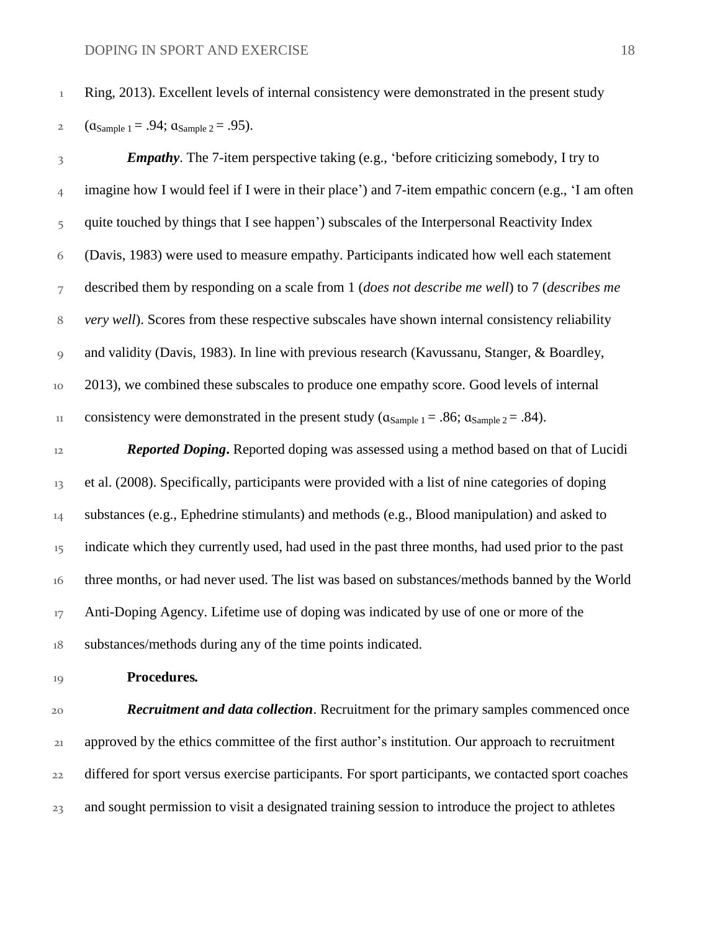2  $(a_{Sample 1} = .94; a_{Sample 2} = .95)$ .

 *Empathy*. The 7-item perspective taking (e.g., 'before criticizing somebody, I try to imagine how I would feel if I were in their place') and 7-item empathic concern (e.g., 'I am often 5 quite touched by things that I see happen') subscales of the Interpersonal Reactivity Index (Davis, 1983) were used to measure empathy. Participants indicated how well each statement described them by responding on a scale from 1 (*does not describe me well*) to 7 (*describes me very well*). Scores from these respective subscales have shown internal consistency reliability and validity (Davis, 1983). In line with previous research (Kavussanu, Stanger, & Boardley, 2013), we combined these subscales to produce one empathy score. Good levels of internal 11 consistency were demonstrated in the present study ( $\alpha_{Sample 1} = .86$ ;  $\alpha_{Sample 2} = .84$ ).

 *Reported Doping***.** Reported doping was assessed using a method based on that of Lucidi et al. (2008). Specifically, participants were provided with a list of nine categories of doping substances (e.g., Ephedrine stimulants) and methods (e.g., Blood manipulation) and asked to <sup>15</sup> indicate which they currently used, had used in the past three months, had used prior to the past three months, or had never used. The list was based on substances/methods banned by the World <sup>17</sup> Anti-Doping Agency. Lifetime use of doping was indicated by use of one or more of the substances/methods during any of the time points indicated.

#### **Procedures***.*

 *Recruitment and data collection*. Recruitment for the primary samples commenced once approved by the ethics committee of the first author's institution. Our approach to recruitment differed for sport versus exercise participants. For sport participants, we contacted sport coaches 23 and sought permission to visit a designated training session to introduce the project to athletes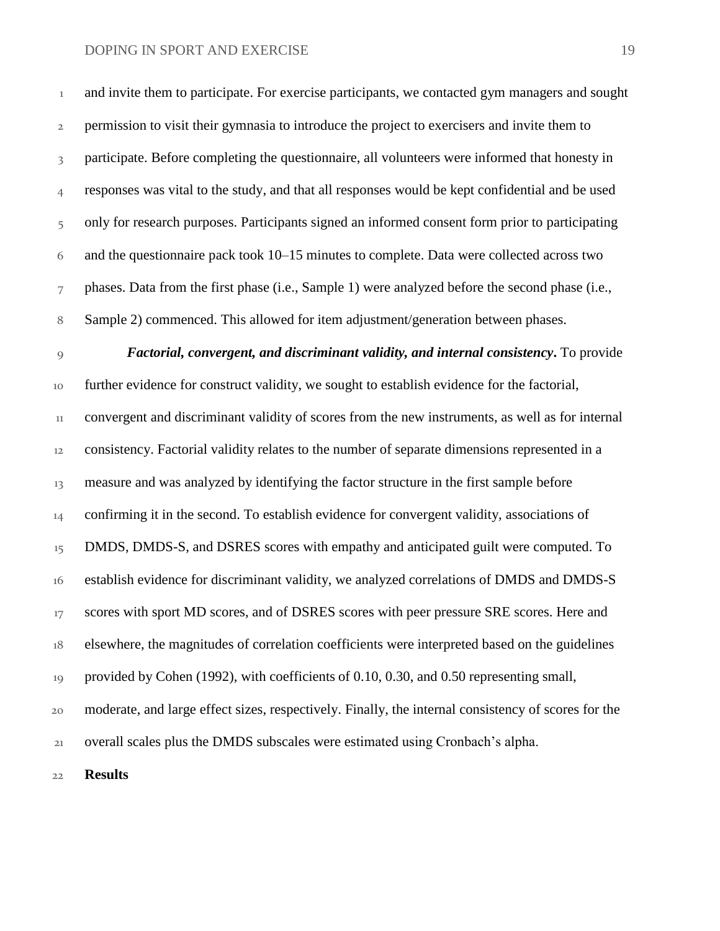and invite them to participate. For exercise participants, we contacted gym managers and sought <sup>2</sup> permission to visit their gymnasia to introduce the project to exercisers and invite them to 3 participate. Before completing the questionnaire, all volunteers were informed that honesty in responses was vital to the study, and that all responses would be kept confidential and be used only for research purposes. Participants signed an informed consent form prior to participating and the questionnaire pack took 10–15 minutes to complete. Data were collected across two

phases. Data from the first phase (i.e., Sample 1) were analyzed before the second phase (i.e.,

Sample 2) commenced. This allowed for item adjustment/generation between phases.

 *Factorial, convergent, and discriminant validity, and internal consistency***.** To provide further evidence for construct validity, we sought to establish evidence for the factorial, convergent and discriminant validity of scores from the new instruments, as well as for internal consistency. Factorial validity relates to the number of separate dimensions represented in a measure and was analyzed by identifying the factor structure in the first sample before 14 confirming it in the second. To establish evidence for convergent validity, associations of <sup>15</sup> DMDS, DMDS-S, and DSRES scores with empathy and anticipated guilt were computed. To establish evidence for discriminant validity, we analyzed correlations of DMDS and DMDS-S <sup>17</sup> scores with sport MD scores, and of DSRES scores with peer pressure SRE scores. Here and elsewhere, the magnitudes of correlation coefficients were interpreted based on the guidelines provided by Cohen (1992), with coefficients of 0.10, 0.30, and 0.50 representing small, moderate, and large effect sizes, respectively. Finally, the internal consistency of scores for the overall scales plus the DMDS subscales were estimated using Cronbach's alpha.

**Results**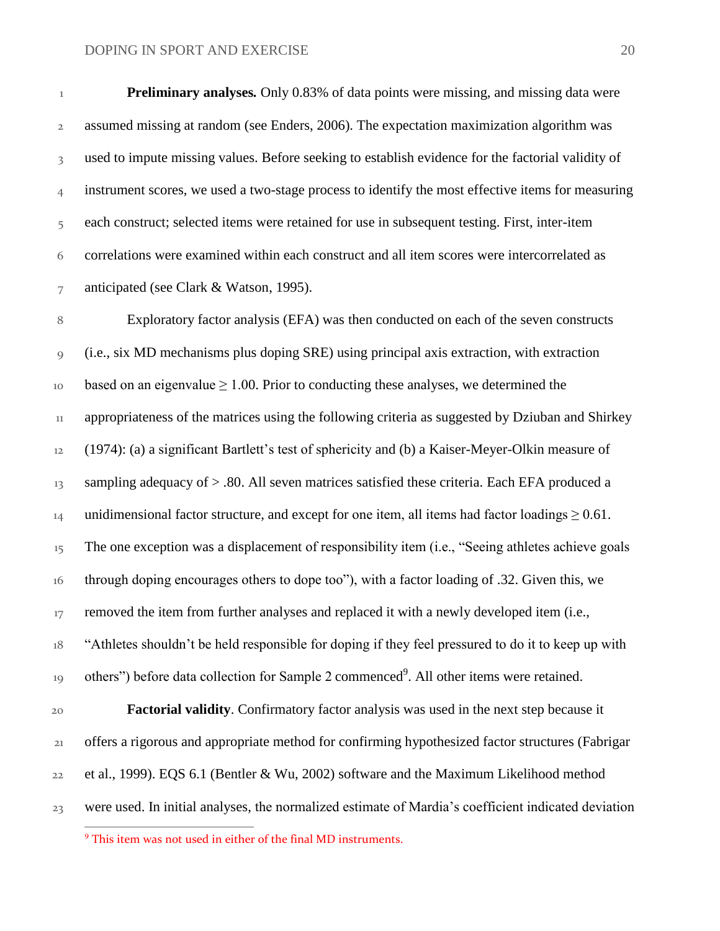**Preliminary analyses***.* Only 0.83% of data points were missing, and missing data were assumed missing at random (see Enders, 2006). The expectation maximization algorithm was 3 used to impute missing values. Before seeking to establish evidence for the factorial validity of instrument scores, we used a two-stage process to identify the most effective items for measuring each construct; selected items were retained for use in subsequent testing. First, inter-item correlations were examined within each construct and all item scores were intercorrelated as anticipated (see Clark & Watson, 1995).

8 Exploratory factor analysis (EFA) was then conducted on each of the seven constructs 9 (i.e., six MD mechanisms plus doping SRE) using principal axis extraction, with extraction  $_{10}$  based on an eigenvalue  $\geq 1.00$ . Prior to conducting these analyses, we determined the 11 appropriateness of the matrices using the following criteria as suggested by Dziuban and Shirkey 12 (1974): (a) a significant Bartlett's test of sphericity and (b) a Kaiser-Meyer-Olkin measure of 13 sampling adequacy of > .80. All seven matrices satisfied these criteria. Each EFA produced a 14 unidimensional factor structure, and except for one item, all items had factor loadings  $\geq 0.61$ . <sup>15</sup> The one exception was a displacement of responsibility item (i.e., "Seeing athletes achieve goals 16 through doping encourages others to dope too"), with a factor loading of .32. Given this, we <sup>17</sup> removed the item from further analyses and replaced it with a newly developed item (i.e., 18 "Athletes shouldn't be held responsible for doping if they feel pressured to do it to keep up with 19 others") before data collection for Sample 2 commenced<sup>9</sup>. All other items were retained. 20 **Factorial validity**. Confirmatory factor analysis was used in the next step because it 21 offers a rigorous and appropriate method for confirming hypothesized factor structures (Fabrigar 22 et al., 1999). EQS 6.1 (Bentler & Wu, 2002) software and the Maximum Likelihood method 23 were used. In initial analyses, the normalized estimate of Mardia's coefficient indicated deviation

 $\overline{a}$ 

<sup>&</sup>lt;sup>9</sup> This item was not used in either of the final MD instruments.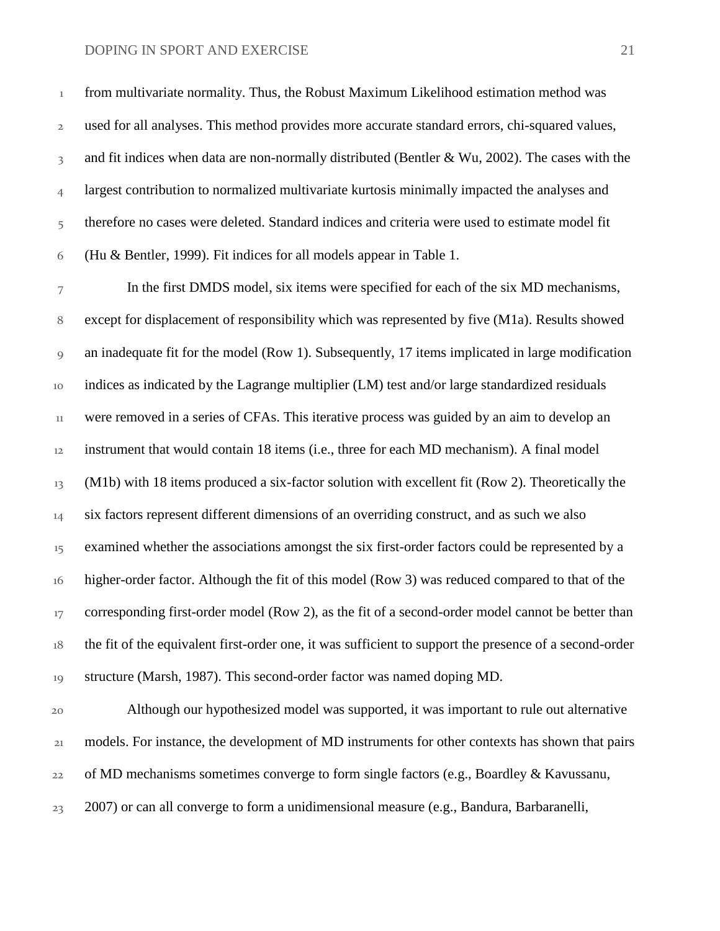from multivariate normality. Thus, the Robust Maximum Likelihood estimation method was used for all analyses. This method provides more accurate standard errors, chi-squared values, 3 and fit indices when data are non-normally distributed (Bentler & Wu, 2002). The cases with the 4 largest contribution to normalized multivariate kurtosis minimally impacted the analyses and 5 therefore no cases were deleted. Standard indices and criteria were used to estimate model fit (Hu & Bentler, 1999). Fit indices for all models appear in Table 1.

 In the first DMDS model, six items were specified for each of the six MD mechanisms, except for displacement of responsibility which was represented by five (M1a). Results showed an inadequate fit for the model (Row 1). Subsequently, 17 items implicated in large modification indices as indicated by the Lagrange multiplier (LM) test and/or large standardized residuals were removed in a series of CFAs. This iterative process was guided by an aim to develop an instrument that would contain 18 items (i.e., three for each MD mechanism). A final model (M1b) with 18 items produced a six-factor solution with excellent fit (Row 2). Theoretically the <sup>14</sup> six factors represent different dimensions of an overriding construct, and as such we also <sup>15</sup> examined whether the associations amongst the six first-order factors could be represented by a higher-order factor. Although the fit of this model (Row 3) was reduced compared to that of the 17 corresponding first-order model (Row 2), as the fit of a second-order model cannot be better than the fit of the equivalent first-order one, it was sufficient to support the presence of a second-order structure (Marsh, 1987). This second-order factor was named doping MD.

 Although our hypothesized model was supported, it was important to rule out alternative models. For instance, the development of MD instruments for other contexts has shown that pairs  $22\sigma$  of MD mechanisms sometimes converge to form single factors (e.g., Boardley & Kavussanu, 2007) or can all converge to form a unidimensional measure (e.g., Bandura, Barbaranelli,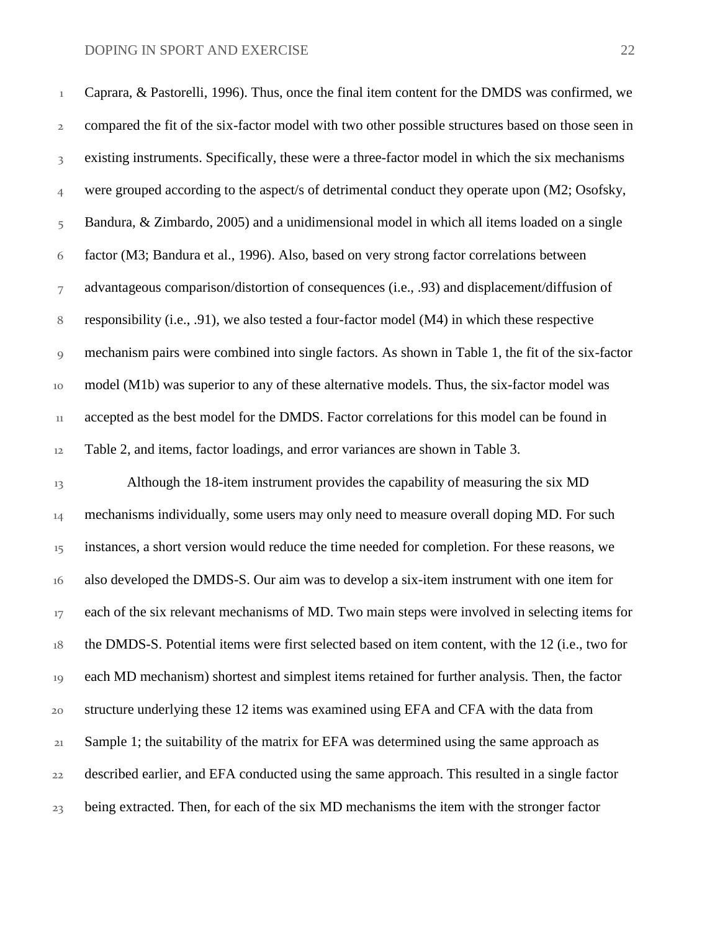Caprara, & Pastorelli, 1996). Thus, once the final item content for the DMDS was confirmed, we compared the fit of the six-factor model with two other possible structures based on those seen in existing instruments. Specifically, these were a three-factor model in which the six mechanisms were grouped according to the aspect/s of detrimental conduct they operate upon (M2; Osofsky, 5 Bandura, & Zimbardo, 2005) and a unidimensional model in which all items loaded on a single factor (M3; Bandura et al., 1996). Also, based on very strong factor correlations between advantageous comparison/distortion of consequences (i.e., .93) and displacement/diffusion of responsibility (i.e., .91), we also tested a four-factor model (M4) in which these respective mechanism pairs were combined into single factors. As shown in Table 1, the fit of the six-factor model (M1b) was superior to any of these alternative models. Thus, the six-factor model was <sup>11</sup> accepted as the best model for the DMDS. Factor correlations for this model can be found in Table 2, and items, factor loadings, and error variances are shown in Table 3.

13 Although the 18-item instrument provides the capability of measuring the six MD <sup>14</sup> mechanisms individually, some users may only need to measure overall doping MD. For such <sup>15</sup> instances, a short version would reduce the time needed for completion. For these reasons, we also developed the DMDS-S. Our aim was to develop a six-item instrument with one item for <sup>17</sup> each of the six relevant mechanisms of MD. Two main steps were involved in selecting items for the DMDS-S. Potential items were first selected based on item content, with the 12 (i.e., two for each MD mechanism) shortest and simplest items retained for further analysis. Then, the factor structure underlying these 12 items was examined using EFA and CFA with the data from Sample 1; the suitability of the matrix for EFA was determined using the same approach as described earlier, and EFA conducted using the same approach. This resulted in a single factor <sup>23</sup> being extracted. Then, for each of the six MD mechanisms the item with the stronger factor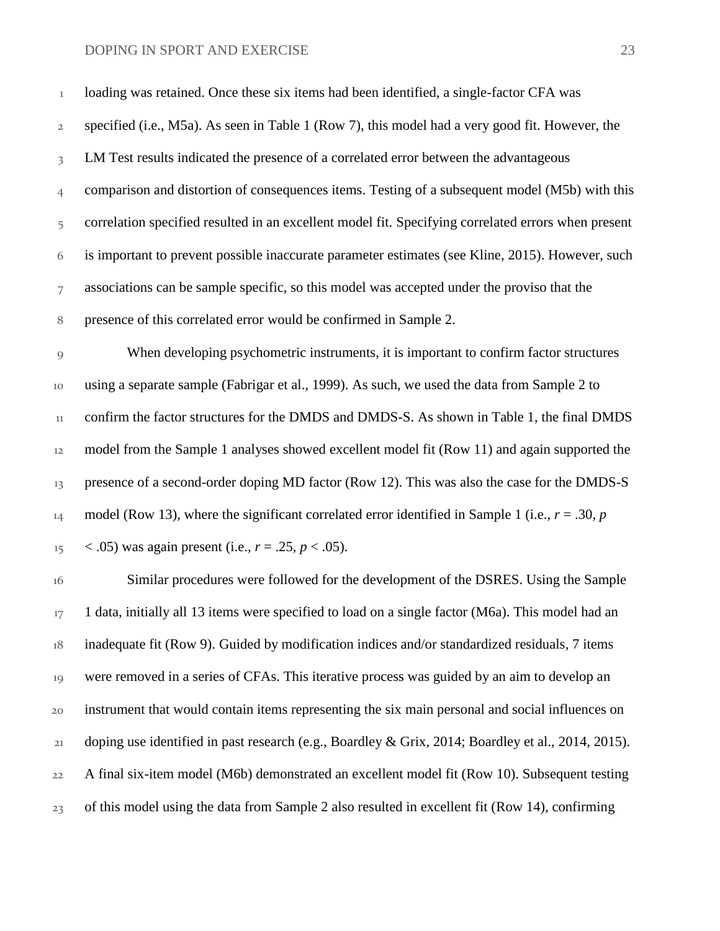loading was retained. Once these six items had been identified, a single-factor CFA was specified (i.e., M5a). As seen in Table 1 (Row 7), this model had a very good fit. However, the LM Test results indicated the presence of a correlated error between the advantageous comparison and distortion of consequences items. Testing of a subsequent model (M5b) with this 5 correlation specified resulted in an excellent model fit. Specifying correlated errors when present is important to prevent possible inaccurate parameter estimates (see Kline, 2015). However, such associations can be sample specific, so this model was accepted under the proviso that the presence of this correlated error would be confirmed in Sample 2. When developing psychometric instruments, it is important to confirm factor structures using a separate sample (Fabrigar et al., 1999). As such, we used the data from Sample 2 to 11 confirm the factor structures for the DMDS and DMDS-S. As shown in Table 1, the final DMDS model from the Sample 1 analyses showed excellent model fit (Row 11) and again supported the

13 presence of a second-order doping MD factor (Row 12). This was also the case for the DMDS-S 14 model (Row 13), where the significant correlated error identified in Sample 1 (i.e.,  $r = .30$ ,  $p = 0$  $15 \times .05$ ) was again present (i.e.,  $r = .25$ ,  $p < .05$ ).

 Similar procedures were followed for the development of the DSRES. Using the Sample  $17 - 1$  data, initially all 13 items were specified to load on a single factor (M6a). This model had an inadequate fit (Row 9). Guided by modification indices and/or standardized residuals, 7 items were removed in a series of CFAs. This iterative process was guided by an aim to develop an instrument that would contain items representing the six main personal and social influences on doping use identified in past research (e.g., Boardley & Grix, 2014; Boardley et al., 2014, 2015). A final six-item model (M6b) demonstrated an excellent model fit (Row 10). Subsequent testing of this model using the data from Sample 2 also resulted in excellent fit (Row 14), confirming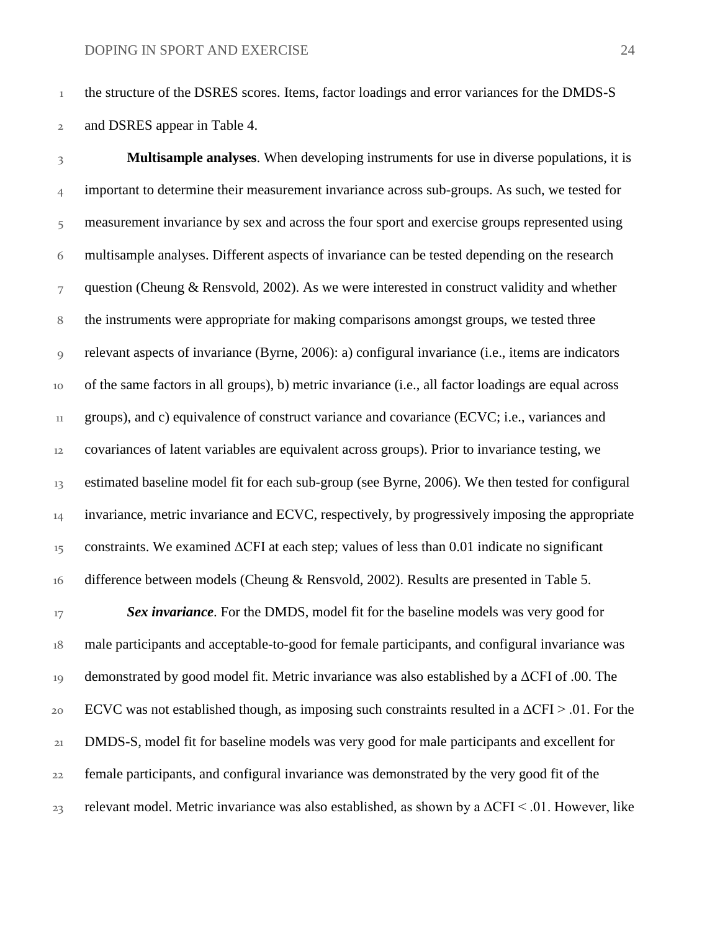<sup>1</sup> the structure of the DSRES scores. Items, factor loadings and error variances for the DMDS-S and DSRES appear in Table 4.

 **Multisample analyses**. When developing instruments for use in diverse populations, it is <sup>4</sup> important to determine their measurement invariance across sub-groups. As such, we tested for 5 measurement invariance by sex and across the four sport and exercise groups represented using multisample analyses. Different aspects of invariance can be tested depending on the research question (Cheung & Rensvold, 2002). As we were interested in construct validity and whether the instruments were appropriate for making comparisons amongst groups, we tested three relevant aspects of invariance (Byrne, 2006): a) configural invariance (i.e., items are indicators of the same factors in all groups), b) metric invariance (i.e., all factor loadings are equal across groups), and c) equivalence of construct variance and covariance (ECVC; i.e., variances and covariances of latent variables are equivalent across groups). Prior to invariance testing, we estimated baseline model fit for each sub-group (see Byrne, 2006). We then tested for configural <sup>14</sup> invariance, metric invariance and ECVC, respectively, by progressively imposing the appropriate constraints. We examined  $\Delta$ CFI at each step; values of less than 0.01 indicate no significant 16 difference between models (Cheung & Rensvold, 2002). Results are presented in Table 5.

<sup>17</sup> **Sex invariance**. For the DMDS, model fit for the baseline models was very good for male participants and acceptable-to-good for female participants, and configural invariance was demonstrated by good model fit. Metric invariance was also established by a ΔCFI of .00. The 20 ECVC was not established though, as imposing such constraints resulted in a  $\Delta$ CFI > .01. For the DMDS-S, model fit for baseline models was very good for male participants and excellent for female participants, and configural invariance was demonstrated by the very good fit of the relevant model. Metric invariance was also established, as shown by a  $\Delta$ CFI < .01. However, like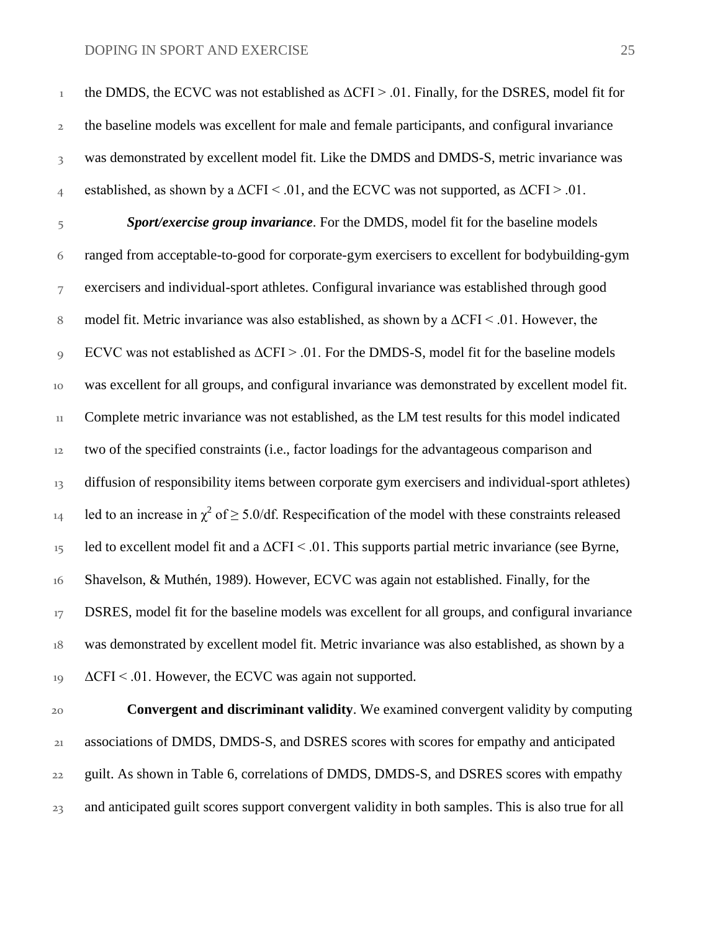the DMDS, the ECVC was not established as  $\Delta$ CFI > .01. Finally, for the DSRES, model fit for the baseline models was excellent for male and female participants, and configural invariance was demonstrated by excellent model fit. Like the DMDS and DMDS-S, metric invariance was 4 established, as shown by a  $\Delta$ CFI < .01, and the ECVC was not supported, as  $\Delta$ CFI > .01. *Sport/exercise group invariance*. For the DMDS, model fit for the baseline models ranged from acceptable-to-good for corporate-gym exercisers to excellent for bodybuilding-gym exercisers and individual-sport athletes. Configural invariance was established through good model fit. Metric invariance was also established, as shown by a ΔCFI < .01. However, the ECVC was not established as ΔCFI > .01. For the DMDS-S, model fit for the baseline models was excellent for all groups, and configural invariance was demonstrated by excellent model fit. Complete metric invariance was not established, as the LM test results for this model indicated two of the specified constraints (i.e., factor loadings for the advantageous comparison and 13 diffusion of responsibility items between corporate gym exercisers and individual-sport athletes) 14 led to an increase in  $\chi^2$  of  $\geq 5.0/df$ . Respecification of the model with these constraints released 15 led to excellent model fit and a  $\Delta$ CFI < .01. This supports partial metric invariance (see Byrne, Shavelson, & Muthén, 1989). However, ECVC was again not established. Finally, for the <sup>17</sup> DSRES, model fit for the baseline models was excellent for all groups, and configural invariance was demonstrated by excellent model fit. Metric invariance was also established, as shown by a  $19 \text{ ACFI} < .01$ . However, the ECVC was again not supported.

 **Convergent and discriminant validity**. We examined convergent validity by computing associations of DMDS, DMDS-S, and DSRES scores with scores for empathy and anticipated guilt. As shown in Table 6, correlations of DMDS, DMDS-S, and DSRES scores with empathy and anticipated guilt scores support convergent validity in both samples. This is also true for all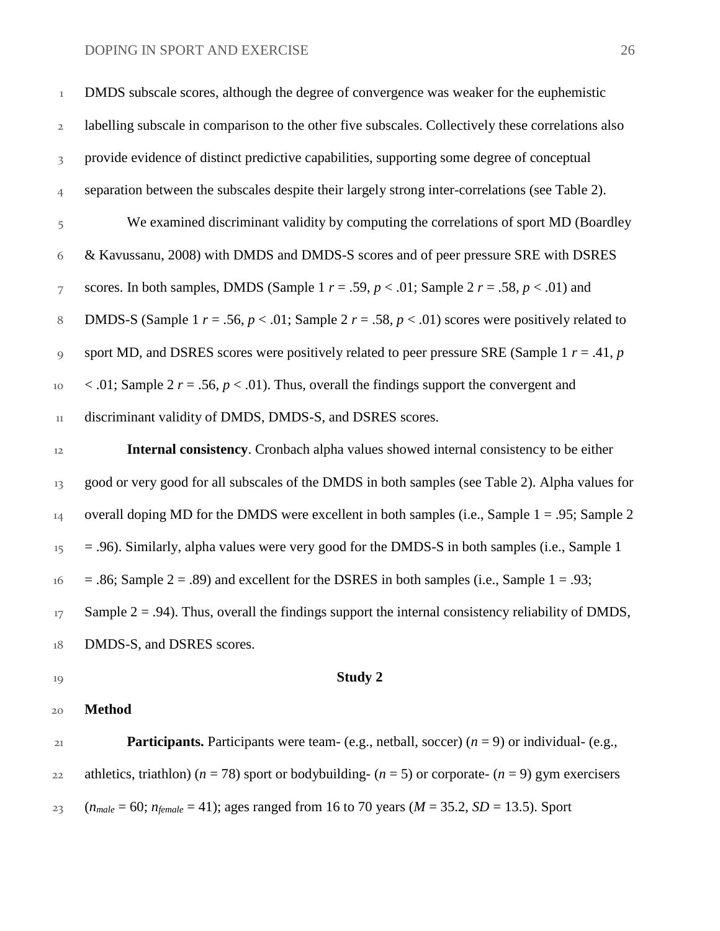| 20                      | <b>Method</b>                                                                                               |
|-------------------------|-------------------------------------------------------------------------------------------------------------|
| 19                      | Study 2                                                                                                     |
| 18                      | DMDS-S, and DSRES scores.                                                                                   |
| 17                      | Sample $2 = .94$ ). Thus, overall the findings support the internal consistency reliability of DMDS,        |
| 16                      | $=$ .86; Sample 2 = .89) and excellent for the DSRES in both samples (i.e., Sample 1 = .93;                 |
| 15                      | $=$ .96). Similarly, alpha values were very good for the DMDS-S in both samples (i.e., Sample 1             |
| 14                      | overall doping MD for the DMDS were excellent in both samples (i.e., Sample $1 = .95$ ; Sample 2            |
| 13                      | good or very good for all subscales of the DMDS in both samples (see Table 2). Alpha values for             |
| 12                      | Internal consistency. Cronbach alpha values showed internal consistency to be either                        |
| 11                      | discriminant validity of DMDS, DMDS-S, and DSRES scores.                                                    |
| $10\,$                  | < .01; Sample 2 $r = .56$ , $p < .01$ ). Thus, overall the findings support the convergent and              |
| 9                       | sport MD, and DSRES scores were positively related to peer pressure SRE (Sample 1 $r = .41$ , p             |
| 8                       | DMDS-S (Sample 1 $r = .56$ , $p < .01$ ; Sample 2 $r = .58$ , $p < .01$ ) scores were positively related to |
| 7                       | scores. In both samples, DMDS (Sample 1 $r = .59$ , $p < .01$ ; Sample 2 $r = .58$ , $p < .01$ ) and        |
| 6                       | & Kavussanu, 2008) with DMDS and DMDS-S scores and of peer pressure SRE with DSRES                          |
| 5                       | We examined discriminant validity by computing the correlations of sport MD (Boardley                       |
| $\overline{4}$          | separation between the subscales despite their largely strong inter-correlations (see Table 2).             |
| $\overline{\mathbf{3}}$ | provide evidence of distinct predictive capabilities, supporting some degree of conceptual                  |
| $\overline{2}$          | labelling subscale in comparison to the other five subscales. Collectively these correlations also          |
| $\mathbf 1$             | DMDS subscale scores, although the degree of convergence was weaker for the euphemistic                     |

 **Participants.** Participants were team- (e.g., netball, soccer) (*n* = 9) or individual- (e.g., 22 athletics, triathlon) ( $n = 78$ ) sport or bodybuilding- ( $n = 5$ ) or corporate- ( $n = 9$ ) gym exercisers (*n<sub>male</sub>* = 60; *n<sub>female</sub>* = 41); ages ranged from 16 to 70 years (*M* = 35.2, *SD* = 13.5). Sport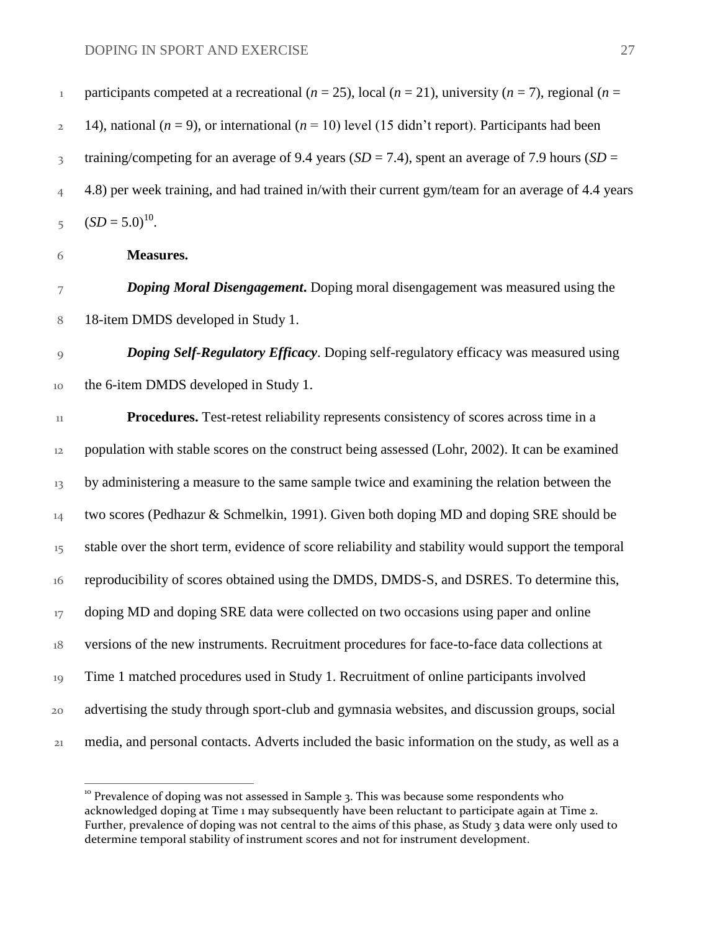$\overline{a}$ 

| $\mathbf 1$             | participants competed at a recreational ( $n = 25$ ), local ( $n = 21$ ), university ( $n = 7$ ), regional ( $n =$ |
|-------------------------|--------------------------------------------------------------------------------------------------------------------|
| $\mathbf{2}$            | 14), national ( $n = 9$ ), or international ( $n = 10$ ) level (15 didn't report). Participants had been           |
| $\overline{\mathbf{3}}$ | training/competing for an average of 9.4 years ( $SD = 7.4$ ), spent an average of 7.9 hours ( $SD =$              |
| $\overline{4}$          | 4.8) per week training, and had trained in/with their current gym/team for an average of 4.4 years                 |
| 5                       | $(SD = 5.0)^{10}$ .                                                                                                |
| 6                       | <b>Measures.</b>                                                                                                   |
| 7                       | <b>Doping Moral Disengagement.</b> Doping moral disengagement was measured using the                               |
| 8                       | 18-item DMDS developed in Study 1.                                                                                 |
| $\overline{9}$          | Doping Self-Regulatory Efficacy. Doping self-regulatory efficacy was measured using                                |
| 10                      | the 6-item DMDS developed in Study 1.                                                                              |
| 11                      | Procedures. Test-retest reliability represents consistency of scores across time in a                              |
| 12                      | population with stable scores on the construct being assessed (Lohr, 2002). It can be examined                     |
| 13                      | by administering a measure to the same sample twice and examining the relation between the                         |
| 14                      | two scores (Pedhazur & Schmelkin, 1991). Given both doping MD and doping SRE should be                             |
| $15 \,$                 | stable over the short term, evidence of score reliability and stability would support the temporal                 |
| 16                      | reproducibility of scores obtained using the DMDS, DMDS-S, and DSRES. To determine this,                           |
| 17                      | doping MD and doping SRE data were collected on two occasions using paper and online                               |
| $18\,$                  | versions of the new instruments. Recruitment procedures for face-to-face data collections at                       |
| 19                      | Time 1 matched procedures used in Study 1. Recruitment of online participants involved                             |
| 20                      | advertising the study through sport-club and gymnasia websites, and discussion groups, social                      |
| 21                      | media, and personal contacts. Adverts included the basic information on the study, as well as a                    |
|                         |                                                                                                                    |

<sup>&</sup>lt;sup>10</sup> Prevalence of doping was not assessed in Sample 3. This was because some respondents who acknowledged doping at Time 1 may subsequently have been reluctant to participate again at Time 2. Further, prevalence of doping was not central to the aims of this phase, as Study 3 data were only used to determine temporal stability of instrument scores and not for instrument development.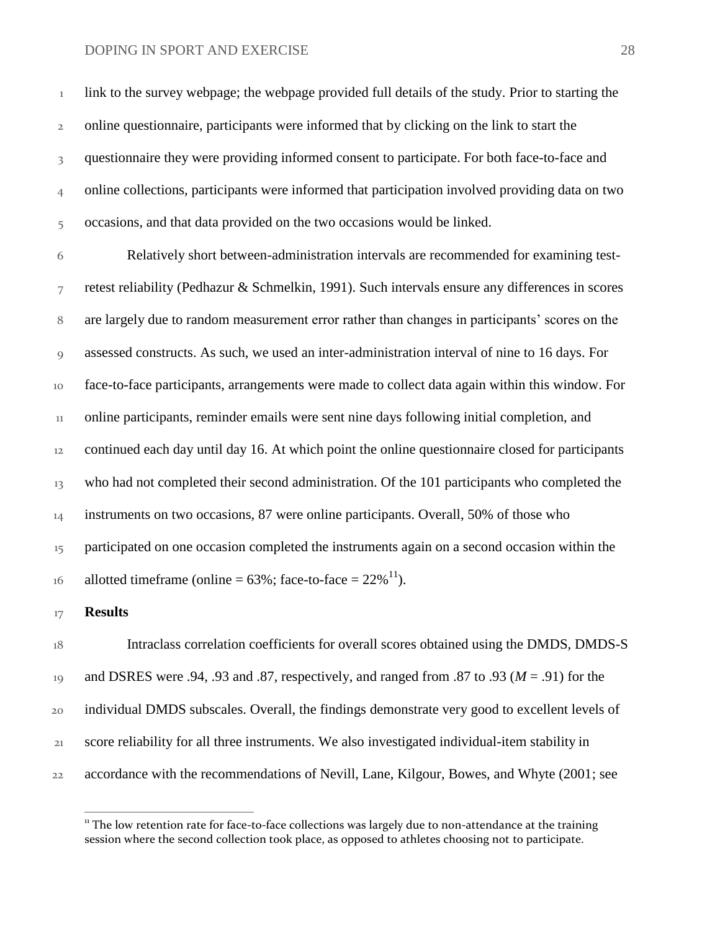link to the survey webpage; the webpage provided full details of the study. Prior to starting the online questionnaire, participants were informed that by clicking on the link to start the 3 questionnaire they were providing informed consent to participate. For both face-to-face and online collections, participants were informed that participation involved providing data on two occasions, and that data provided on the two occasions would be linked.

 Relatively short between-administration intervals are recommended for examining test- retest reliability (Pedhazur & Schmelkin, 1991). Such intervals ensure any differences in scores are largely due to random measurement error rather than changes in participants' scores on the assessed constructs. As such, we used an inter-administration interval of nine to 16 days. For face-to-face participants, arrangements were made to collect data again within this window. For online participants, reminder emails were sent nine days following initial completion, and continued each day until day 16. At which point the online questionnaire closed for participants <sup>13</sup> who had not completed their second administration. Of the 101 participants who completed the <sup>14</sup> instruments on two occasions, 87 were online participants. Overall, 50% of those who 15 participated on one occasion completed the instruments again on a second occasion within the allotted timeframe (online =  $63\%$ ; face-to-face =  $22\%$ <sup>11</sup>).

#### **Results**

 $\overline{a}$ 

 Intraclass correlation coefficients for overall scores obtained using the DMDS, DMDS-S and DSRES were .94, .93 and .87, respectively, and ranged from .87 to .93 (*M* = .91) for the individual DMDS subscales. Overall, the findings demonstrate very good to excellent levels of score reliability for all three instruments. We also investigated individual-item stability in accordance with the recommendations of Nevill, Lane, Kilgour, Bowes, and Whyte (2001; see

 The low retention rate for face-to-face collections was largely due to non-attendance at the training session where the second collection took place, as opposed to athletes choosing not to participate.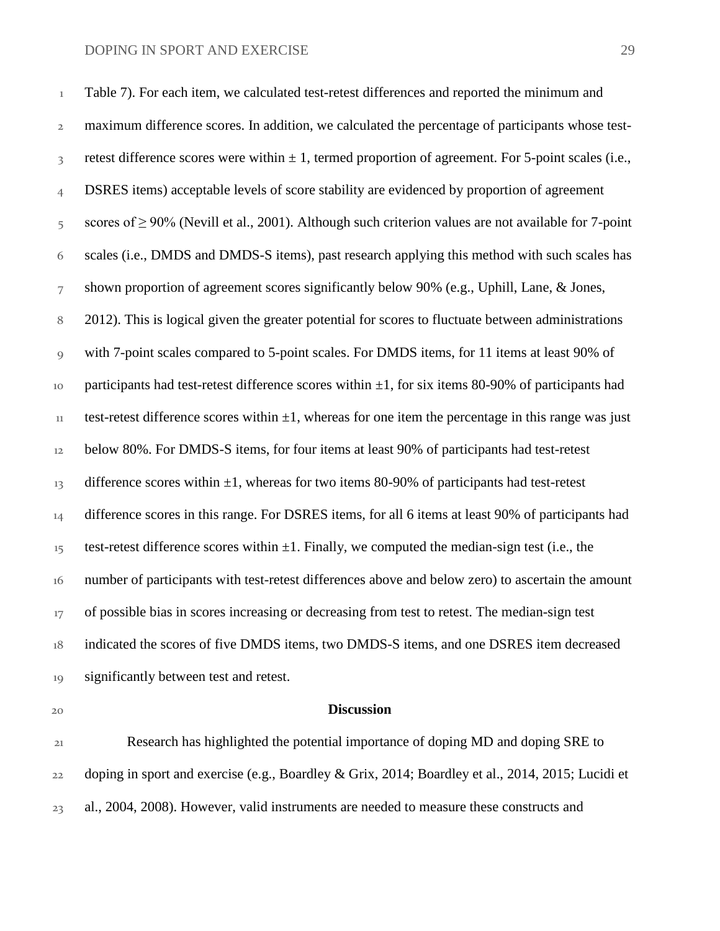Table 7). For each item, we calculated test-retest differences and reported the minimum and maximum difference scores. In addition, we calculated the percentage of participants whose test- retest difference scores were within  $\pm 1$ , termed proportion of agreement. For 5-point scales (i.e., DSRES items) acceptable levels of score stability are evidenced by proportion of agreement scores of ≥ 90% (Nevill et al., 2001). Although such criterion values are not available for 7-point scales (i.e., DMDS and DMDS-S items), past research applying this method with such scales has shown proportion of agreement scores significantly below 90% (e.g., Uphill, Lane, & Jones, 2012). This is logical given the greater potential for scores to fluctuate between administrations with 7-point scales compared to 5-point scales. For DMDS items, for 11 items at least 90% of 10 participants had test-retest difference scores within  $\pm 1$ , for six items 80-90% of participants had 11 test-retest difference scores within  $\pm 1$ , whereas for one item the percentage in this range was just below 80%. For DMDS-S items, for four items at least 90% of participants had test-retest 13 difference scores within  $\pm 1$ , whereas for two items 80-90% of participants had test-retest 14 difference scores in this range. For DSRES items, for all 6 items at least 90% of participants had 15 test-retest difference scores within  $\pm 1$ . Finally, we computed the median-sign test (i.e., the number of participants with test-retest differences above and below zero) to ascertain the amount <sup>17</sup> of possible bias in scores increasing or decreasing from test to retest. The median-sign test indicated the scores of five DMDS items, two DMDS-S items, and one DSRES item decreased 19 significantly between test and retest.

#### **Discussion**

 Research has highlighted the potential importance of doping MD and doping SRE to doping in sport and exercise (e.g., Boardley & Grix, 2014; Boardley et al., 2014, 2015; Lucidi et al., 2004, 2008). However, valid instruments are needed to measure these constructs and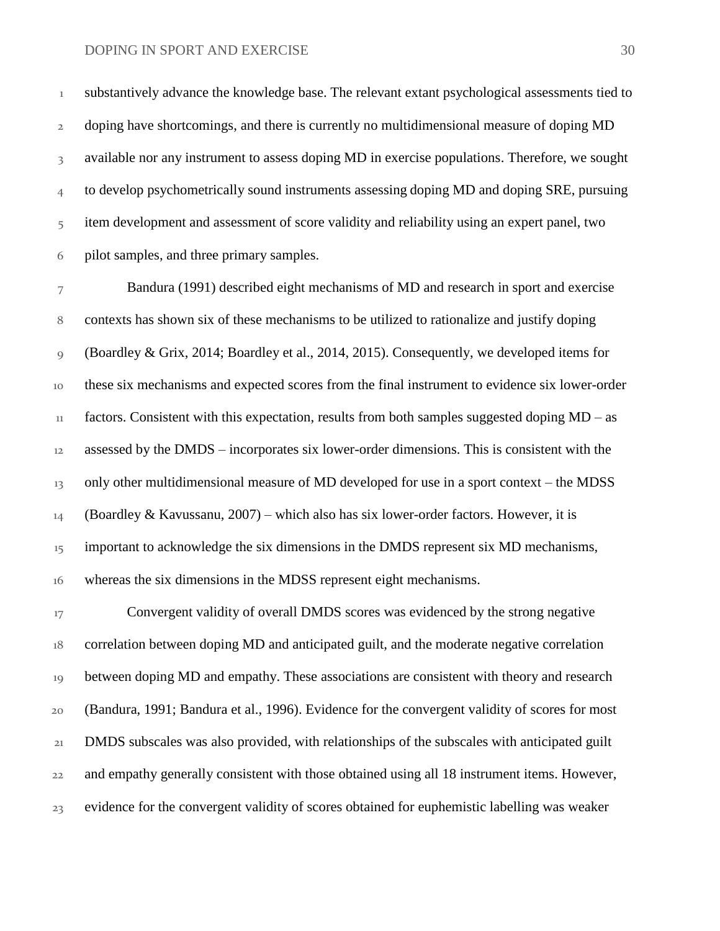substantively advance the knowledge base. The relevant extant psychological assessments tied to 2 doping have shortcomings, and there is currently no multidimensional measure of doping MD available nor any instrument to assess doping MD in exercise populations. Therefore, we sought to develop psychometrically sound instruments assessing doping MD and doping SRE, pursuing item development and assessment of score validity and reliability using an expert panel, two pilot samples, and three primary samples.

 Bandura (1991) described eight mechanisms of MD and research in sport and exercise contexts has shown six of these mechanisms to be utilized to rationalize and justify doping (Boardley & Grix, 2014; Boardley et al., 2014, 2015). Consequently, we developed items for these six mechanisms and expected scores from the final instrument to evidence six lower-order factors. Consistent with this expectation, results from both samples suggested doping MD – as assessed by the DMDS – incorporates six lower-order dimensions. This is consistent with the 13 only other multidimensional measure of MD developed for use in a sport context – the MDSS 14 (Boardley & Kavussanu, 2007) – which also has six lower-order factors. However, it is <sup>15</sup> important to acknowledge the six dimensions in the DMDS represent six MD mechanisms, whereas the six dimensions in the MDSS represent eight mechanisms.

 Convergent validity of overall DMDS scores was evidenced by the strong negative 18 correlation between doping MD and anticipated guilt, and the moderate negative correlation between doping MD and empathy. These associations are consistent with theory and research (Bandura, 1991; Bandura et al., 1996). Evidence for the convergent validity of scores for most DMDS subscales was also provided, with relationships of the subscales with anticipated guilt and empathy generally consistent with those obtained using all 18 instrument items. However, evidence for the convergent validity of scores obtained for euphemistic labelling was weaker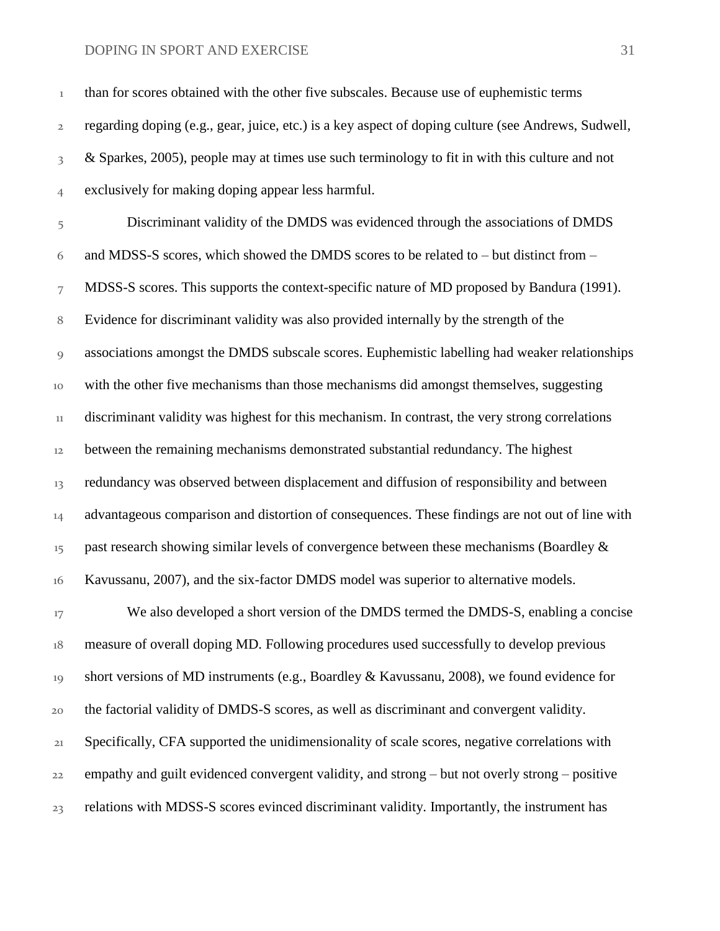than for scores obtained with the other five subscales. Because use of euphemistic terms regarding doping (e.g., gear, juice, etc.) is a key aspect of doping culture (see Andrews, Sudwell, 8 & Sparkes, 2005), people may at times use such terminology to fit in with this culture and not exclusively for making doping appear less harmful. Discriminant validity of the DMDS was evidenced through the associations of DMDS and MDSS-S scores, which showed the DMDS scores to be related to – but distinct from – 7 MDSS-S scores. This supports the context-specific nature of MD proposed by Bandura (1991). Evidence for discriminant validity was also provided internally by the strength of the associations amongst the DMDS subscale scores. Euphemistic labelling had weaker relationships with the other five mechanisms than those mechanisms did amongst themselves, suggesting discriminant validity was highest for this mechanism. In contrast, the very strong correlations between the remaining mechanisms demonstrated substantial redundancy. The highest redundancy was observed between displacement and diffusion of responsibility and between 14 advantageous comparison and distortion of consequences. These findings are not out of line with past research showing similar levels of convergence between these mechanisms (Boardley  $\&$  Kavussanu, 2007), and the six-factor DMDS model was superior to alternative models. <sup>17</sup> We also developed a short version of the DMDS termed the DMDS-S, enabling a concise measure of overall doping MD. Following procedures used successfully to develop previous short versions of MD instruments (e.g., Boardley & Kavussanu, 2008), we found evidence for

the factorial validity of DMDS-S scores, as well as discriminant and convergent validity.

 Specifically, CFA supported the unidimensionality of scale scores, negative correlations with empathy and guilt evidenced convergent validity, and strong – but not overly strong – positive relations with MDSS-S scores evinced discriminant validity. Importantly, the instrument has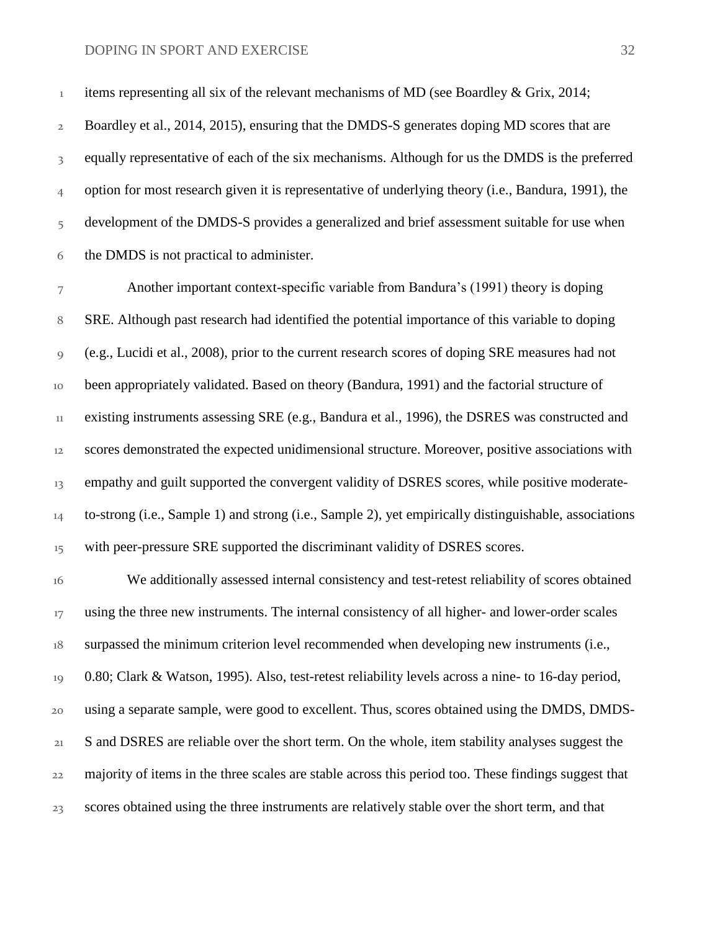<sup>1</sup> items representing all six of the relevant mechanisms of MD (see Boardley & Grix, 2014;

 Boardley et al., 2014, 2015), ensuring that the DMDS-S generates doping MD scores that are <sup>3</sup> equally representative of each of the six mechanisms. Although for us the DMDS is the preferred option for most research given it is representative of underlying theory (i.e., Bandura, 1991), the development of the DMDS-S provides a generalized and brief assessment suitable for use when the DMDS is not practical to administer.

 Another important context-specific variable from Bandura's (1991) theory is doping SRE. Although past research had identified the potential importance of this variable to doping (e.g., Lucidi et al., 2008), prior to the current research scores of doping SRE measures had not been appropriately validated. Based on theory (Bandura, 1991) and the factorial structure of existing instruments assessing SRE (e.g., Bandura et al., 1996), the DSRES was constructed and scores demonstrated the expected unidimensional structure. Moreover, positive associations with 13 empathy and guilt supported the convergent validity of DSRES scores, while positive moderate- to-strong (i.e., Sample 1) and strong (i.e., Sample 2), yet empirically distinguishable, associations <sup>15</sup> with peer-pressure SRE supported the discriminant validity of DSRES scores.

 We additionally assessed internal consistency and test-retest reliability of scores obtained <sup>17</sup> using the three new instruments. The internal consistency of all higher- and lower-order scales surpassed the minimum criterion level recommended when developing new instruments (i.e., 0.80; Clark & Watson, 1995). Also, test-retest reliability levels across a nine- to 16-day period, using a separate sample, were good to excellent. Thus, scores obtained using the DMDS, DMDS-21 S and DSRES are reliable over the short term. On the whole, item stability analyses suggest the majority of items in the three scales are stable across this period too. These findings suggest that scores obtained using the three instruments are relatively stable over the short term, and that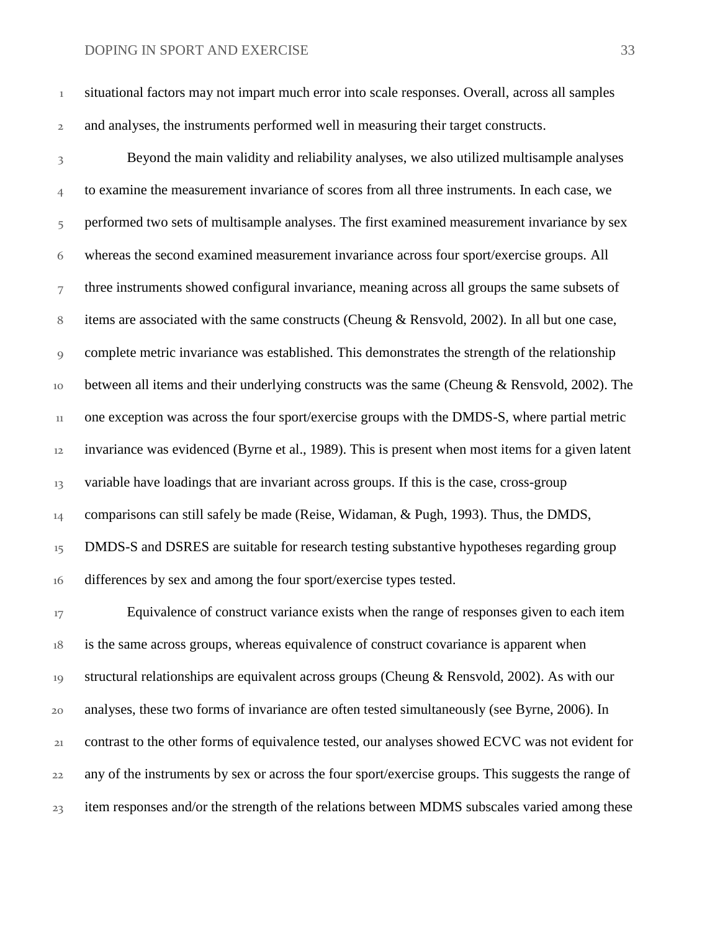situational factors may not impart much error into scale responses. Overall, across all samples and analyses, the instruments performed well in measuring their target constructs.

 Beyond the main validity and reliability analyses, we also utilized multisample analyses to examine the measurement invariance of scores from all three instruments. In each case, we 5 performed two sets of multisample analyses. The first examined measurement invariance by sex whereas the second examined measurement invariance across four sport/exercise groups. All three instruments showed configural invariance, meaning across all groups the same subsets of items are associated with the same constructs (Cheung & Rensvold, 2002). In all but one case, complete metric invariance was established. This demonstrates the strength of the relationship between all items and their underlying constructs was the same (Cheung & Rensvold, 2002). The one exception was across the four sport/exercise groups with the DMDS-S, where partial metric invariance was evidenced (Byrne et al., 1989). This is present when most items for a given latent 13 variable have loadings that are invariant across groups. If this is the case, cross-group 14 comparisons can still safely be made (Reise, Widaman, & Pugh, 1993). Thus, the DMDS, <sup>15</sup> DMDS-S and DSRES are suitable for research testing substantive hypotheses regarding group 16 differences by sex and among the four sport/exercise types tested.

<sup>17</sup> Equivalence of construct variance exists when the range of responses given to each item is the same across groups, whereas equivalence of construct covariance is apparent when 19 structural relationships are equivalent across groups (Cheung & Rensvold, 2002). As with our analyses, these two forms of invariance are often tested simultaneously (see Byrne, 2006). In contrast to the other forms of equivalence tested, our analyses showed ECVC was not evident for any of the instruments by sex or across the four sport/exercise groups. This suggests the range of <sub>23</sub> item responses and/or the strength of the relations between MDMS subscales varied among these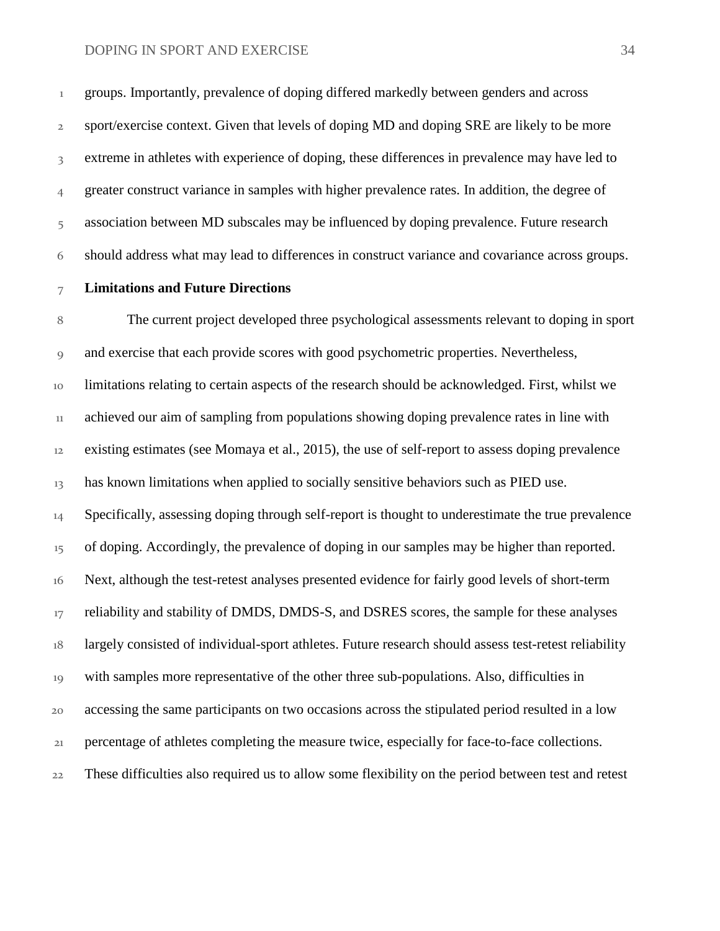groups. Importantly, prevalence of doping differed markedly between genders and across sport/exercise context. Given that levels of doping MD and doping SRE are likely to be more extreme in athletes with experience of doping, these differences in prevalence may have led to greater construct variance in samples with higher prevalence rates. In addition, the degree of association between MD subscales may be influenced by doping prevalence. Future research should address what may lead to differences in construct variance and covariance across groups.

#### **Limitations and Future Directions**

 The current project developed three psychological assessments relevant to doping in sport and exercise that each provide scores with good psychometric properties. Nevertheless, limitations relating to certain aspects of the research should be acknowledged. First, whilst we achieved our aim of sampling from populations showing doping prevalence rates in line with existing estimates (see Momaya et al., 2015), the use of self-report to assess doping prevalence 13 has known limitations when applied to socially sensitive behaviors such as PIED use. Specifically, assessing doping through self-report is thought to underestimate the true prevalence <sup>15</sup> of doping. Accordingly, the prevalence of doping in our samples may be higher than reported. Next, although the test-retest analyses presented evidence for fairly good levels of short-term <sup>17</sup> reliability and stability of DMDS, DMDS-S, and DSRES scores, the sample for these analyses 18 largely consisted of individual-sport athletes. Future research should assess test-retest reliability with samples more representative of the other three sub-populations. Also, difficulties in accessing the same participants on two occasions across the stipulated period resulted in a low percentage of athletes completing the measure twice, especially for face-to-face collections. These difficulties also required us to allow some flexibility on the period between test and retest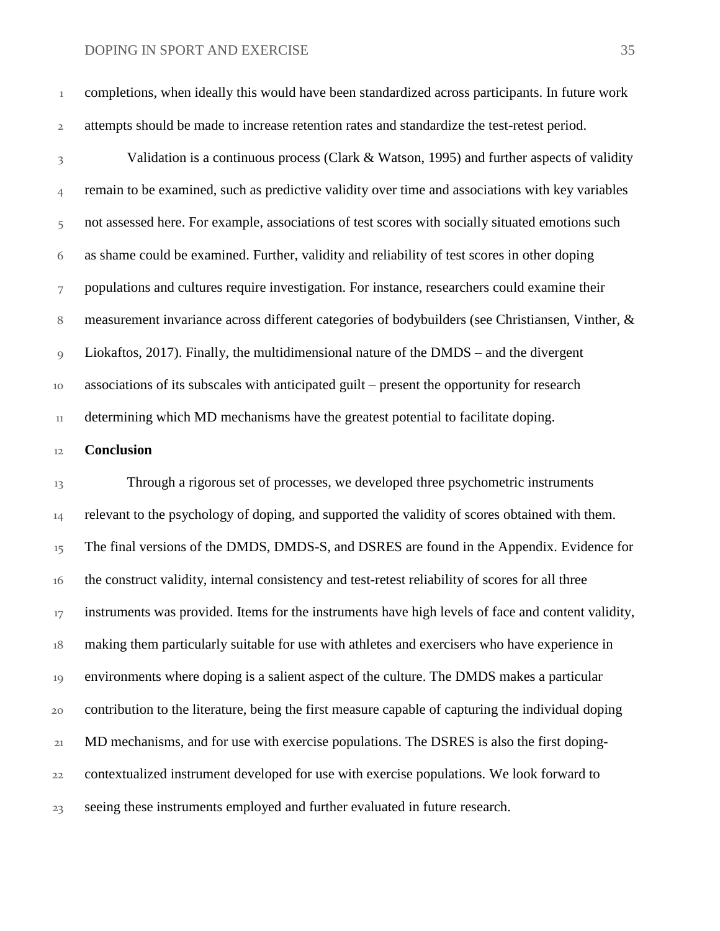completions, when ideally this would have been standardized across participants. In future work attempts should be made to increase retention rates and standardize the test-retest period.

 Validation is a continuous process (Clark & Watson, 1995) and further aspects of validity remain to be examined, such as predictive validity over time and associations with key variables 5 not assessed here. For example, associations of test scores with socially situated emotions such as shame could be examined. Further, validity and reliability of test scores in other doping populations and cultures require investigation. For instance, researchers could examine their measurement invariance across different categories of bodybuilders (see Christiansen, Vinther, & Liokaftos, 2017). Finally, the multidimensional nature of the DMDS – and the divergent associations of its subscales with anticipated guilt – present the opportunity for research determining which MD mechanisms have the greatest potential to facilitate doping.

#### **Conclusion**

 Through a rigorous set of processes, we developed three psychometric instruments <sup>14</sup> relevant to the psychology of doping, and supported the validity of scores obtained with them. <sup>15</sup> The final versions of the DMDS, DMDS-S, and DSRES are found in the Appendix. Evidence for the construct validity, internal consistency and test-retest reliability of scores for all three <sup>17</sup> instruments was provided. Items for the instruments have high levels of face and content validity, making them particularly suitable for use with athletes and exercisers who have experience in environments where doping is a salient aspect of the culture. The DMDS makes a particular contribution to the literature, being the first measure capable of capturing the individual doping MD mechanisms, and for use with exercise populations. The DSRES is also the first doping- contextualized instrument developed for use with exercise populations. We look forward to seeing these instruments employed and further evaluated in future research.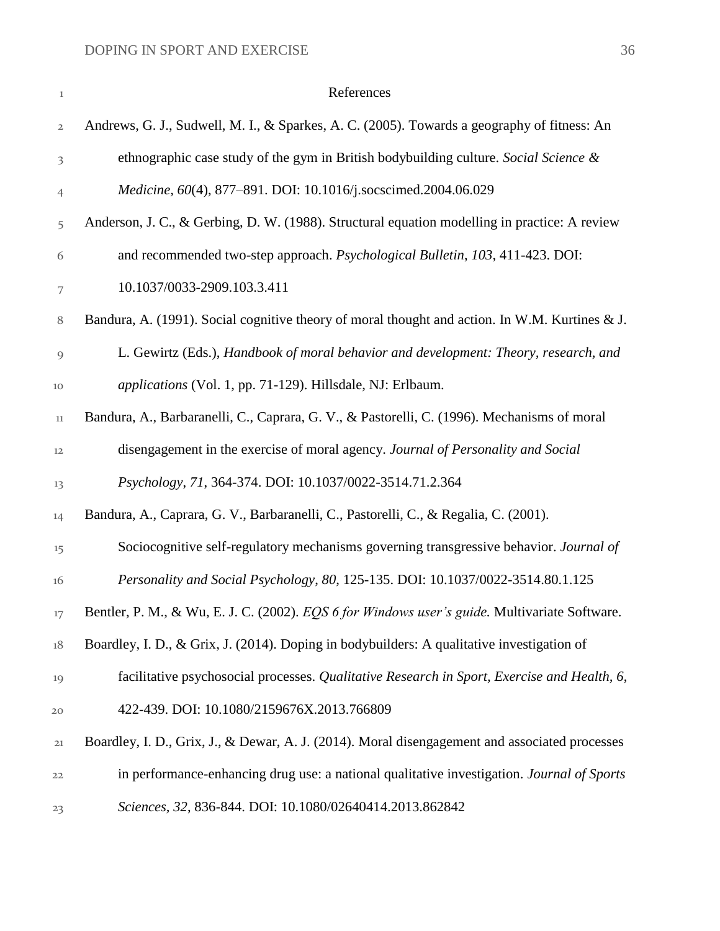| $\!1$          | References                                                                                     |
|----------------|------------------------------------------------------------------------------------------------|
| $\mathbf{2}$   | Andrews, G. J., Sudwell, M. I., & Sparkes, A. C. (2005). Towards a geography of fitness: An    |
| 3              | ethnographic case study of the gym in British bodybuilding culture. Social Science &           |
| $\overline{4}$ | Medicine, 60(4), 877-891. DOI: 10.1016/j.socscimed.2004.06.029                                 |
| 5              | Anderson, J. C., & Gerbing, D. W. (1988). Structural equation modelling in practice: A review  |
| 6              | and recommended two-step approach. Psychological Bulletin, 103, 411-423. DOI:                  |
| 7              | 10.1037/0033-2909.103.3.411                                                                    |
| $\, 8$         | Bandura, A. (1991). Social cognitive theory of moral thought and action. In W.M. Kurtines & J. |
| $\overline{9}$ | L. Gewirtz (Eds.), Handbook of moral behavior and development: Theory, research, and           |
| 10             | applications (Vol. 1, pp. 71-129). Hillsdale, NJ: Erlbaum.                                     |
| $11\,$         | Bandura, A., Barbaranelli, C., Caprara, G. V., & Pastorelli, C. (1996). Mechanisms of moral    |
| 12             | disengagement in the exercise of moral agency. Journal of Personality and Social               |
| 13             | Psychology, 71, 364-374. DOI: 10.1037/0022-3514.71.2.364                                       |
| 14             | Bandura, A., Caprara, G. V., Barbaranelli, C., Pastorelli, C., & Regalia, C. (2001).           |
| 15             | Sociocognitive self-regulatory mechanisms governing transgressive behavior. Journal of         |
| 16             | Personality and Social Psychology, 80, 125-135. DOI: 10.1037/0022-3514.80.1.125                |
| 17             | Bentler, P. M., & Wu, E. J. C. (2002). EQS 6 for Windows user's guide. Multivariate Software.  |
| 18             | Boardley, I. D., & Grix, J. (2014). Doping in bodybuilders: A qualitative investigation of     |
| 19             | facilitative psychosocial processes. Qualitative Research in Sport, Exercise and Health, 6,    |
| 20             | 422-439. DOI: 10.1080/2159676X.2013.766809                                                     |
| 21             | Boardley, I. D., Grix, J., & Dewar, A. J. (2014). Moral disengagement and associated processes |
| 22             | in performance-enhancing drug use: a national qualitative investigation. Journal of Sports     |
| 23             | Sciences, 32, 836-844. DOI: 10.1080/02640414.2013.862842                                       |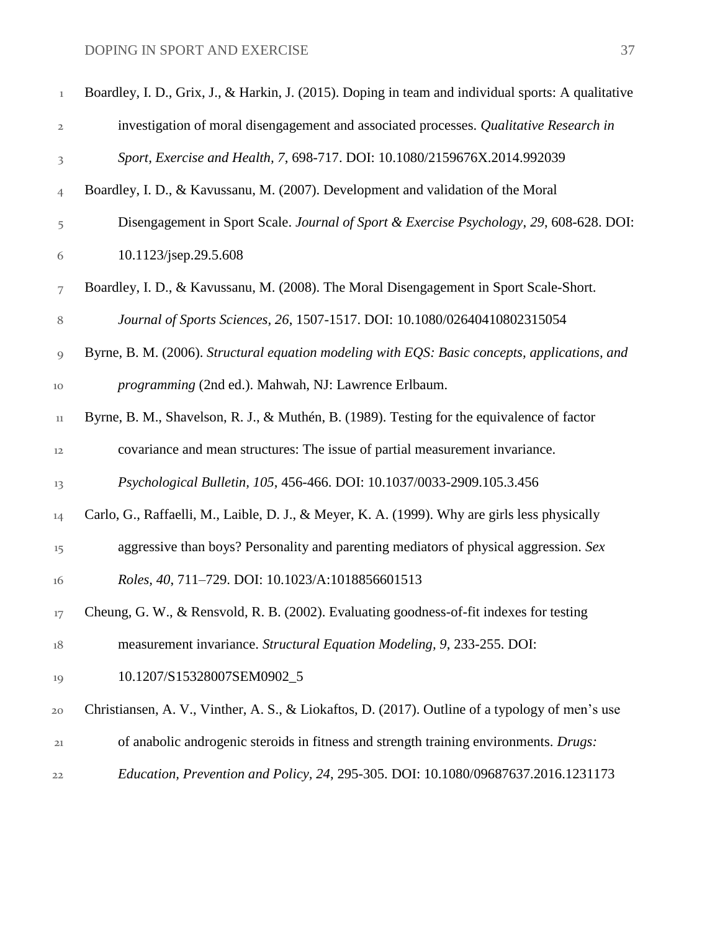| $\,1$          | Boardley, I. D., Grix, J., & Harkin, J. (2015). Doping in team and individual sports: A qualitative |
|----------------|-----------------------------------------------------------------------------------------------------|
| $\overline{2}$ | investigation of moral disengagement and associated processes. Qualitative Research in              |
| 3              | Sport, Exercise and Health, 7, 698-717. DOI: 10.1080/2159676X.2014.992039                           |
| $\overline{4}$ | Boardley, I. D., & Kavussanu, M. (2007). Development and validation of the Moral                    |
| 5              | Disengagement in Sport Scale. Journal of Sport & Exercise Psychology, 29, 608-628. DOI:             |
| 6              | 10.1123/jsep.29.5.608                                                                               |
| 7              | Boardley, I. D., & Kavussanu, M. (2008). The Moral Disengagement in Sport Scale-Short.              |
| $\, 8$         | Journal of Sports Sciences, 26, 1507-1517. DOI: 10.1080/02640410802315054                           |
| 9              | Byrne, B. M. (2006). Structural equation modeling with EQS: Basic concepts, applications, and       |
| 10             | programming (2nd ed.). Mahwah, NJ: Lawrence Erlbaum.                                                |
| $11\,$         | Byrne, B. M., Shavelson, R. J., & Muthén, B. (1989). Testing for the equivalence of factor          |
| 12             | covariance and mean structures: The issue of partial measurement invariance.                        |
| 13             | Psychological Bulletin, 105, 456-466. DOI: 10.1037/0033-2909.105.3.456                              |
| 14             | Carlo, G., Raffaelli, M., Laible, D. J., & Meyer, K. A. (1999). Why are girls less physically       |
| 15             | aggressive than boys? Personality and parenting mediators of physical aggression. Sex               |
| 16             | Roles, 40, 711-729. DOI: 10.1023/A:1018856601513                                                    |
| 17             | Cheung, G. W., & Rensvold, R. B. (2002). Evaluating goodness-of-fit indexes for testing             |
| 18             | measurement invariance. Structural Equation Modeling, 9, 233-255. DOI:                              |
| 19             | 10.1207/S15328007SEM0902_5                                                                          |
| 20             | Christiansen, A. V., Vinther, A. S., & Liokaftos, D. (2017). Outline of a typology of men's use     |
| 21             | of anabolic androgenic steroids in fitness and strength training environments. Drugs:               |
| 22             | Education, Prevention and Policy, 24, 295-305. DOI: 10.1080/09687637.2016.1231173                   |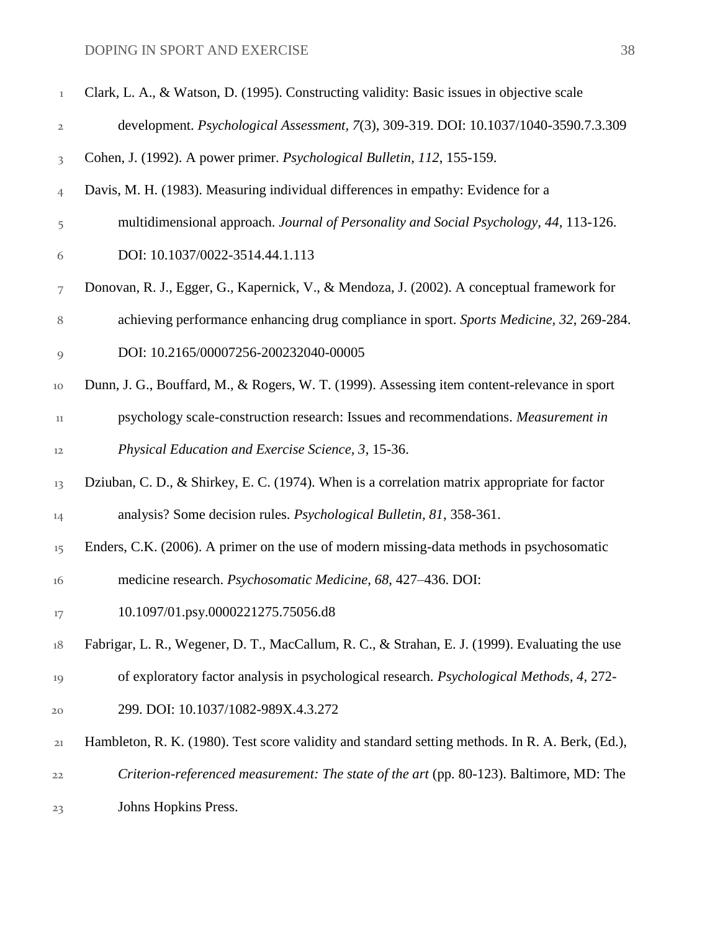| $1\,$                   | Clark, L. A., & Watson, D. (1995). Constructing validity: Basic issues in objective scale        |
|-------------------------|--------------------------------------------------------------------------------------------------|
| 2                       | development. Psychological Assessment, 7(3), 309-319. DOI: 10.1037/1040-3590.7.3.309             |
| $\overline{\mathbf{3}}$ | Cohen, J. (1992). A power primer. Psychological Bulletin, 112, 155-159.                          |
| $\overline{4}$          | Davis, M. H. (1983). Measuring individual differences in empathy: Evidence for a                 |
| 5                       | multidimensional approach. Journal of Personality and Social Psychology, 44, 113-126.            |
| 6                       | DOI: 10.1037/0022-3514.44.1.113                                                                  |
| 7                       | Donovan, R. J., Egger, G., Kapernick, V., & Mendoza, J. (2002). A conceptual framework for       |
| 8                       | achieving performance enhancing drug compliance in sport. Sports Medicine, 32, 269-284.          |
| $\overline{9}$          | DOI: 10.2165/00007256-200232040-00005                                                            |
| 10                      | Dunn, J. G., Bouffard, M., & Rogers, W. T. (1999). Assessing item content-relevance in sport     |
| $_{11}$                 | psychology scale-construction research: Issues and recommendations. Measurement in               |
| 12                      | Physical Education and Exercise Science, 3, 15-36.                                               |
| 13                      | Dziuban, C. D., & Shirkey, E. C. (1974). When is a correlation matrix appropriate for factor     |
| 14                      | analysis? Some decision rules. Psychological Bulletin, 81, 358-361.                              |
| 15                      | Enders, C.K. (2006). A primer on the use of modern missing-data methods in psychosomatic         |
| 16                      | medicine research. Psychosomatic Medicine, 68, 427-436. DOI:                                     |
| 17                      | 10.1097/01.psy.0000221275.75056.d8                                                               |
| $18\,$                  | Fabrigar, L. R., Wegener, D. T., MacCallum, R. C., & Strahan, E. J. (1999). Evaluating the use   |
| 19                      | of exploratory factor analysis in psychological research. Psychological Methods, 4, 272-         |
| 20                      | 299. DOI: 10.1037/1082-989X.4.3.272                                                              |
| 21                      | Hambleton, R. K. (1980). Test score validity and standard setting methods. In R. A. Berk, (Ed.), |
| 22                      | Criterion-referenced measurement: The state of the art (pp. 80-123). Baltimore, MD: The          |
| 23                      | Johns Hopkins Press.                                                                             |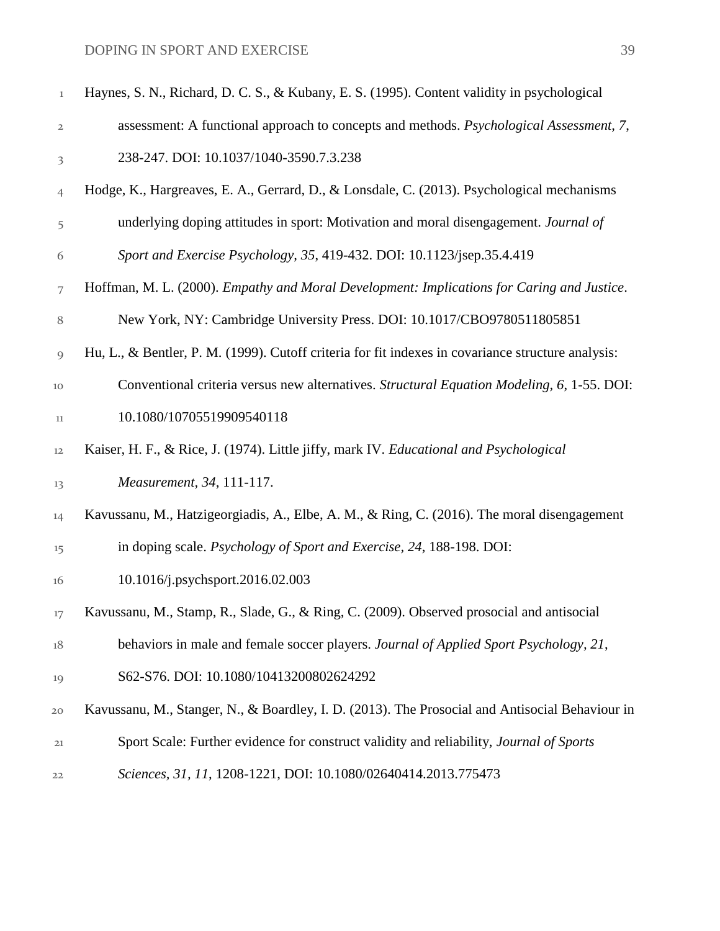| $\mathbf 1$  | Haynes, S. N., Richard, D. C. S., & Kubany, E. S. (1995). Content validity in psychological        |
|--------------|----------------------------------------------------------------------------------------------------|
| $\mathbf{2}$ | assessment: A functional approach to concepts and methods. Psychological Assessment, 7,            |
| 3            | 238-247. DOI: 10.1037/1040-3590.7.3.238                                                            |
| 4            | Hodge, K., Hargreaves, E. A., Gerrard, D., & Lonsdale, C. (2013). Psychological mechanisms         |
| 5            | underlying doping attitudes in sport: Motivation and moral disengagement. Journal of               |
| 6            | Sport and Exercise Psychology, 35, 419-432. DOI: 10.1123/jsep.35.4.419                             |
| 7            | Hoffman, M. L. (2000). Empathy and Moral Development: Implications for Caring and Justice.         |
| 8            | New York, NY: Cambridge University Press. DOI: 10.1017/CBO9780511805851                            |
| 9            | Hu, L., & Bentler, P. M. (1999). Cutoff criteria for fit indexes in covariance structure analysis: |
| 10           | Conventional criteria versus new alternatives. Structural Equation Modeling, 6, 1-55. DOI:         |
| 11           | 10.1080/10705519909540118                                                                          |
| 12           | Kaiser, H. F., & Rice, J. (1974). Little jiffy, mark IV. Educational and Psychological             |
| 13           | Measurement, 34, 111-117.                                                                          |
| 14           | Kavussanu, M., Hatzigeorgiadis, A., Elbe, A. M., & Ring, C. (2016). The moral disengagement        |
| 15           | in doping scale. Psychology of Sport and Exercise, 24, 188-198. DOI:                               |
| 16           | 10.1016/j.psychsport.2016.02.003                                                                   |
| 17           | Kavussanu, M., Stamp, R., Slade, G., & Ring, C. (2009). Observed prosocial and antisocial          |
| $18\,$       | behaviors in male and female soccer players. Journal of Applied Sport Psychology, 21,              |
| 19           | S62-S76. DOI: 10.1080/10413200802624292                                                            |
| 20           | Kavussanu, M., Stanger, N., & Boardley, I. D. (2013). The Prosocial and Antisocial Behaviour in    |
| 21           | Sport Scale: Further evidence for construct validity and reliability, Journal of Sports            |
| 22           | Sciences, 31, 11, 1208-1221, DOI: 10.1080/02640414.2013.775473                                     |
|              |                                                                                                    |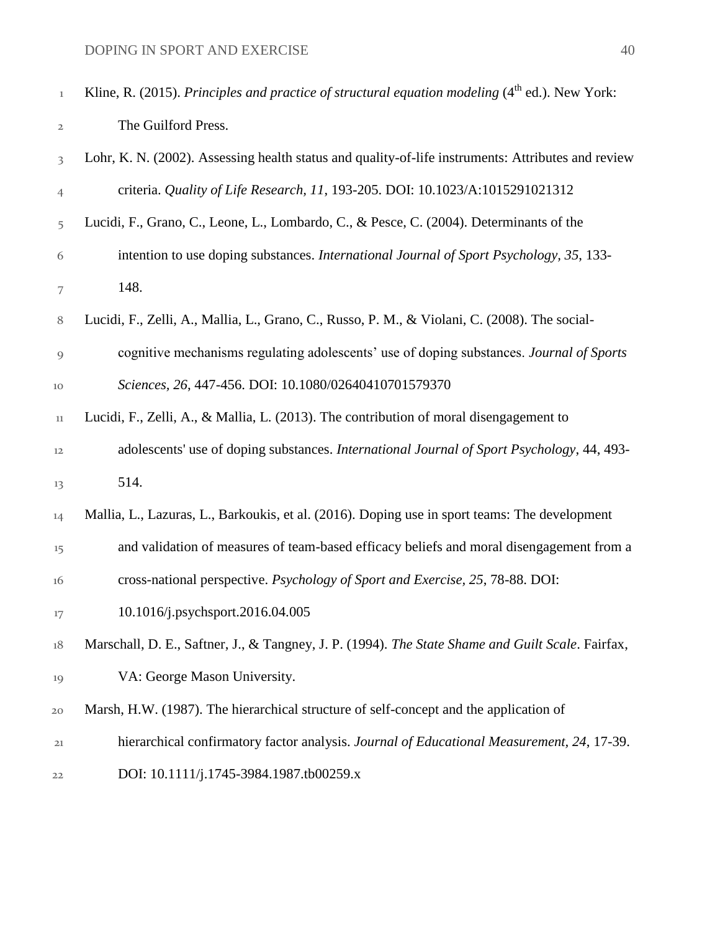| $\mathbf 1$             | Kline, R. (2015). Principles and practice of structural equation modeling (4 <sup>th</sup> ed.). New York: |
|-------------------------|------------------------------------------------------------------------------------------------------------|
| 2                       | The Guilford Press.                                                                                        |
| $\overline{\mathbf{3}}$ | Lohr, K. N. (2002). Assessing health status and quality-of-life instruments: Attributes and review         |
| 4                       | criteria. Quality of Life Research, 11, 193-205. DOI: 10.1023/A:1015291021312                              |
| 5                       | Lucidi, F., Grano, C., Leone, L., Lombardo, C., & Pesce, C. (2004). Determinants of the                    |
| 6                       | intention to use doping substances. International Journal of Sport Psychology, 35, 133-                    |
| 7                       | 148.                                                                                                       |
| $\,8\,$                 | Lucidi, F., Zelli, A., Mallia, L., Grano, C., Russo, P. M., & Violani, C. (2008). The social-              |
| 9                       | cognitive mechanisms regulating adolescents' use of doping substances. Journal of Sports                   |
| 10                      | Sciences, 26, 447-456. DOI: 10.1080/02640410701579370                                                      |
| 11                      | Lucidi, F., Zelli, A., & Mallia, L. (2013). The contribution of moral disengagement to                     |
| 12                      | adolescents' use of doping substances. International Journal of Sport Psychology, 44, 493-                 |
| 13                      | 514.                                                                                                       |
| 14                      | Mallia, L., Lazuras, L., Barkoukis, et al. (2016). Doping use in sport teams: The development              |
| 15                      | and validation of measures of team-based efficacy beliefs and moral disengagement from a                   |
| 16                      | cross-national perspective. Psychology of Sport and Exercise, 25, 78-88. DOI:                              |
| 17                      | 10.1016/j.psychsport.2016.04.005                                                                           |
| 18                      | Marschall, D. E., Saftner, J., & Tangney, J. P. (1994). The State Shame and Guilt Scale. Fairfax,          |
| 19                      | VA: George Mason University.                                                                               |
| 20                      | Marsh, H.W. (1987). The hierarchical structure of self-concept and the application of                      |
| 21                      | hierarchical confirmatory factor analysis. Journal of Educational Measurement, 24, 17-39.                  |
| 22                      | DOI: 10.1111/j.1745-3984.1987.tb00259.x                                                                    |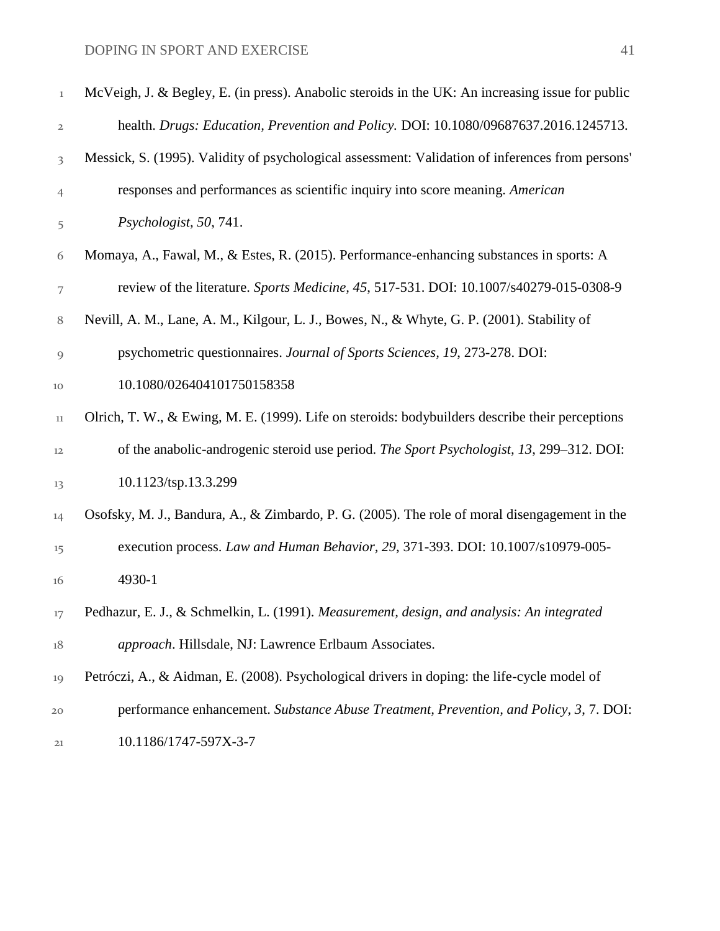| $\mathbf 1$  | McVeigh, J. & Begley, E. (in press). Anabolic steroids in the UK: An increasing issue for public |
|--------------|--------------------------------------------------------------------------------------------------|
| $\mathbf{2}$ | health. Drugs: Education, Prevention and Policy. DOI: 10.1080/09687637.2016.1245713.             |
| 3            | Messick, S. (1995). Validity of psychological assessment: Validation of inferences from persons' |
| 4            | responses and performances as scientific inquiry into score meaning. American                    |
| 5            | Psychologist, 50, 741.                                                                           |
| 6            | Momaya, A., Fawal, M., & Estes, R. (2015). Performance-enhancing substances in sports: A         |
| 7            | review of the literature. Sports Medicine, 45, 517-531. DOI: 10.1007/s40279-015-0308-9           |
| 8            | Nevill, A. M., Lane, A. M., Kilgour, L. J., Bowes, N., & Whyte, G. P. (2001). Stability of       |
| 9            | psychometric questionnaires. Journal of Sports Sciences, 19, 273-278. DOI:                       |
| 10           | 10.1080/026404101750158358                                                                       |
| 11           | Olrich, T. W., & Ewing, M. E. (1999). Life on steroids: bodybuilders describe their perceptions  |
| 12           | of the anabolic-androgenic steroid use period. The Sport Psychologist, 13, 299-312. DOI:         |
| 13           | 10.1123/tsp.13.3.299                                                                             |
| 14           | Osofsky, M. J., Bandura, A., & Zimbardo, P. G. (2005). The role of moral disengagement in the    |
| 15           | execution process. Law and Human Behavior, 29, 371-393. DOI: 10.1007/s10979-005-                 |
| 16           | 4930-1                                                                                           |
| $17 \,$      | Pedhazur, E. J., & Schmelkin, L. (1991). Measurement, design, and analysis: An integrated        |
| $18\,$       | approach. Hillsdale, NJ: Lawrence Erlbaum Associates.                                            |
| 19           | Petróczi, A., & Aidman, E. (2008). Psychological drivers in doping: the life-cycle model of      |
| 20           | performance enhancement. Substance Abuse Treatment, Prevention, and Policy, 3, 7. DOI:           |
| 21           | 10.1186/1747-597X-3-7                                                                            |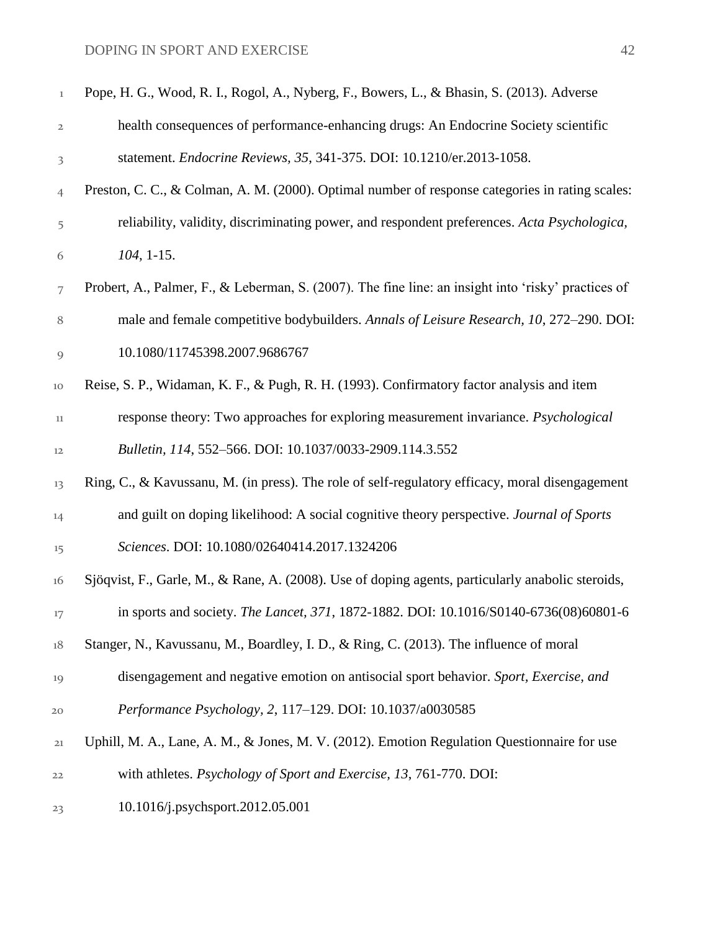| $\,1$          | Pope, H. G., Wood, R. I., Rogol, A., Nyberg, F., Bowers, L., & Bhasin, S. (2013). Adverse           |
|----------------|-----------------------------------------------------------------------------------------------------|
| 2              | health consequences of performance-enhancing drugs: An Endocrine Society scientific                 |
| 3              | statement. Endocrine Reviews, 35, 341-375. DOI: 10.1210/er.2013-1058.                               |
| $\overline{4}$ | Preston, C. C., & Colman, A. M. (2000). Optimal number of response categories in rating scales:     |
| 5              | reliability, validity, discriminating power, and respondent preferences. Acta Psychologica,         |
| 6              | $104, 1-15.$                                                                                        |
| 7              | Probert, A., Palmer, F., & Leberman, S. (2007). The fine line: an insight into 'risky' practices of |
| 8              | male and female competitive bodybuilders. Annals of Leisure Research, 10, 272-290. DOI:             |
| $\overline{9}$ | 10.1080/11745398.2007.9686767                                                                       |
| 10             | Reise, S. P., Widaman, K. F., & Pugh, R. H. (1993). Confirmatory factor analysis and item           |
| 11             | response theory: Two approaches for exploring measurement invariance. <i>Psychological</i>          |
| 12             | Bulletin, 114, 552-566. DOI: 10.1037/0033-2909.114.3.552                                            |
| 13             | Ring, C., & Kavussanu, M. (in press). The role of self-regulatory efficacy, moral disengagement     |
| 14             | and guilt on doping likelihood: A social cognitive theory perspective. Journal of Sports            |
| 15             | Sciences. DOI: 10.1080/02640414.2017.1324206                                                        |
| 16             | Sjöqvist, F., Garle, M., & Rane, A. (2008). Use of doping agents, particularly anabolic steroids,   |
| 17             | in sports and society. The Lancet, 371, 1872-1882. DOI: 10.1016/S0140-6736(08)60801-6               |
| 18             | Stanger, N., Kavussanu, M., Boardley, I. D., & Ring, C. (2013). The influence of moral              |
| 19             | disengagement and negative emotion on antisocial sport behavior. Sport, Exercise, and               |
| 20             | Performance Psychology, 2, 117-129. DOI: 10.1037/a0030585                                           |
| 21             | Uphill, M. A., Lane, A. M., & Jones, M. V. (2012). Emotion Regulation Questionnaire for use         |
| 22             | with athletes. Psychology of Sport and Exercise, 13, 761-770. DOI:                                  |
| 23             | 10.1016/j.psychsport.2012.05.001                                                                    |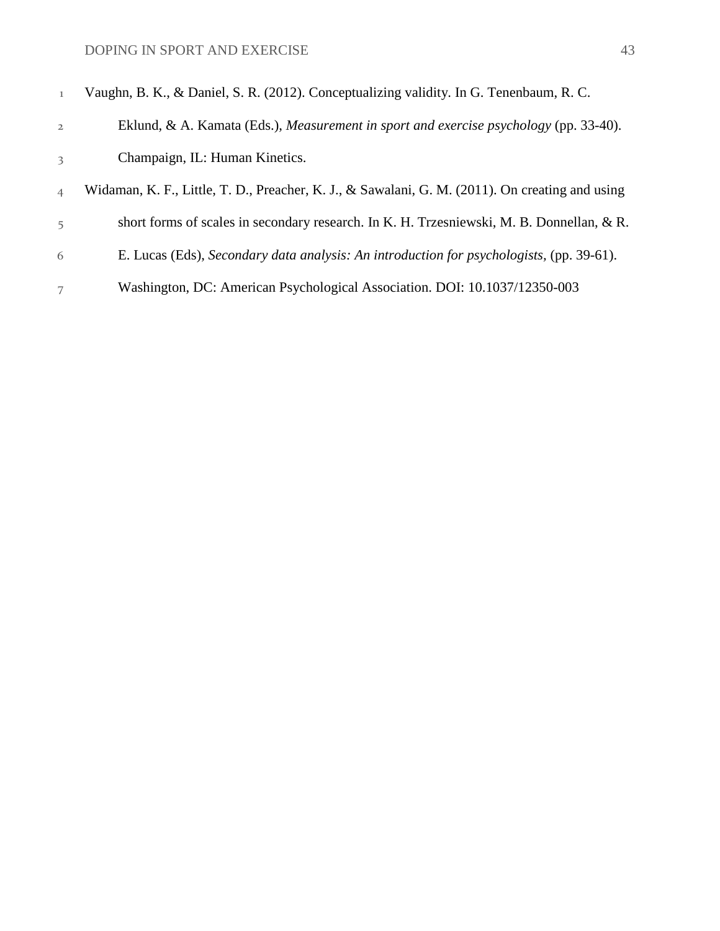| 1              | Vaughn, B. K., & Daniel, S. R. (2012). Conceptualizing validity. In G. Tenenbaum, R. C.         |
|----------------|-------------------------------------------------------------------------------------------------|
| $\overline{2}$ | Eklund, & A. Kamata (Eds.), Measurement in sport and exercise psychology (pp. 33-40).           |
| 3              | Champaign, IL: Human Kinetics.                                                                  |
| $\overline{4}$ | Widaman, K. F., Little, T. D., Preacher, K. J., & Sawalani, G. M. (2011). On creating and using |
| 5              | short forms of scales in secondary research. In K. H. Trzesniewski, M. B. Donnellan, & R.       |
| 6              | E. Lucas (Eds), Secondary data analysis: An introduction for psychologists, (pp. 39-61).        |
| 7              | Washington, DC: American Psychological Association. DOI: 10.1037/12350-003                      |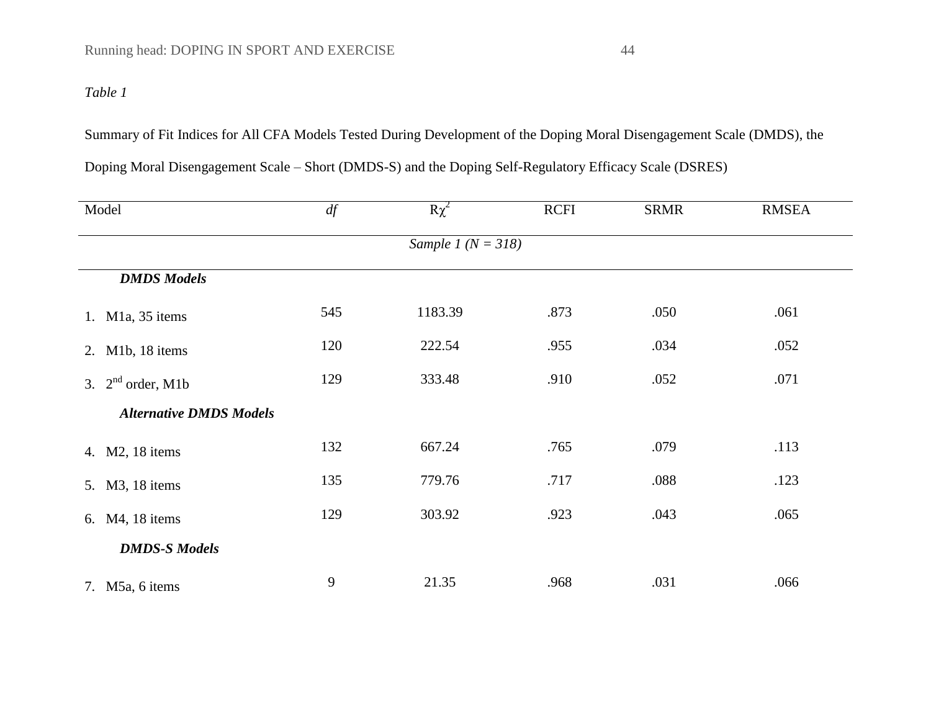## *Table 1*

Summary of Fit Indices for All CFA Models Tested During Development of the Doping Moral Disengagement Scale (DMDS), the

| Model                          | df  | $R\chi^2$              | <b>RCFI</b> | <b>SRMR</b> | <b>RMSEA</b> |
|--------------------------------|-----|------------------------|-------------|-------------|--------------|
|                                |     | Sample 1 ( $N = 318$ ) |             |             |              |
| <b>DMDS</b> Models             |     |                        |             |             |              |
| 1. M1a, 35 items               | 545 | 1183.39                | .873        | .050        | .061         |
| 2. M1b, 18 items               | 120 | 222.54                 | .955        | .034        | .052         |
| 3. $2nd order, M1b$            | 129 | 333.48                 | .910        | .052        | .071         |
| <b>Alternative DMDS Models</b> |     |                        |             |             |              |
| 4. M2, 18 items                | 132 | 667.24                 | .765        | .079        | .113         |
| 5. M3, 18 items                | 135 | 779.76                 | .717        | .088        | .123         |
| M4, 18 items<br>6.             | 129 | 303.92                 | .923        | .043        | .065         |
| <b>DMDS-S Models</b>           |     |                        |             |             |              |
| 7. M5a, 6 items                | 9   | 21.35                  | .968        | .031        | .066         |

Doping Moral Disengagement Scale – Short (DMDS-S) and the Doping Self-Regulatory Efficacy Scale (DSRES)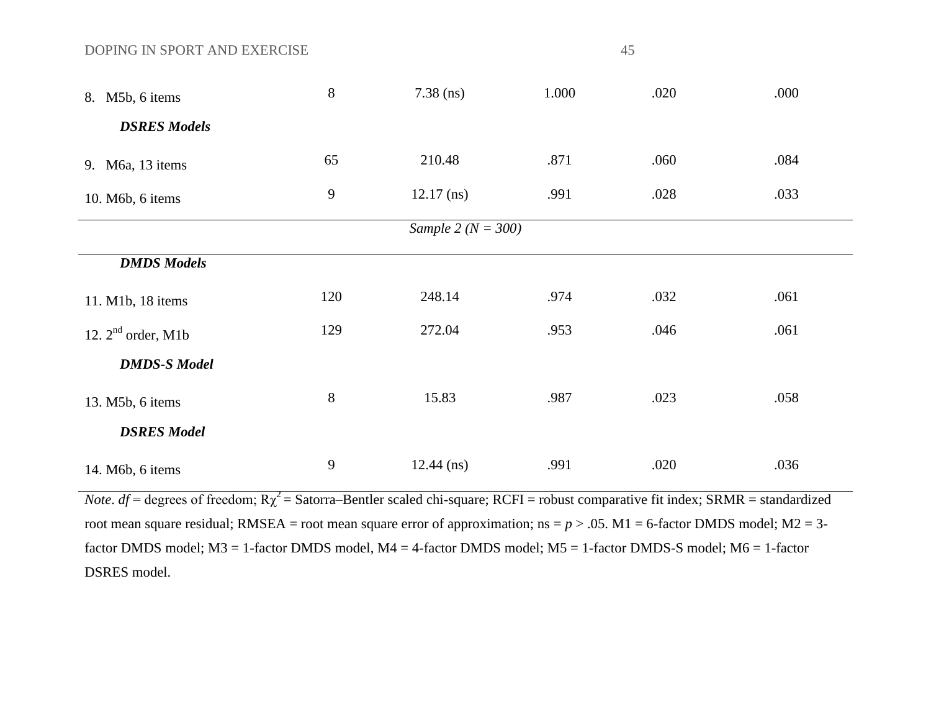| 8. M5b, 6 items               | $8\,$            | $7.38$ (ns)            | 1.000 | .020 | .000 |
|-------------------------------|------------------|------------------------|-------|------|------|
| <b>DSRES Models</b>           |                  |                        |       |      |      |
| 9. M <sub>6a</sub> , 13 items | 65               | 210.48                 | .871  | .060 | .084 |
| 10. M6b, 6 items              | $\boldsymbol{9}$ | $12.17$ (ns)           | .991  | .028 | .033 |
|                               |                  | Sample 2 ( $N = 300$ ) |       |      |      |
| <b>DMDS</b> Models            |                  |                        |       |      |      |
| 11. M1b, 18 items             | 120              | 248.14                 | .974  | .032 | .061 |
| 12. $2nd$ order, M1b          | 129              | 272.04                 | .953  | .046 | .061 |
| <b>DMDS-S Model</b>           |                  |                        |       |      |      |
| 13. M5b, 6 items              | $8\,$            | 15.83                  | .987  | .023 | .058 |
| <b>DSRES Model</b>            |                  |                        |       |      |      |
| 14. M6b, 6 items              | 9                | $12.44$ (ns)           | .991  | .020 | .036 |

*Note*.  $df =$  degrees of freedom;  $R\chi^2 =$  Satorra–Bentler scaled chi-square; RCFI = robust comparative fit index; SRMR = standardized root mean square residual; RMSEA = root mean square error of approximation;  $ns = p > .05$ . M1 = 6-factor DMDS model; M2 = 3factor DMDS model; M3 = 1-factor DMDS model, M4 = 4-factor DMDS model; M5 = 1-factor DMDS-S model; M6 = 1-factor DSRES model.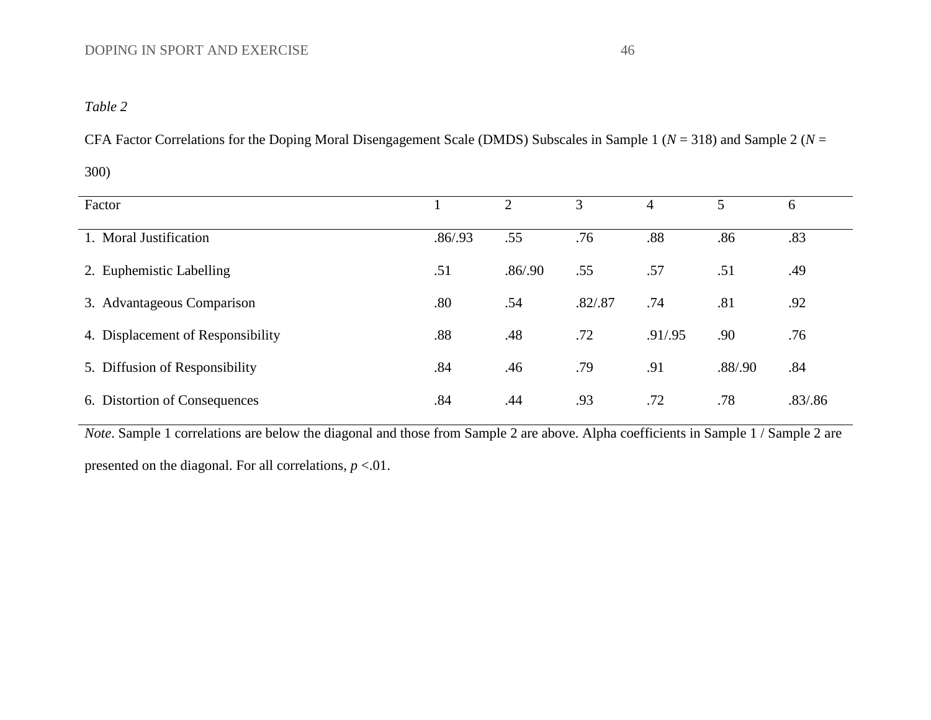## *Table 2*

CFA Factor Correlations for the Doping Moral Disengagement Scale (DMDS) Subscales in Sample 1 (*N* = 318) and Sample 2 (*N* =

300)

| Factor                            |          |          | 3       | 4       |         | 6        |
|-----------------------------------|----------|----------|---------|---------|---------|----------|
| 1. Moral Justification            | .86/0.93 | .55      | .76     | .88     | .86     | .83      |
| 2. Euphemistic Labelling          | .51      | .86/0.90 | .55     | .57     | .51     | .49      |
| 3. Advantageous Comparison        | .80      | .54      | .82/.87 | .74     | .81     | .92      |
| 4. Displacement of Responsibility | .88      | .48      | .72     | .91/.95 | .90     | .76      |
| 5. Diffusion of Responsibility    | .84      | .46      | .79     | .91     | .88/.90 | .84      |
| 6. Distortion of Consequences     | .84      | .44      | .93     | .72     | .78     | .83/0.86 |

*Note*. Sample 1 correlations are below the diagonal and those from Sample 2 are above. Alpha coefficients in Sample 1 / Sample 2 are

presented on the diagonal. For all correlations, *p* <.01.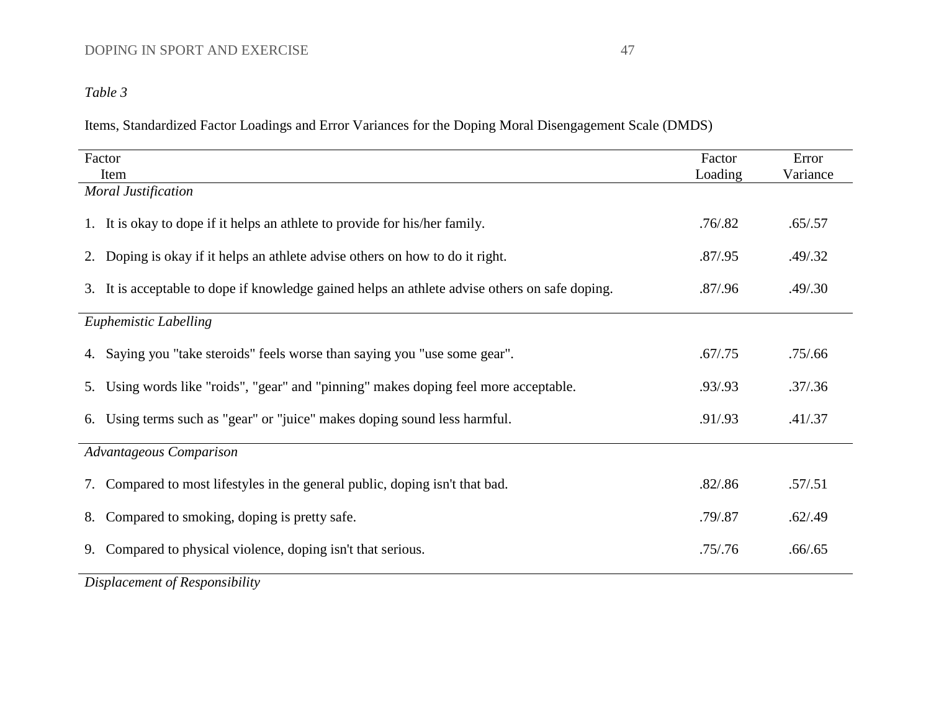## *Table 3*

Items, Standardized Factor Loadings and Error Variances for the Doping Moral Disengagement Scale (DMDS)

| Item<br>Loading<br>Variance<br><b>Moral Justification</b><br>.76 / .82<br>1. It is okay to dope if it helps an athlete to provide for his/her family.<br>.65/.57<br>2. Doping is okay if it helps an athlete advise others on how to do it right.<br>.87/0.95<br>.49/0.32<br>3. It is acceptable to dope if knowledge gained helps an athlete advise others on safe doping.<br>.87/0.96<br>.49/0.30<br><b>Euphemistic Labelling</b><br>4. Saying you "take steroids" feels worse than saying you "use some gear".<br>.67/0.75<br>.75/0.66<br>5. Using words like "roids", "gear" and "pinning" makes doping feel more acceptable.<br>.93/.93<br>.37/0.36<br>6. Using terms such as "gear" or "juice" makes doping sound less harmful.<br>.91/.93<br>.41/.37<br><b>Advantageous Comparison</b><br>7. Compared to most lifestyles in the general public, doping isn't that bad.<br>.82/.86<br>.57/0.51<br>Compared to smoking, doping is pretty safe.<br>.79/.87<br>.62/.49<br>8.<br>Compared to physical violence, doping isn't that serious.<br>.75/0.76<br>.66/.65<br>9. | Factor | Factor | Error |
|---------------------------------------------------------------------------------------------------------------------------------------------------------------------------------------------------------------------------------------------------------------------------------------------------------------------------------------------------------------------------------------------------------------------------------------------------------------------------------------------------------------------------------------------------------------------------------------------------------------------------------------------------------------------------------------------------------------------------------------------------------------------------------------------------------------------------------------------------------------------------------------------------------------------------------------------------------------------------------------------------------------------------------------------------------------------------|--------|--------|-------|
|                                                                                                                                                                                                                                                                                                                                                                                                                                                                                                                                                                                                                                                                                                                                                                                                                                                                                                                                                                                                                                                                           |        |        |       |
|                                                                                                                                                                                                                                                                                                                                                                                                                                                                                                                                                                                                                                                                                                                                                                                                                                                                                                                                                                                                                                                                           |        |        |       |
|                                                                                                                                                                                                                                                                                                                                                                                                                                                                                                                                                                                                                                                                                                                                                                                                                                                                                                                                                                                                                                                                           |        |        |       |
|                                                                                                                                                                                                                                                                                                                                                                                                                                                                                                                                                                                                                                                                                                                                                                                                                                                                                                                                                                                                                                                                           |        |        |       |
|                                                                                                                                                                                                                                                                                                                                                                                                                                                                                                                                                                                                                                                                                                                                                                                                                                                                                                                                                                                                                                                                           |        |        |       |
|                                                                                                                                                                                                                                                                                                                                                                                                                                                                                                                                                                                                                                                                                                                                                                                                                                                                                                                                                                                                                                                                           |        |        |       |
|                                                                                                                                                                                                                                                                                                                                                                                                                                                                                                                                                                                                                                                                                                                                                                                                                                                                                                                                                                                                                                                                           |        |        |       |
|                                                                                                                                                                                                                                                                                                                                                                                                                                                                                                                                                                                                                                                                                                                                                                                                                                                                                                                                                                                                                                                                           |        |        |       |
|                                                                                                                                                                                                                                                                                                                                                                                                                                                                                                                                                                                                                                                                                                                                                                                                                                                                                                                                                                                                                                                                           |        |        |       |
|                                                                                                                                                                                                                                                                                                                                                                                                                                                                                                                                                                                                                                                                                                                                                                                                                                                                                                                                                                                                                                                                           |        |        |       |
|                                                                                                                                                                                                                                                                                                                                                                                                                                                                                                                                                                                                                                                                                                                                                                                                                                                                                                                                                                                                                                                                           |        |        |       |
|                                                                                                                                                                                                                                                                                                                                                                                                                                                                                                                                                                                                                                                                                                                                                                                                                                                                                                                                                                                                                                                                           |        |        |       |
|                                                                                                                                                                                                                                                                                                                                                                                                                                                                                                                                                                                                                                                                                                                                                                                                                                                                                                                                                                                                                                                                           |        |        |       |
|                                                                                                                                                                                                                                                                                                                                                                                                                                                                                                                                                                                                                                                                                                                                                                                                                                                                                                                                                                                                                                                                           |        |        |       |
|                                                                                                                                                                                                                                                                                                                                                                                                                                                                                                                                                                                                                                                                                                                                                                                                                                                                                                                                                                                                                                                                           |        |        |       |
| Displacement of Responsibility                                                                                                                                                                                                                                                                                                                                                                                                                                                                                                                                                                                                                                                                                                                                                                                                                                                                                                                                                                                                                                            |        |        |       |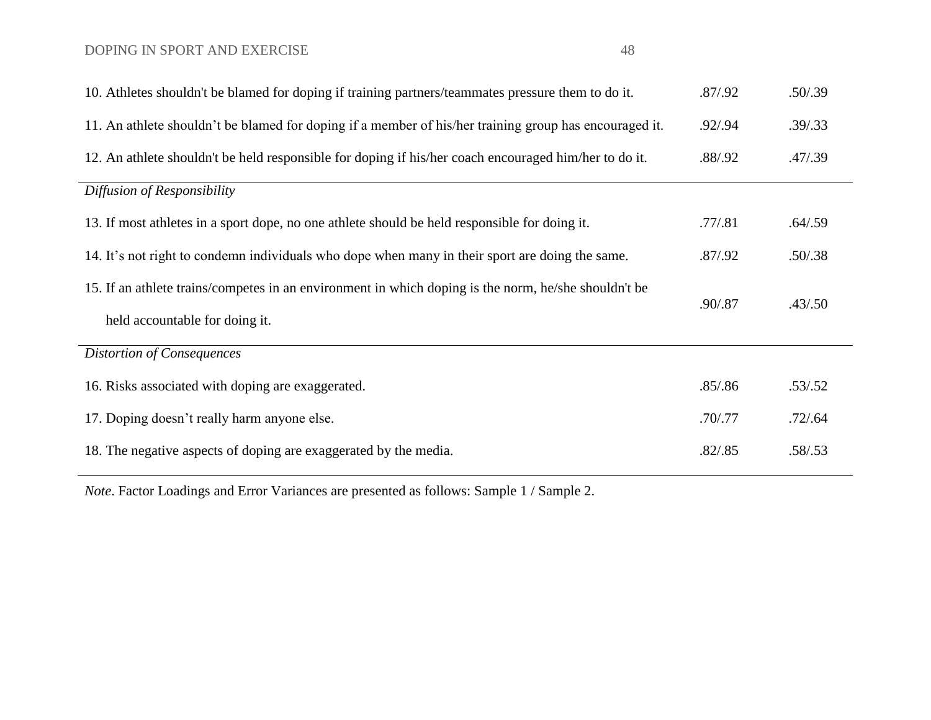| 10. Athletes shouldn't be blamed for doping if training partners/teammates pressure them to do it.     | .87/0.92 | .50/0.39 |
|--------------------------------------------------------------------------------------------------------|----------|----------|
| 11. An athlete shouldn't be blamed for doping if a member of his/her training group has encouraged it. | .92/0.94 | .39/0.33 |
| 12. An athlete shouldn't be held responsible for doping if his/her coach encouraged him/her to do it.  | .88/.92  | .47/0.39 |
| Diffusion of Responsibility                                                                            |          |          |
| 13. If most athletes in a sport dope, no one athlete should be held responsible for doing it.          | .77/0.81 | .64/.59  |
| 14. It's not right to condemn individuals who dope when many in their sport are doing the same.        | .87/0.92 | .50/.38  |
| 15. If an athlete trains/competes in an environment in which doping is the norm, he/she shouldn't be   | .90/.87  | .43/.50  |
| held accountable for doing it.                                                                         |          |          |
| <b>Distortion of Consequences</b>                                                                      |          |          |
| 16. Risks associated with doping are exaggerated.                                                      | .85/.86  | .53/.52  |
| 17. Doping doesn't really harm anyone else.                                                            | .70/0.77 | .72/0.64 |
| 18. The negative aspects of doping are exaggerated by the media.                                       | .82/.85  | .58/.53  |

*Note*. Factor Loadings and Error Variances are presented as follows: Sample 1 / Sample 2.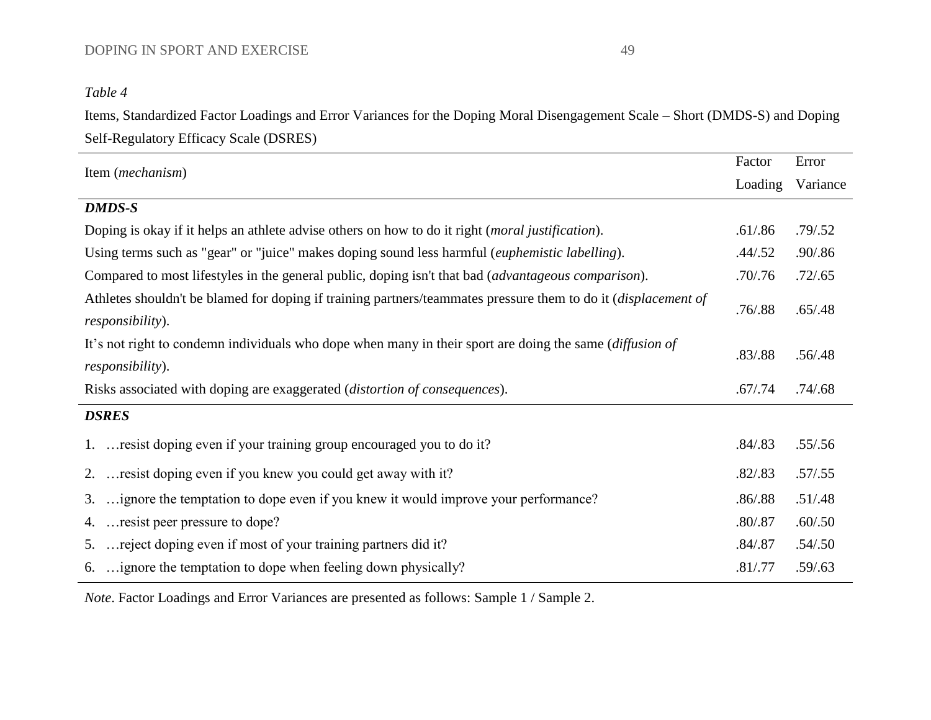## *Table 4*

Items, Standardized Factor Loadings and Error Variances for the Doping Moral Disengagement Scale – Short (DMDS-S) and Doping Self-Regulatory Efficacy Scale (DSRES)

| Factor    | Error    |
|-----------|----------|
| Loading   | Variance |
|           |          |
| .61/.86   | .79/0.52 |
| .44/.52   | .90/.86  |
| .70/0.76  | .72/.65  |
| .76 / .88 | .65/.48  |
| .83/.88   | .56/0.48 |
| .67/0.74  | .74/0.68 |
|           |          |
| .84 / .83 | .55/.56  |
| .82/.83   | .57/.55  |
| .86/.88   | .51/.48  |
| .80/0.87  | .60/.50  |
| .84 / .87 | .54/.50  |
| .81/.77   | .59/.63  |
|           |          |

*Note*. Factor Loadings and Error Variances are presented as follows: Sample 1 / Sample 2.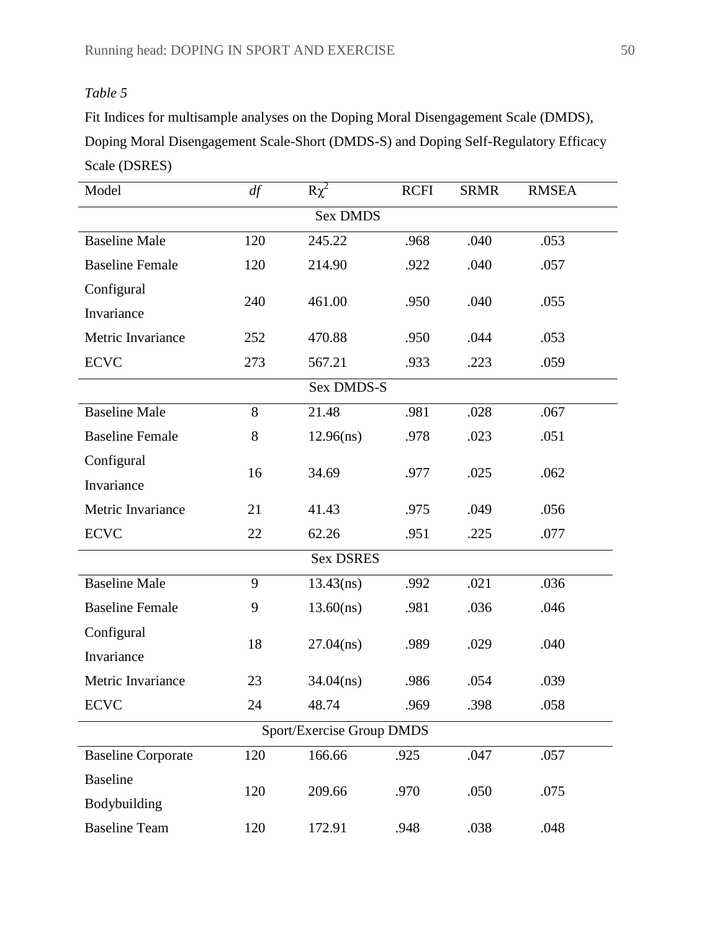## *Table 5*

Fit Indices for multisample analyses on the Doping Moral Disengagement Scale (DMDS), Doping Moral Disengagement Scale-Short (DMDS-S) and Doping Self-Regulatory Efficacy Scale (DSRES)

| Model                     | df    | $R\chi^2$        | <b>RCFI</b> | <b>SRMR</b> | <b>RMSEA</b> |  |  |  |  |
|---------------------------|-------|------------------|-------------|-------------|--------------|--|--|--|--|
|                           |       | <b>Sex DMDS</b>  |             |             |              |  |  |  |  |
| <b>Baseline Male</b>      | 120   | 245.22           | .968        | .040        | .053         |  |  |  |  |
| <b>Baseline Female</b>    | 120   | 214.90           | .922        | .040        | .057         |  |  |  |  |
| Configural                |       |                  |             |             |              |  |  |  |  |
| Invariance                | 240   | 461.00           | .950        | .040        | .055         |  |  |  |  |
| Metric Invariance         | 252   | 470.88           | .950        | .044        | .053         |  |  |  |  |
| <b>ECVC</b>               | 273   | 567.21           | .933        | .223        | .059         |  |  |  |  |
|                           |       | Sex DMDS-S       |             |             |              |  |  |  |  |
| <b>Baseline Male</b>      | 8     | 21.48            | .981        | .028        | .067         |  |  |  |  |
| <b>Baseline Female</b>    | $8\,$ | 12.96(ns)        | .978        | .023        | .051         |  |  |  |  |
| Configural                |       |                  |             |             |              |  |  |  |  |
| Invariance                | 16    | 34.69            | .977        | .025        | .062         |  |  |  |  |
| Metric Invariance         | 21    | 41.43            | .975        | .049        | .056         |  |  |  |  |
| <b>ECVC</b>               | 22    | 62.26            | .951        | .225        | .077         |  |  |  |  |
|                           |       | <b>Sex DSRES</b> |             |             |              |  |  |  |  |
| <b>Baseline Male</b>      | 9     | 13.43(ns)        | .992        | .021        | .036         |  |  |  |  |
| <b>Baseline Female</b>    | 9     | $13.60$ (ns)     | .981        | .036        | .046         |  |  |  |  |
| Configural                | 18    |                  |             |             | .040         |  |  |  |  |
| Invariance                |       | $27.04$ (ns)     | .989        | .029        |              |  |  |  |  |
| Metric Invariance         | 23    | $34.04$ (ns)     | .986        | .054        | .039         |  |  |  |  |
| <b>ECVC</b>               | 24    | 48.74            | .969        | 398         | .058         |  |  |  |  |
| Sport/Exercise Group DMDS |       |                  |             |             |              |  |  |  |  |
| <b>Baseline Corporate</b> | 120   | 166.66           | .925        | .047        | .057         |  |  |  |  |
| <b>Baseline</b>           | 120   | 209.66           |             |             | .075         |  |  |  |  |
| Bodybuilding              |       |                  | .970        | .050        |              |  |  |  |  |
| <b>Baseline Team</b>      | 120   | 172.91           | .948        | .038        | .048         |  |  |  |  |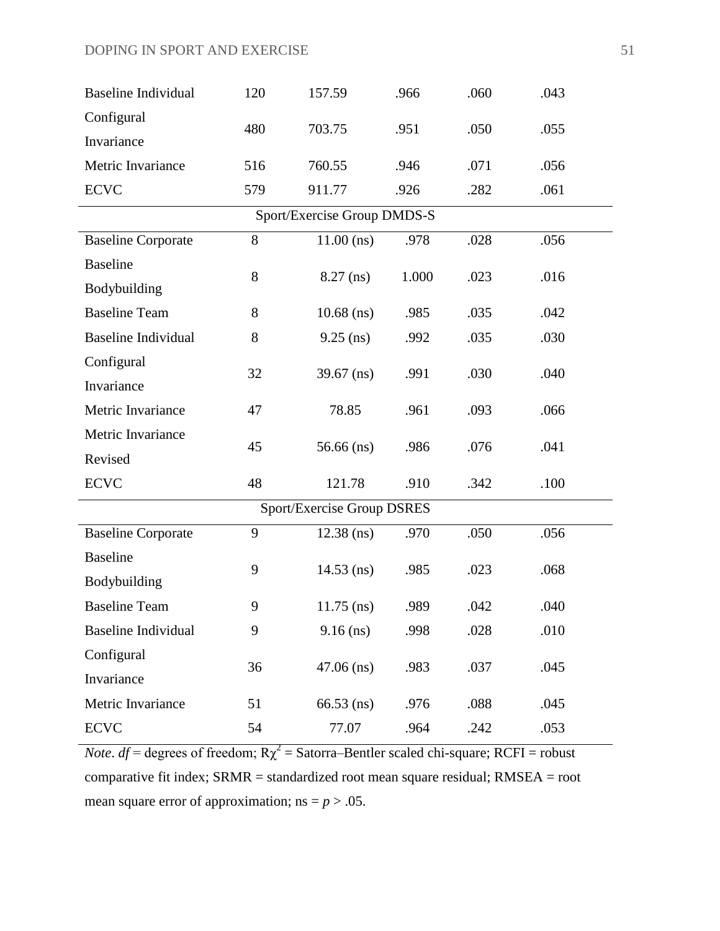| <b>Baseline Individual</b>  | 120 | 157.59                     | .966  | .060 | .043 |  |  |  |  |  |
|-----------------------------|-----|----------------------------|-------|------|------|--|--|--|--|--|
| Configural                  |     |                            |       |      |      |  |  |  |  |  |
| Invariance                  | 480 | 703.75                     | .951  | .050 | .055 |  |  |  |  |  |
| Metric Invariance           | 516 | 760.55                     | .946  | .071 | .056 |  |  |  |  |  |
| <b>ECVC</b>                 | 579 | 911.77                     | .926  | .282 | .061 |  |  |  |  |  |
| Sport/Exercise Group DMDS-S |     |                            |       |      |      |  |  |  |  |  |
| <b>Baseline Corporate</b>   | 8   | $11.00$ (ns)               | .978  | .028 | .056 |  |  |  |  |  |
| <b>Baseline</b>             | 8   |                            | 1.000 | .023 | .016 |  |  |  |  |  |
| Bodybuilding                |     | $8.27$ (ns)                |       |      |      |  |  |  |  |  |
| <b>Baseline Team</b>        | 8   | $10.68$ (ns)               | .985  | .035 | .042 |  |  |  |  |  |
| <b>Baseline Individual</b>  | 8   | $9.25$ (ns)                | .992  | .035 | .030 |  |  |  |  |  |
| Configural                  |     |                            |       |      |      |  |  |  |  |  |
| Invariance                  | 32  | $39.67$ (ns)               | .991  | .030 | .040 |  |  |  |  |  |
| Metric Invariance           | 47  | 78.85                      | .961  | .093 | .066 |  |  |  |  |  |
| Metric Invariance           | 45  |                            |       | .076 | .041 |  |  |  |  |  |
| Revised                     |     | $56.66$ (ns)               | .986  |      |      |  |  |  |  |  |
| <b>ECVC</b>                 | 48  | 121.78                     | .910  | .342 | .100 |  |  |  |  |  |
|                             |     | Sport/Exercise Group DSRES |       |      |      |  |  |  |  |  |
| <b>Baseline Corporate</b>   | 9   | $12.38$ (ns)               | .970  | .050 | .056 |  |  |  |  |  |
| <b>Baseline</b>             |     |                            |       |      |      |  |  |  |  |  |
| Bodybuilding                | 9   | $14.53$ (ns)               | .985  | .023 | .068 |  |  |  |  |  |
| <b>Baseline Team</b>        | 9   | $11.75$ (ns)               | .989  | .042 | .040 |  |  |  |  |  |
| <b>Baseline Individual</b>  | 9   | $9.16$ (ns)                | .998  | .028 | .010 |  |  |  |  |  |
| Configural                  |     |                            |       |      |      |  |  |  |  |  |
| Invariance                  | 36  | $47.06$ (ns)               | .983  | .037 | .045 |  |  |  |  |  |
| Metric Invariance           | 51  | $66.53$ (ns)               | .976  | .088 | .045 |  |  |  |  |  |
| <b>ECVC</b>                 | 54  | 77.07                      | .964  | .242 | .053 |  |  |  |  |  |

*Note. df* = degrees of freedom;  $R\chi^2$  = Satorra–Bentler scaled chi-square; RCFI = robust comparative fit index; SRMR = standardized root mean square residual; RMSEA = root mean square error of approximation;  $ns = p > .05$ .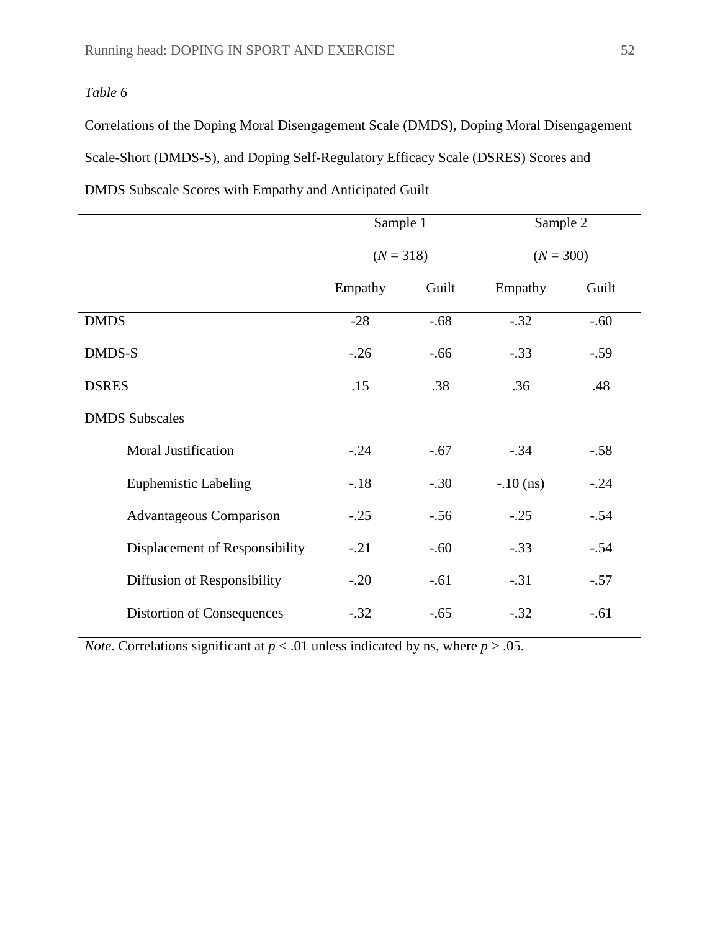## *Table 6*

Correlations of the Doping Moral Disengagement Scale (DMDS), Doping Moral Disengagement Scale-Short (DMDS-S), and Doping Self-Regulatory Efficacy Scale (DSRES) Scores and DMDS Subscale Scores with Empathy and Anticipated Guilt

|                                   | Sample 1                   |        | Sample 2    |        |
|-----------------------------------|----------------------------|--------|-------------|--------|
|                                   | $(N = 318)$<br>$(N = 300)$ |        |             |        |
|                                   | Empathy                    | Guilt  | Empathy     | Guilt  |
| <b>DMDS</b>                       | $-28$                      | $-.68$ | $-.32$      | $-.60$ |
| DMDS-S                            | $-.26$                     | $-.66$ | $-.33$      | $-.59$ |
| <b>DSRES</b>                      | .15                        | .38    | .36         | .48    |
| <b>DMDS</b> Subscales             |                            |        |             |        |
| <b>Moral Justification</b>        | $-.24$                     | $-.67$ | $-.34$      | $-.58$ |
| <b>Euphemistic Labeling</b>       | $-.18$                     | $-.30$ | $-.10$ (ns) | $-.24$ |
| <b>Advantageous Comparison</b>    | $-.25$                     | $-.56$ | $-.25$      | $-.54$ |
| Displacement of Responsibility    | $-.21$                     | $-.60$ | $-.33$      | $-.54$ |
| Diffusion of Responsibility       | $-.20$                     | $-.61$ | $-.31$      | $-.57$ |
| <b>Distortion of Consequences</b> | $-.32$                     | $-.65$ | $-.32$      | $-.61$ |

*Note*. Correlations significant at  $p < .01$  unless indicated by ns, where  $p > .05$ .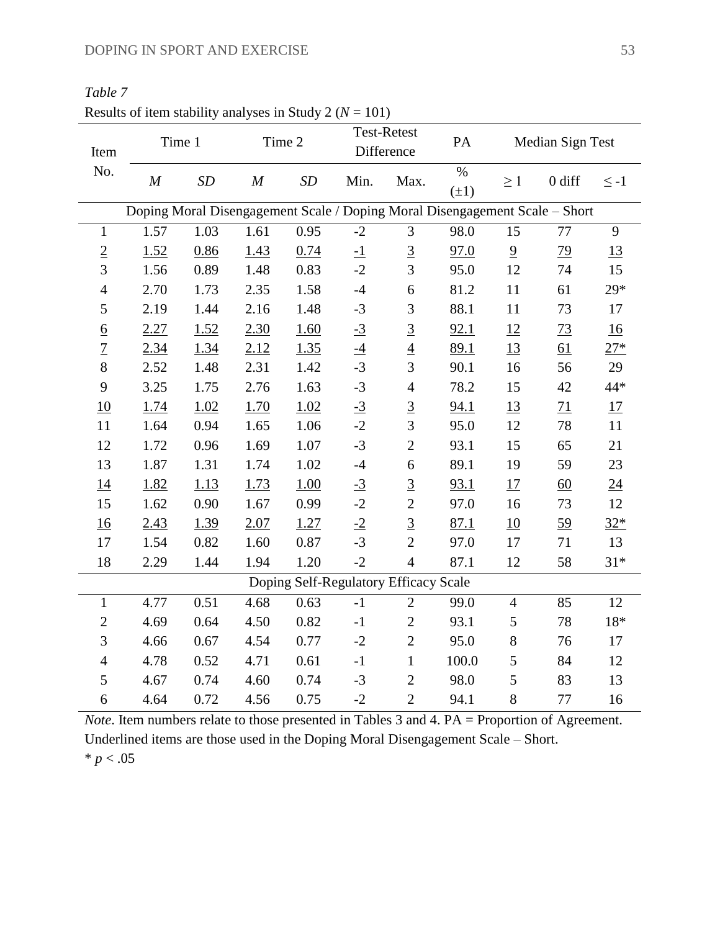| $x$ couns of noin suibling analyses in buildy $2(y)$<br>Item | Time 1                                                                      |      | Time 2   |                                       | - 1017          | Test-Retest<br>Difference |                                       | PA<br>Median Sign Test |                  |                  |  |
|--------------------------------------------------------------|-----------------------------------------------------------------------------|------|----------|---------------------------------------|-----------------|---------------------------|---------------------------------------|------------------------|------------------|------------------|--|
| No.                                                          | $\cal M$                                                                    | SD   | $\cal M$ | SD                                    | Min.            | Max.                      | $\overline{\frac{0}{6}}$<br>$(\pm 1)$ | $\geq 1$               | $0$ diff         | $\leq -1$        |  |
|                                                              | Doping Moral Disengagement Scale / Doping Moral Disengagement Scale - Short |      |          |                                       |                 |                           |                                       |                        |                  |                  |  |
| $\mathbf{1}$                                                 | 1.57                                                                        | 1.03 | 1.61     | 0.95                                  | $-2$            | 3                         | 98.0                                  | 15                     | 77               | 9                |  |
| $\underline{2}$                                              | 1.52                                                                        | 0.86 | 1.43     | 0.74                                  | $\overline{-1}$ | $\underline{3}$           | 97.0                                  | $\overline{9}$         | $\overline{29}$  | 13               |  |
| $\overline{3}$                                               | 1.56                                                                        | 0.89 | 1.48     | 0.83                                  | $-2$            | $\overline{3}$            | 95.0                                  | 12                     | 74               | 15               |  |
| $\overline{4}$                                               | 2.70                                                                        | 1.73 | 2.35     | 1.58                                  | $-4$            | 6                         | 81.2                                  | $11\,$                 | 61               | $29*$            |  |
| 5                                                            | 2.19                                                                        | 1.44 | 2.16     | 1.48                                  | $-3$            | 3                         | 88.1                                  | 11                     | 73               | 17               |  |
| $\underline{6}$                                              | 2.27                                                                        | 1.52 | 2.30     | 1.60                                  | $-3$            | $\underline{3}$           | 92.1                                  | 12                     | 73               | 16               |  |
| $\overline{1}$                                               | 2.34                                                                        | 1.34 | 2.12     | 1.35                                  | $-4$            | $\overline{4}$            | 89.1                                  | 13                     | 61               | $27*$            |  |
| $8\,$                                                        | 2.52                                                                        | 1.48 | 2.31     | 1.42                                  | $-3$            | 3                         | 90.1                                  | 16                     | 56               | 29               |  |
| 9                                                            | 3.25                                                                        | 1.75 | 2.76     | 1.63                                  | $-3$            | $\overline{4}$            | 78.2                                  | 15                     | 42               | 44*              |  |
| 10                                                           | 1.74                                                                        | 1.02 | 1.70     | 1.02                                  | $-3$            | $\overline{3}$            | 94.1                                  | <u>13</u>              | 71               | 17               |  |
| 11                                                           | 1.64                                                                        | 0.94 | 1.65     | 1.06                                  | $-2$            | 3                         | 95.0                                  | 12                     | 78               | 11               |  |
| 12                                                           | 1.72                                                                        | 0.96 | 1.69     | 1.07                                  | $-3$            | $\mathbf{2}$              | 93.1                                  | 15                     | 65               | 21               |  |
| 13                                                           | 1.87                                                                        | 1.31 | 1.74     | 1.02                                  | $-4$            | $\boldsymbol{6}$          | 89.1                                  | 19                     | 59               | 23               |  |
| 14                                                           | 1.82                                                                        | 1.13 | 1.73     | 1.00                                  | $\frac{-3}{2}$  | $\frac{3}{2}$             | 93.1                                  | 17                     | $\underline{60}$ | $\underline{24}$ |  |
| 15                                                           | 1.62                                                                        | 0.90 | 1.67     | 0.99                                  | $-2$            |                           | 97.0                                  | 16                     | 73               | 12               |  |
| 16                                                           | 2.43                                                                        | 1.39 | 2.07     | 1.27                                  | $-2$            | $\overline{3}$            | 87.1                                  | 10                     | 59               | $32*$            |  |
| 17                                                           | 1.54                                                                        | 0.82 | 1.60     | 0.87                                  | $-3$            | $\overline{2}$            | 97.0                                  | 17                     | 71               | 13               |  |
| 18                                                           | 2.29                                                                        | 1.44 | 1.94     | 1.20                                  | $-2$            | $\overline{4}$            | 87.1                                  | 12                     | 58               | $31*$            |  |
|                                                              |                                                                             |      |          | Doping Self-Regulatory Efficacy Scale |                 |                           |                                       |                        |                  |                  |  |
| $\mathbf{1}$                                                 | 4.77                                                                        | 0.51 | 4.68     | 0.63                                  | $-1$            | $\overline{2}$            | 99.0                                  | $\overline{4}$         | 85               | 12               |  |
| $\mathbf{2}$                                                 | 4.69                                                                        | 0.64 | 4.50     | 0.82                                  | $-1$            | $\overline{2}$            | 93.1                                  | 5                      | 78               | $18*$            |  |
| 3                                                            | 4.66                                                                        | 0.67 | 4.54     | 0.77                                  | $-2$            | $\overline{2}$            | 95.0                                  | $8\,$                  | 76               | 17               |  |
| $\overline{4}$                                               | 4.78                                                                        | 0.52 | 4.71     | 0.61                                  | $-1$            | $\mathbf{1}$              | 100.0                                 | $\mathfrak{S}$         | 84               | 12               |  |
| 5                                                            | 4.67                                                                        | 0.74 | 4.60     | 0.74                                  | $-3$            | $\overline{2}$            | 98.0                                  | $\sqrt{5}$             | 83               | 13               |  |
| $\boldsymbol{6}$                                             | 4.64                                                                        | 0.72 | 4.56     | 0.75                                  | $-2$            | $\mathbf{2}$              | 94.1                                  | 8                      | $77 \,$          | 16               |  |

*Table 7* Results of item stability analyses in Study 2 ( $N = 101$ )

*Note*. Item numbers relate to those presented in Tables 3 and 4. PA = Proportion of Agreement. Underlined items are those used in the Doping Moral Disengagement Scale – Short.  $* p < .05$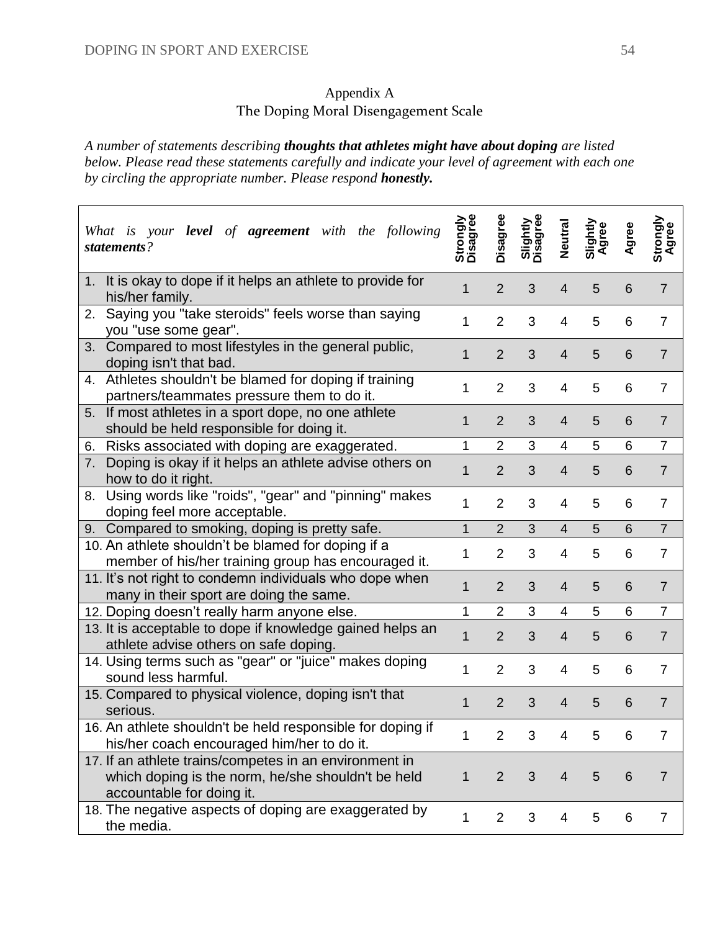## Appendix A The Doping Moral Disengagement Scale

*A number of statements describing thoughts that athletes might have about doping are listed below. Please read these statements carefully and indicate your level of agreement with each one by circling the appropriate number. Please respond honestly.*

| your <b>level</b> of <b>agreement</b> with the following<br>What is<br>statements?                                                        | Strongly<br>Disagree | Disagree       | <b>Slightly</b><br>Disagree | Neutral        | Slightly<br>Agree | Agree | Strongly<br>Agree |
|-------------------------------------------------------------------------------------------------------------------------------------------|----------------------|----------------|-----------------------------|----------------|-------------------|-------|-------------------|
| It is okay to dope if it helps an athlete to provide for<br>1.<br>his/her family.                                                         | 1                    | $\overline{2}$ | 3                           | $\overline{4}$ | 5                 | 6     | $\overline{7}$    |
| Saying you "take steroids" feels worse than saying<br>2.<br>you "use some gear".                                                          | 1                    | $\overline{2}$ | 3                           | 4              | 5                 | 6     | $\overline{7}$    |
| 3. Compared to most lifestyles in the general public,<br>doping isn't that bad.                                                           | 1                    | $\overline{2}$ | 3                           | $\overline{4}$ | 5                 | 6     | $\overline{7}$    |
| 4. Athletes shouldn't be blamed for doping if training<br>partners/teammates pressure them to do it.                                      | 1                    | $\overline{2}$ | 3                           | 4              | 5                 | 6     | $\overline{7}$    |
| 5. If most athletes in a sport dope, no one athlete<br>should be held responsible for doing it.                                           | 1                    | $\overline{2}$ | 3                           | $\overline{4}$ | 5                 | 6     | $\overline{7}$    |
| Risks associated with doping are exaggerated.<br>6.                                                                                       | 1                    | $\overline{2}$ | 3                           | $\overline{4}$ | 5                 | 6     | $\overline{7}$    |
| Doping is okay if it helps an athlete advise others on<br>7.<br>how to do it right.                                                       | 1                    | $\overline{2}$ | 3                           | $\overline{4}$ | 5                 | 6     | $\overline{7}$    |
| Using words like "roids", "gear" and "pinning" makes<br>8.<br>doping feel more acceptable.                                                | 1                    | $\overline{2}$ | 3                           | 4              | 5                 | 6     | $\overline{7}$    |
| 9. Compared to smoking, doping is pretty safe.                                                                                            | $\mathbf{1}$         | $\overline{2}$ | 3                           | 4              | 5                 | 6     | $\overline{7}$    |
| 10. An athlete shouldn't be blamed for doping if a<br>member of his/her training group has encouraged it.                                 | 1                    | $\overline{2}$ | 3                           | $\overline{4}$ | 5                 | 6     | $\overline{7}$    |
| 11. It's not right to condemn individuals who dope when<br>many in their sport are doing the same.                                        | 1                    | $\overline{2}$ | 3                           | $\overline{4}$ | 5                 | 6     | $\overline{7}$    |
| 12. Doping doesn't really harm anyone else.                                                                                               | 1                    | $\overline{2}$ | 3                           | 4              | 5                 | 6     | $\overline{7}$    |
| 13. It is acceptable to dope if knowledge gained helps an<br>athlete advise others on safe doping.                                        | $\mathbf{1}$         | $\overline{2}$ | 3                           | $\overline{4}$ | 5                 | 6     | $\overline{7}$    |
| 14. Using terms such as "gear" or "juice" makes doping<br>sound less harmful.                                                             | 1                    | $\overline{2}$ | 3                           | 4              | 5                 | 6     | $\overline{7}$    |
| 15. Compared to physical violence, doping isn't that<br>serious.                                                                          | 1                    | $\overline{2}$ | 3                           | 4              | 5                 | 6     | $\overline{7}$    |
| 16. An athlete shouldn't be held responsible for doping if<br>his/her coach encouraged him/her to do it.                                  | $\mathbf{1}$         | $\overline{2}$ | 3                           | $\overline{4}$ | 5                 | 6     |                   |
| 17. If an athlete trains/competes in an environment in<br>which doping is the norm, he/she shouldn't be held<br>accountable for doing it. | $\mathbf 1$          | $\overline{2}$ | 3                           | 4              | 5                 | 6     | $\overline{7}$    |
| 18. The negative aspects of doping are exaggerated by<br>the media.                                                                       | 1                    | $\overline{2}$ | 3                           | 4              | 5                 | 6     | $\overline{7}$    |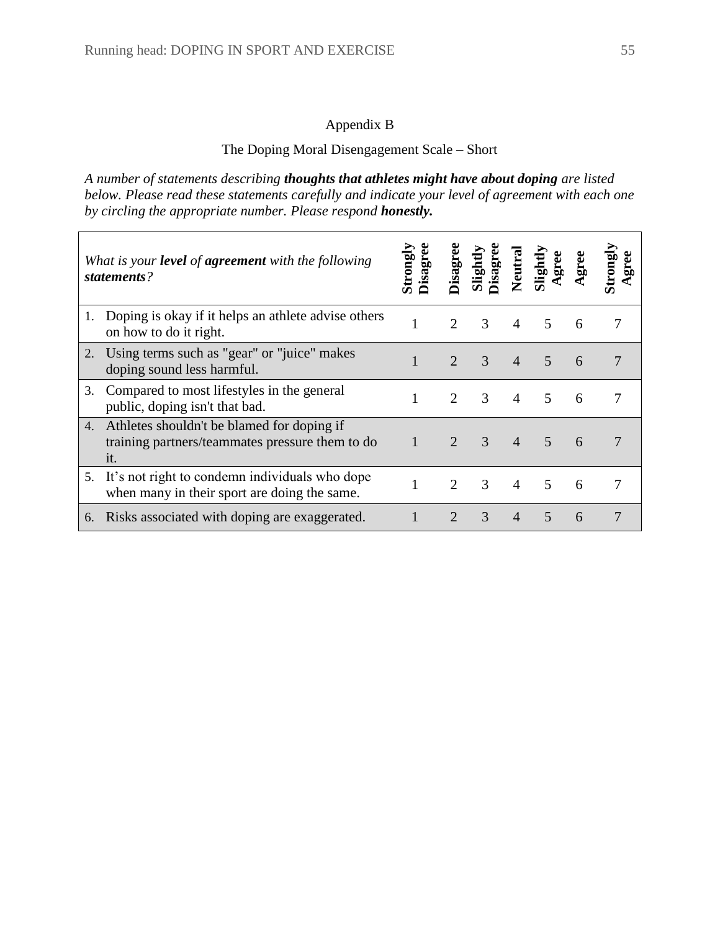## Appendix B

## The Doping Moral Disengagement Scale – Short

*A number of statements describing thoughts that athletes might have about doping are listed below. Please read these statements carefully and indicate your level of agreement with each one by circling the appropriate number. Please respond honestly.*

|    | What is your <b>level</b> of <b>agreement</b> with the following<br>statements?                      | sagree<br>lauor | isagr                       | lightl<br>isagr | Neutra         | light                    |   |   |
|----|------------------------------------------------------------------------------------------------------|-----------------|-----------------------------|-----------------|----------------|--------------------------|---|---|
| 1. | Doping is okay if it helps an athlete advise others<br>on how to do it right.                        |                 | 2                           | $\mathcal{R}$   | 4              | $\overline{\mathcal{L}}$ | 6 |   |
| 2. | Using terms such as "gear" or "juice" makes<br>doping sound less harmful.                            |                 | $\mathcal{D}_{\mathcal{A}}$ | 3               | $\overline{4}$ | 5                        | 6 | 7 |
| 3. | Compared to most lifestyles in the general<br>public, doping isn't that bad.                         |                 | $\mathcal{D}_{\cdot}$       | 3               | 4              | 5                        | 6 |   |
| 4. | Athletes shouldn't be blamed for doping if<br>training partners/teammates pressure them to do<br>it. |                 |                             | $\mathcal{R}$   | $\overline{4}$ | $\overline{5}$           | 6 |   |
| 5. | It's not right to condemn individuals who dope<br>when many in their sport are doing the same.       |                 |                             | 3               | $\overline{4}$ | 5                        | 6 |   |
| 6. | Risks associated with doping are exaggerated.                                                        |                 | $\mathfrak{D}$              | 3               | 4              | $\overline{5}$           | 6 |   |